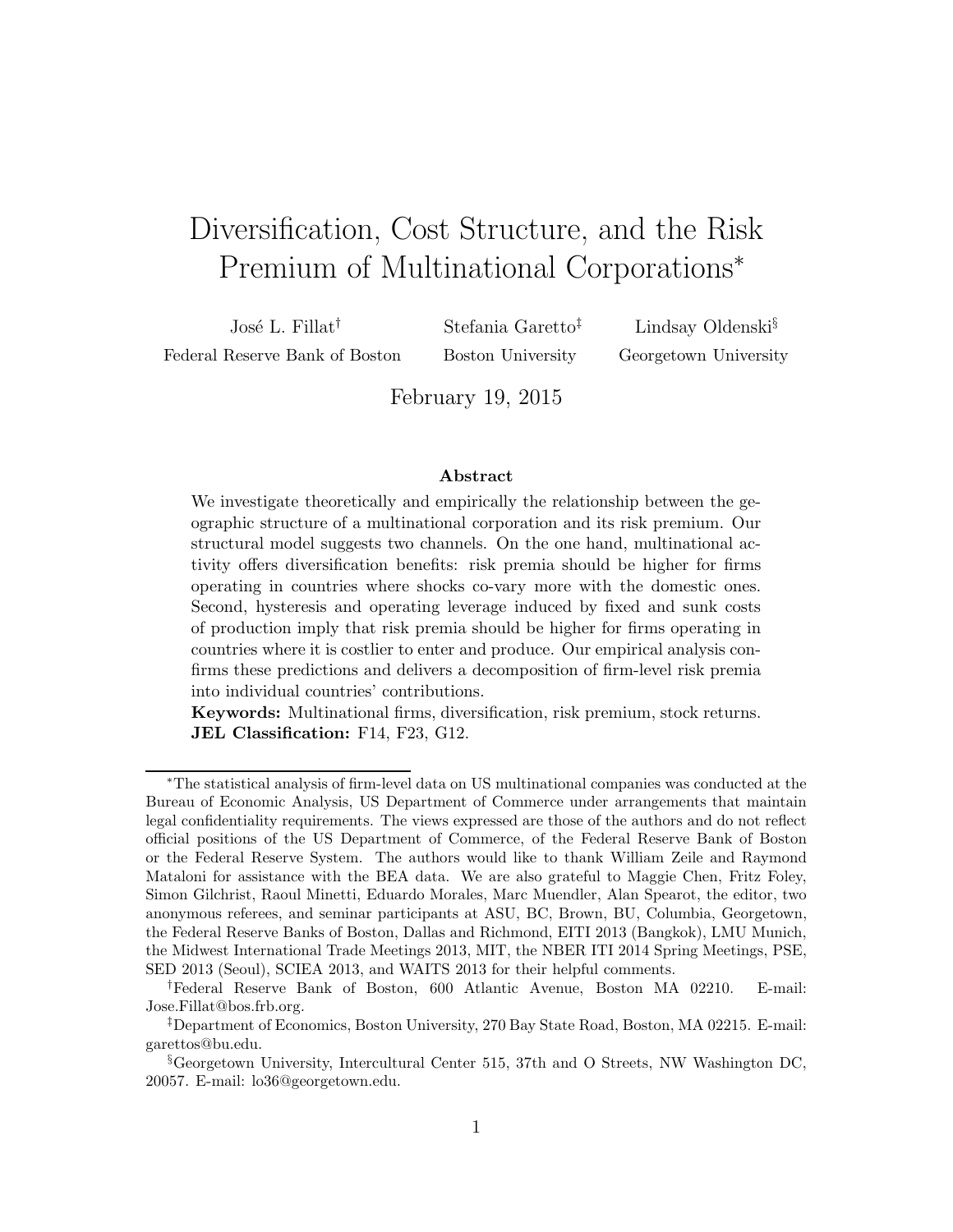# Diversification, Cost Structure, and the Risk Premium of Multinational Corporations<sup>∗</sup>

José L. Fillat<sup>†</sup>

Federal Reserve Bank of Boston

Stefania Garetto‡ Boston University

Lindsay Oldenski§ Georgetown University

February 19, 2015

#### Abstract

We investigate theoretically and empirically the relationship between the geographic structure of a multinational corporation and its risk premium. Our structural model suggests two channels. On the one hand, multinational activity offers diversification benefits: risk premia should be higher for firms operating in countries where shocks co-vary more with the domestic ones. Second, hysteresis and operating leverage induced by fixed and sunk costs of production imply that risk premia should be higher for firms operating in countries where it is costlier to enter and produce. Our empirical analysis confirms these predictions and delivers a decomposition of firm-level risk premia into individual countries' contributions.

Keywords: Multinational firms, diversification, risk premium, stock returns. JEL Classification: F14, F23, G12.

<sup>∗</sup>The statistical analysis of firm-level data on US multinational companies was conducted at the Bureau of Economic Analysis, US Department of Commerce under arrangements that maintain legal confidentiality requirements. The views expressed are those of the authors and do not reflect official positions of the US Department of Commerce, of the Federal Reserve Bank of Boston or the Federal Reserve System. The authors would like to thank William Zeile and Raymond Mataloni for assistance with the BEA data. We are also grateful to Maggie Chen, Fritz Foley, Simon Gilchrist, Raoul Minetti, Eduardo Morales, Marc Muendler, Alan Spearot, the editor, two anonymous referees, and seminar participants at ASU, BC, Brown, BU, Columbia, Georgetown, the Federal Reserve Banks of Boston, Dallas and Richmond, EITI 2013 (Bangkok), LMU Munich, the Midwest International Trade Meetings 2013, MIT, the NBER ITI 2014 Spring Meetings, PSE, SED 2013 (Seoul), SCIEA 2013, and WAITS 2013 for their helpful comments.

<sup>†</sup>Federal Reserve Bank of Boston, 600 Atlantic Avenue, Boston MA 02210. E-mail: Jose.Fillat@bos.frb.org.

<sup>‡</sup>Department of Economics, Boston University, 270 Bay State Road, Boston, MA 02215. E-mail: garettos@bu.edu.

<sup>§</sup>Georgetown University, Intercultural Center 515, 37th and O Streets, NW Washington DC, 20057. E-mail: lo36@georgetown.edu.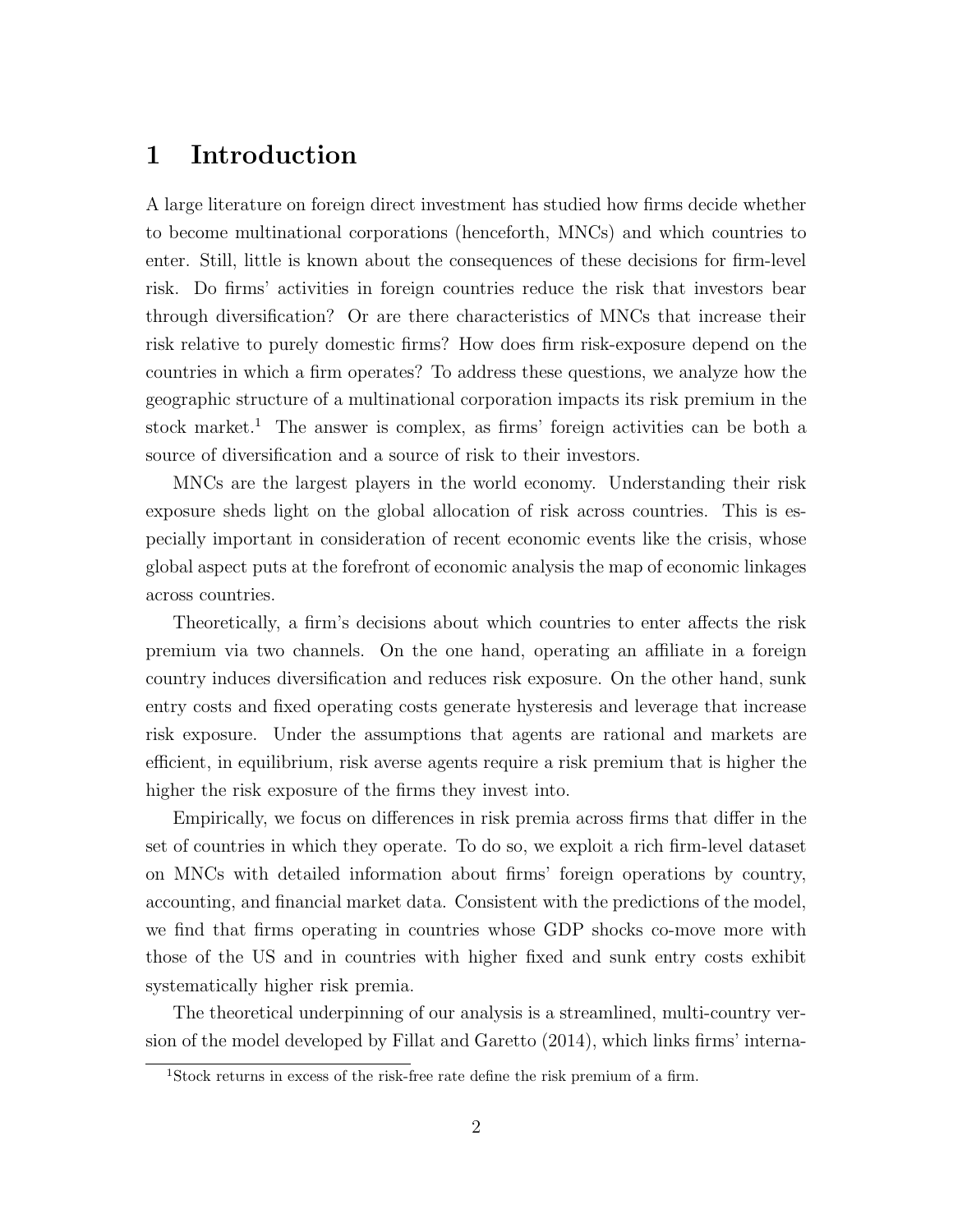### 1 Introduction

A large literature on foreign direct investment has studied how firms decide whether to become multinational corporations (henceforth, MNCs) and which countries to enter. Still, little is known about the consequences of these decisions for firm-level risk. Do firms' activities in foreign countries reduce the risk that investors bear through diversification? Or are there characteristics of MNCs that increase their risk relative to purely domestic firms? How does firm risk-exposure depend on the countries in which a firm operates? To address these questions, we analyze how the geographic structure of a multinational corporation impacts its risk premium in the stock market.<sup>1</sup> The answer is complex, as firms' foreign activities can be both a source of diversification and a source of risk to their investors.

MNCs are the largest players in the world economy. Understanding their risk exposure sheds light on the global allocation of risk across countries. This is especially important in consideration of recent economic events like the crisis, whose global aspect puts at the forefront of economic analysis the map of economic linkages across countries.

Theoretically, a firm's decisions about which countries to enter affects the risk premium via two channels. On the one hand, operating an affiliate in a foreign country induces diversification and reduces risk exposure. On the other hand, sunk entry costs and fixed operating costs generate hysteresis and leverage that increase risk exposure. Under the assumptions that agents are rational and markets are efficient, in equilibrium, risk averse agents require a risk premium that is higher the higher the risk exposure of the firms they invest into.

Empirically, we focus on differences in risk premia across firms that differ in the set of countries in which they operate. To do so, we exploit a rich firm-level dataset on MNCs with detailed information about firms' foreign operations by country, accounting, and financial market data. Consistent with the predictions of the model, we find that firms operating in countries whose GDP shocks co-move more with those of the US and in countries with higher fixed and sunk entry costs exhibit systematically higher risk premia.

The theoretical underpinning of our analysis is a streamlined, multi-country version of the model developed by Fillat and Garetto (2014), which links firms' interna-

<sup>&</sup>lt;sup>1</sup>Stock returns in excess of the risk-free rate define the risk premium of a firm.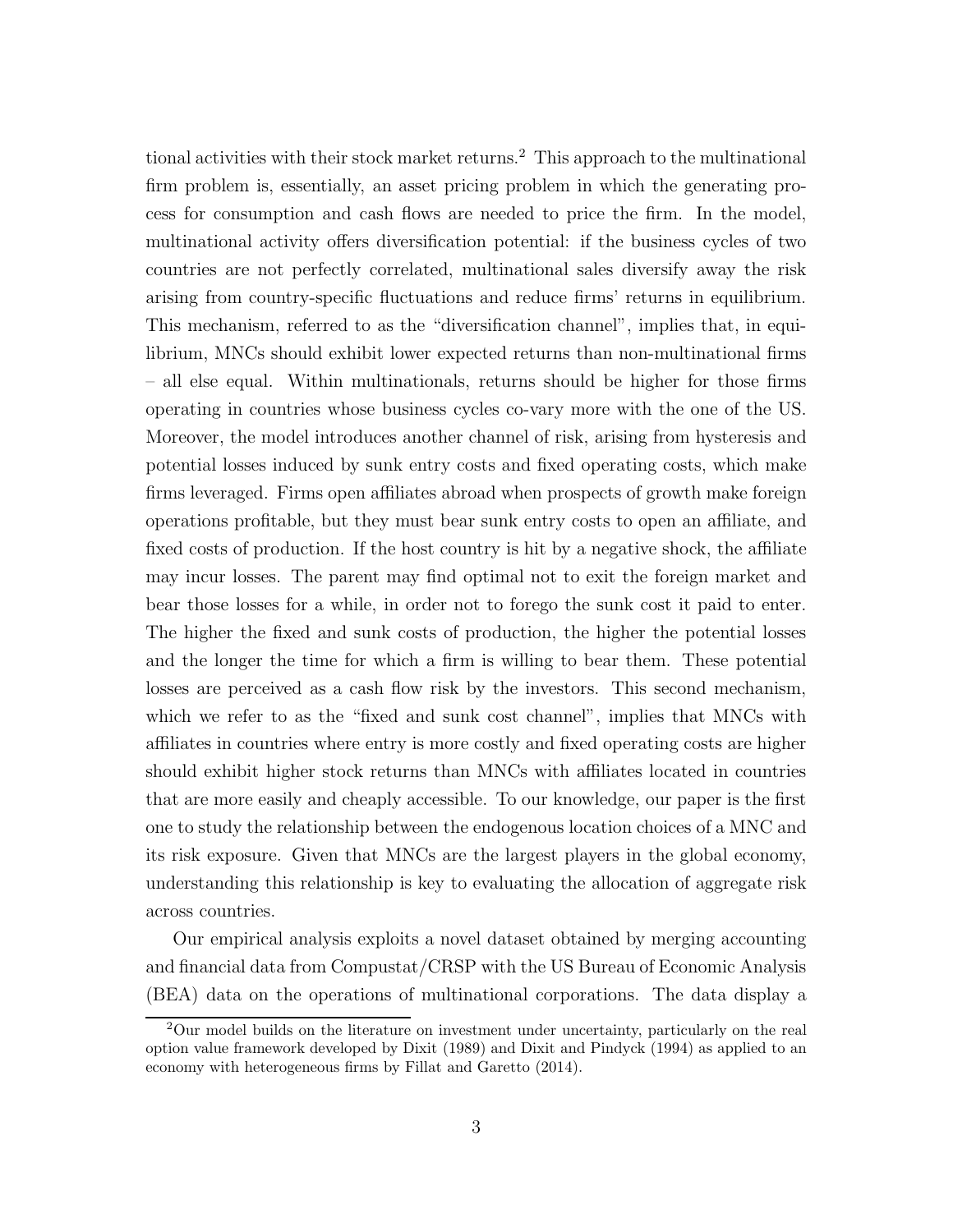tional activities with their stock market returns.<sup>2</sup> This approach to the multinational firm problem is, essentially, an asset pricing problem in which the generating process for consumption and cash flows are needed to price the firm. In the model, multinational activity offers diversification potential: if the business cycles of two countries are not perfectly correlated, multinational sales diversify away the risk arising from country-specific fluctuations and reduce firms' returns in equilibrium. This mechanism, referred to as the "diversification channel", implies that, in equilibrium, MNCs should exhibit lower expected returns than non-multinational firms – all else equal. Within multinationals, returns should be higher for those firms operating in countries whose business cycles co-vary more with the one of the US. Moreover, the model introduces another channel of risk, arising from hysteresis and potential losses induced by sunk entry costs and fixed operating costs, which make firms leveraged. Firms open affiliates abroad when prospects of growth make foreign operations profitable, but they must bear sunk entry costs to open an affiliate, and fixed costs of production. If the host country is hit by a negative shock, the affiliate may incur losses. The parent may find optimal not to exit the foreign market and bear those losses for a while, in order not to forego the sunk cost it paid to enter. The higher the fixed and sunk costs of production, the higher the potential losses and the longer the time for which a firm is willing to bear them. These potential losses are perceived as a cash flow risk by the investors. This second mechanism, which we refer to as the "fixed and sunk cost channel", implies that MNCs with affiliates in countries where entry is more costly and fixed operating costs are higher should exhibit higher stock returns than MNCs with affiliates located in countries that are more easily and cheaply accessible. To our knowledge, our paper is the first one to study the relationship between the endogenous location choices of a MNC and its risk exposure. Given that MNCs are the largest players in the global economy, understanding this relationship is key to evaluating the allocation of aggregate risk across countries.

Our empirical analysis exploits a novel dataset obtained by merging accounting and financial data from Compustat/CRSP with the US Bureau of Economic Analysis (BEA) data on the operations of multinational corporations. The data display a

<sup>2</sup>Our model builds on the literature on investment under uncertainty, particularly on the real option value framework developed by Dixit (1989) and Dixit and Pindyck (1994) as applied to an economy with heterogeneous firms by Fillat and Garetto (2014).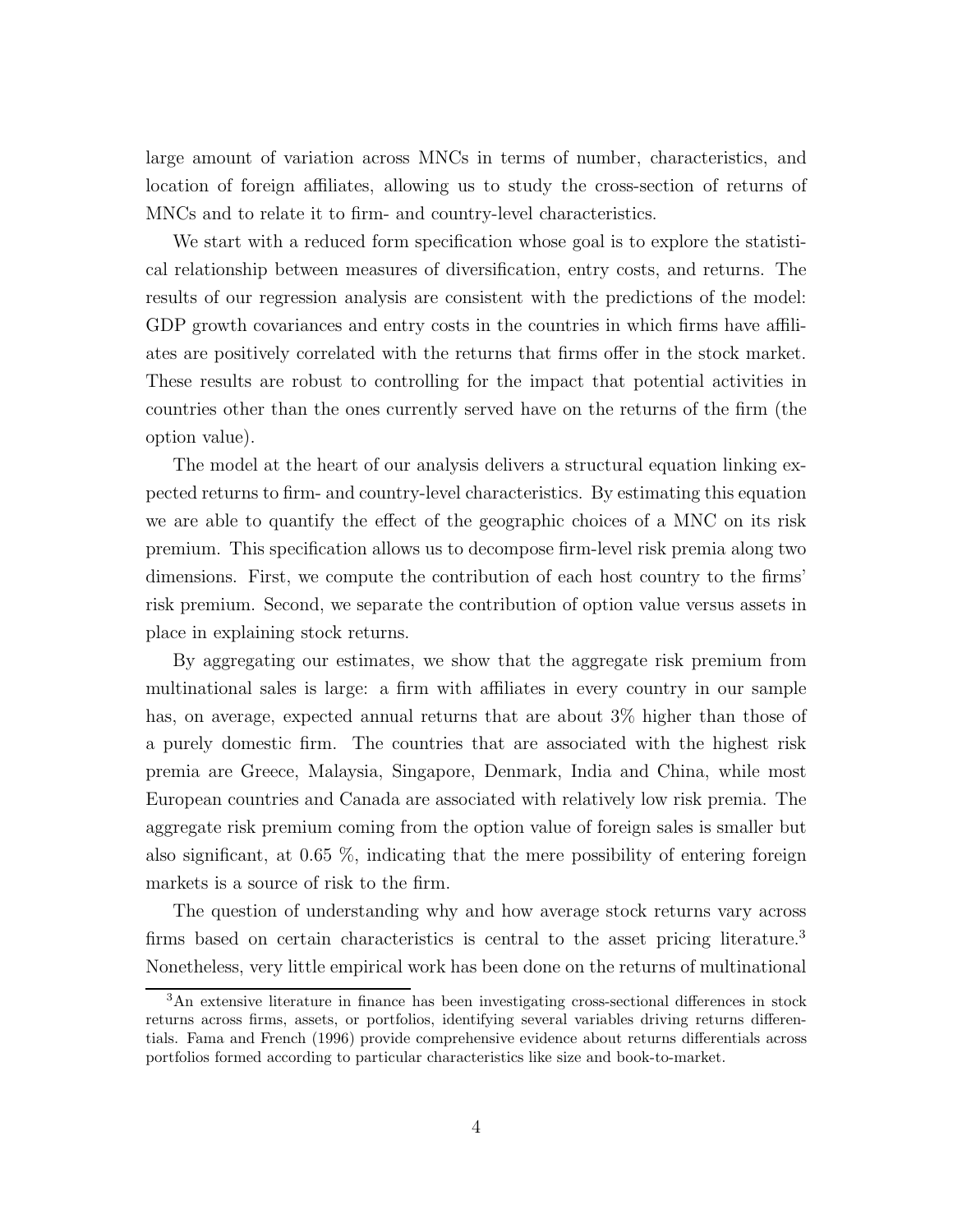large amount of variation across MNCs in terms of number, characteristics, and location of foreign affiliates, allowing us to study the cross-section of returns of MNCs and to relate it to firm- and country-level characteristics.

We start with a reduced form specification whose goal is to explore the statistical relationship between measures of diversification, entry costs, and returns. The results of our regression analysis are consistent with the predictions of the model: GDP growth covariances and entry costs in the countries in which firms have affiliates are positively correlated with the returns that firms offer in the stock market. These results are robust to controlling for the impact that potential activities in countries other than the ones currently served have on the returns of the firm (the option value).

The model at the heart of our analysis delivers a structural equation linking expected returns to firm- and country-level characteristics. By estimating this equation we are able to quantify the effect of the geographic choices of a MNC on its risk premium. This specification allows us to decompose firm-level risk premia along two dimensions. First, we compute the contribution of each host country to the firms' risk premium. Second, we separate the contribution of option value versus assets in place in explaining stock returns.

By aggregating our estimates, we show that the aggregate risk premium from multinational sales is large: a firm with affiliates in every country in our sample has, on average, expected annual returns that are about 3% higher than those of a purely domestic firm. The countries that are associated with the highest risk premia are Greece, Malaysia, Singapore, Denmark, India and China, while most European countries and Canada are associated with relatively low risk premia. The aggregate risk premium coming from the option value of foreign sales is smaller but also significant, at 0.65 %, indicating that the mere possibility of entering foreign markets is a source of risk to the firm.

The question of understanding why and how average stock returns vary across firms based on certain characteristics is central to the asset pricing literature.<sup>3</sup> Nonetheless, very little empirical work has been done on the returns of multinational

<sup>3</sup>An extensive literature in finance has been investigating cross-sectional differences in stock returns across firms, assets, or portfolios, identifying several variables driving returns differentials. Fama and French (1996) provide comprehensive evidence about returns differentials across portfolios formed according to particular characteristics like size and book-to-market.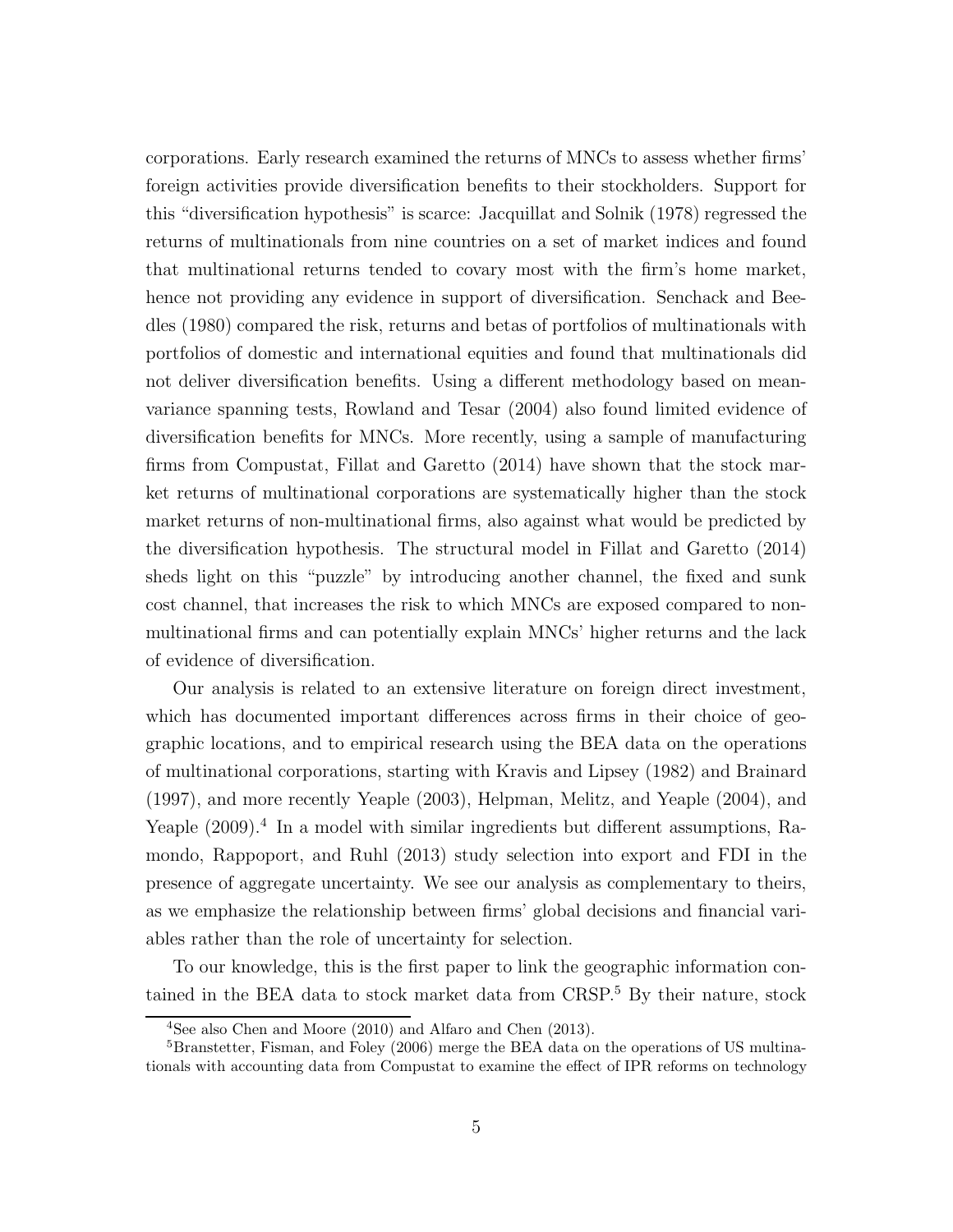corporations. Early research examined the returns of MNCs to assess whether firms' foreign activities provide diversification benefits to their stockholders. Support for this "diversification hypothesis" is scarce: Jacquillat and Solnik (1978) regressed the returns of multinationals from nine countries on a set of market indices and found that multinational returns tended to covary most with the firm's home market, hence not providing any evidence in support of diversification. Senchack and Beedles (1980) compared the risk, returns and betas of portfolios of multinationals with portfolios of domestic and international equities and found that multinationals did not deliver diversification benefits. Using a different methodology based on meanvariance spanning tests, Rowland and Tesar (2004) also found limited evidence of diversification benefits for MNCs. More recently, using a sample of manufacturing firms from Compustat, Fillat and Garetto (2014) have shown that the stock market returns of multinational corporations are systematically higher than the stock market returns of non-multinational firms, also against what would be predicted by the diversification hypothesis. The structural model in Fillat and Garetto (2014) sheds light on this "puzzle" by introducing another channel, the fixed and sunk cost channel, that increases the risk to which MNCs are exposed compared to nonmultinational firms and can potentially explain MNCs' higher returns and the lack of evidence of diversification.

Our analysis is related to an extensive literature on foreign direct investment, which has documented important differences across firms in their choice of geographic locations, and to empirical research using the BEA data on the operations of multinational corporations, starting with Kravis and Lipsey (1982) and Brainard (1997), and more recently Yeaple (2003), Helpman, Melitz, and Yeaple (2004), and Yeaple (2009).<sup>4</sup> In a model with similar ingredients but different assumptions, Ramondo, Rappoport, and Ruhl (2013) study selection into export and FDI in the presence of aggregate uncertainty. We see our analysis as complementary to theirs, as we emphasize the relationship between firms' global decisions and financial variables rather than the role of uncertainty for selection.

To our knowledge, this is the first paper to link the geographic information contained in the BEA data to stock market data from CRSP.<sup>5</sup> By their nature, stock

<sup>&</sup>lt;sup>4</sup>See also Chen and Moore (2010) and Alfaro and Chen (2013).

<sup>&</sup>lt;sup>5</sup>Branstetter, Fisman, and Foley (2006) merge the BEA data on the operations of US multinationals with accounting data from Compustat to examine the effect of IPR reforms on technology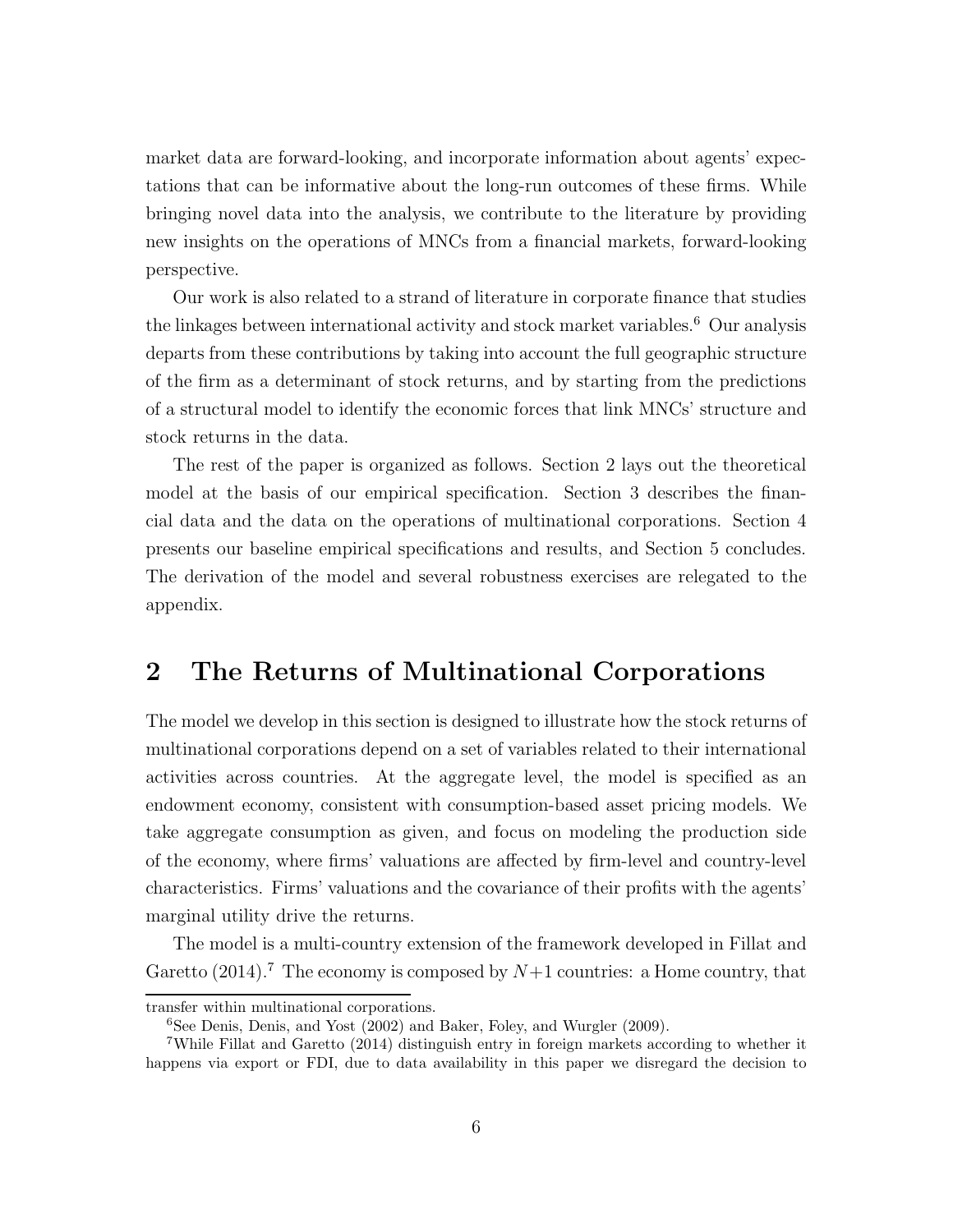market data are forward-looking, and incorporate information about agents' expectations that can be informative about the long-run outcomes of these firms. While bringing novel data into the analysis, we contribute to the literature by providing new insights on the operations of MNCs from a financial markets, forward-looking perspective.

Our work is also related to a strand of literature in corporate finance that studies the linkages between international activity and stock market variables.<sup>6</sup> Our analysis departs from these contributions by taking into account the full geographic structure of the firm as a determinant of stock returns, and by starting from the predictions of a structural model to identify the economic forces that link MNCs' structure and stock returns in the data.

The rest of the paper is organized as follows. Section 2 lays out the theoretical model at the basis of our empirical specification. Section 3 describes the financial data and the data on the operations of multinational corporations. Section 4 presents our baseline empirical specifications and results, and Section 5 concludes. The derivation of the model and several robustness exercises are relegated to the appendix.

### 2 The Returns of Multinational Corporations

The model we develop in this section is designed to illustrate how the stock returns of multinational corporations depend on a set of variables related to their international activities across countries. At the aggregate level, the model is specified as an endowment economy, consistent with consumption-based asset pricing models. We take aggregate consumption as given, and focus on modeling the production side of the economy, where firms' valuations are affected by firm-level and country-level characteristics. Firms' valuations and the covariance of their profits with the agents' marginal utility drive the returns.

The model is a multi-country extension of the framework developed in Fillat and Garetto (2014).<sup>7</sup> The economy is composed by  $N+1$  countries: a Home country, that

transfer within multinational corporations.

<sup>6</sup>See Denis, Denis, and Yost (2002) and Baker, Foley, and Wurgler (2009).

<sup>7</sup>While Fillat and Garetto (2014) distinguish entry in foreign markets according to whether it happens via export or FDI, due to data availability in this paper we disregard the decision to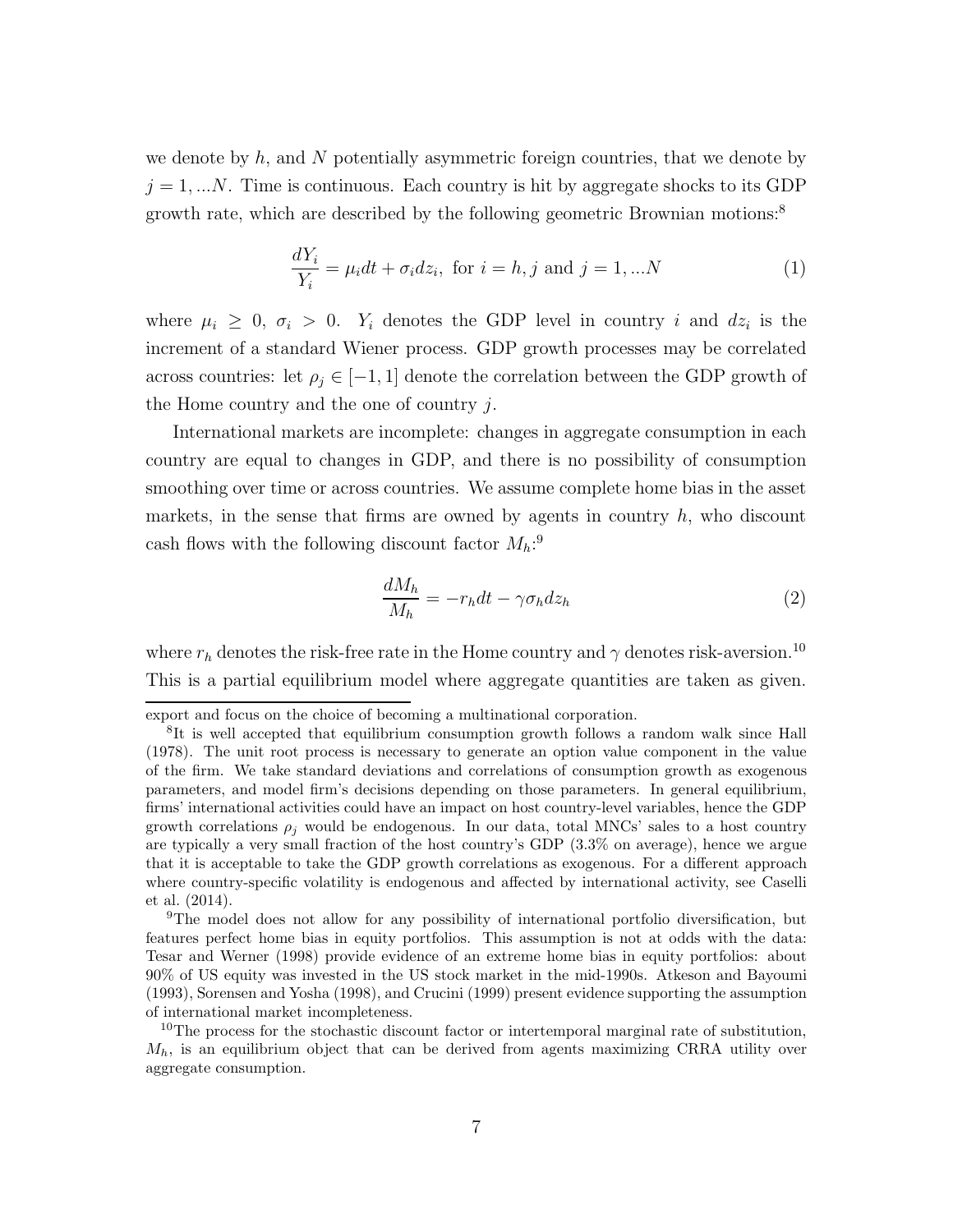we denote by h, and N potentially asymmetric foreign countries, that we denote by  $j = 1, \dots N$ . Time is continuous. Each country is hit by aggregate shocks to its GDP growth rate, which are described by the following geometric Brownian motions:<sup>8</sup>

$$
\frac{dY_i}{Y_i} = \mu_i dt + \sigma_i dz_i, \text{ for } i = h, j \text{ and } j = 1, ...N
$$
 (1)

where  $\mu_i \geq 0$ ,  $\sigma_i > 0$ .  $Y_i$  denotes the GDP level in country i and  $dz_i$  is the increment of a standard Wiener process. GDP growth processes may be correlated across countries: let  $\rho_i \in [-1, 1]$  denote the correlation between the GDP growth of the Home country and the one of country j.

International markets are incomplete: changes in aggregate consumption in each country are equal to changes in GDP, and there is no possibility of consumption smoothing over time or across countries. We assume complete home bias in the asset markets, in the sense that firms are owned by agents in country  $h$ , who discount cash flows with the following discount factor  $M_h$ :<sup>9</sup>

$$
\frac{dM_h}{M_h} = -r_h dt - \gamma \sigma_h dz_h \tag{2}
$$

where  $r_h$  denotes the risk-free rate in the Home country and  $\gamma$  denotes risk-aversion.<sup>10</sup> This is a partial equilibrium model where aggregate quantities are taken as given.

export and focus on the choice of becoming a multinational corporation.

<sup>8</sup> It is well accepted that equilibrium consumption growth follows a random walk since Hall (1978). The unit root process is necessary to generate an option value component in the value of the firm. We take standard deviations and correlations of consumption growth as exogenous parameters, and model firm's decisions depending on those parameters. In general equilibrium, firms' international activities could have an impact on host country-level variables, hence the GDP growth correlations  $\rho_i$  would be endogenous. In our data, total MNCs' sales to a host country are typically a very small fraction of the host country's GDP (3.3% on average), hence we argue that it is acceptable to take the GDP growth correlations as exogenous. For a different approach where country-specific volatility is endogenous and affected by international activity, see Caselli et al. (2014).

<sup>9</sup>The model does not allow for any possibility of international portfolio diversification, but features perfect home bias in equity portfolios. This assumption is not at odds with the data: Tesar and Werner (1998) provide evidence of an extreme home bias in equity portfolios: about 90% of US equity was invested in the US stock market in the mid-1990s. Atkeson and Bayoumi (1993), Sorensen and Yosha (1998), and Crucini (1999) present evidence supporting the assumption of international market incompleteness.

<sup>&</sup>lt;sup>10</sup>The process for the stochastic discount factor or intertemporal marginal rate of substitution,  $M_h$ , is an equilibrium object that can be derived from agents maximizing CRRA utility over aggregate consumption.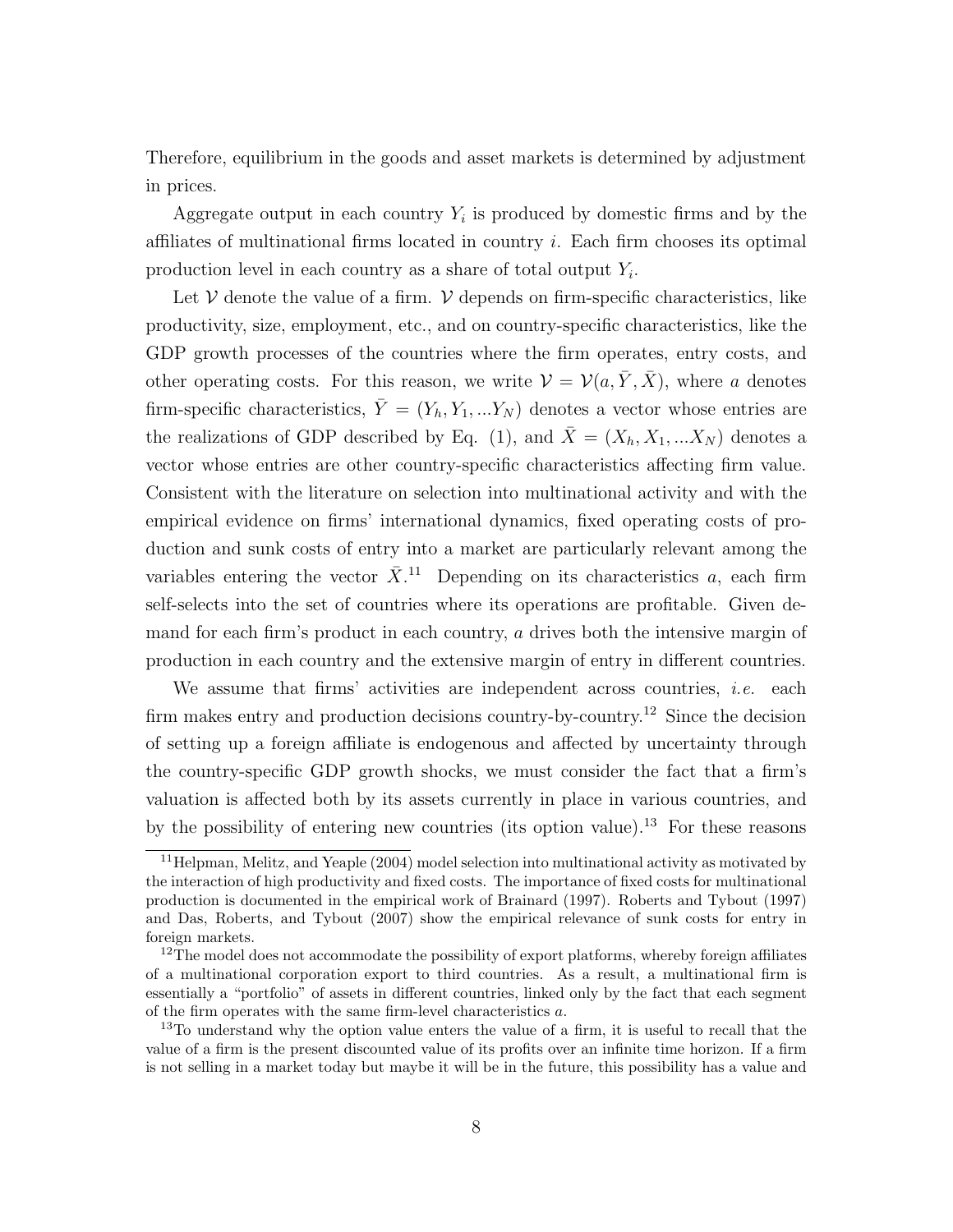Therefore, equilibrium in the goods and asset markets is determined by adjustment in prices.

Aggregate output in each country  $Y_i$  is produced by domestic firms and by the affiliates of multinational firms located in country  $i$ . Each firm chooses its optimal production level in each country as a share of total output  $Y_i$ .

Let  $V$  denote the value of a firm.  $V$  depends on firm-specific characteristics, like productivity, size, employment, etc., and on country-specific characteristics, like the GDP growth processes of the countries where the firm operates, entry costs, and other operating costs. For this reason, we write  $\mathcal{V} = \mathcal{V}(a, \bar{Y}, \bar{X})$ , where a denotes firm-specific characteristics,  $\overline{Y} = (Y_h, Y_1, ... Y_N)$  denotes a vector whose entries are the realizations of GDP described by Eq. (1), and  $\overline{X} = (X_h, X_1, ... X_N)$  denotes a vector whose entries are other country-specific characteristics affecting firm value. Consistent with the literature on selection into multinational activity and with the empirical evidence on firms' international dynamics, fixed operating costs of production and sunk costs of entry into a market are particularly relevant among the variables entering the vector  $\bar{X}$ <sup>11</sup> Depending on its characteristics a, each firm self-selects into the set of countries where its operations are profitable. Given demand for each firm's product in each country, a drives both the intensive margin of production in each country and the extensive margin of entry in different countries.

We assume that firms' activities are independent across countries, *i.e.* each firm makes entry and production decisions country-by-country.<sup>12</sup> Since the decision of setting up a foreign affiliate is endogenous and affected by uncertainty through the country-specific GDP growth shocks, we must consider the fact that a firm's valuation is affected both by its assets currently in place in various countries, and by the possibility of entering new countries (its option value).<sup>13</sup> For these reasons

 $11$ Helpman, Melitz, and Yeaple (2004) model selection into multinational activity as motivated by the interaction of high productivity and fixed costs. The importance of fixed costs for multinational production is documented in the empirical work of Brainard (1997). Roberts and Tybout (1997) and Das, Roberts, and Tybout (2007) show the empirical relevance of sunk costs for entry in foreign markets.

<sup>&</sup>lt;sup>12</sup>The model does not accommodate the possibility of export platforms, whereby foreign affiliates of a multinational corporation export to third countries. As a result, a multinational firm is essentially a "portfolio" of assets in different countries, linked only by the fact that each segment of the firm operates with the same firm-level characteristics a.

 $13$ To understand why the option value enters the value of a firm, it is useful to recall that the value of a firm is the present discounted value of its profits over an infinite time horizon. If a firm is not selling in a market today but maybe it will be in the future, this possibility has a value and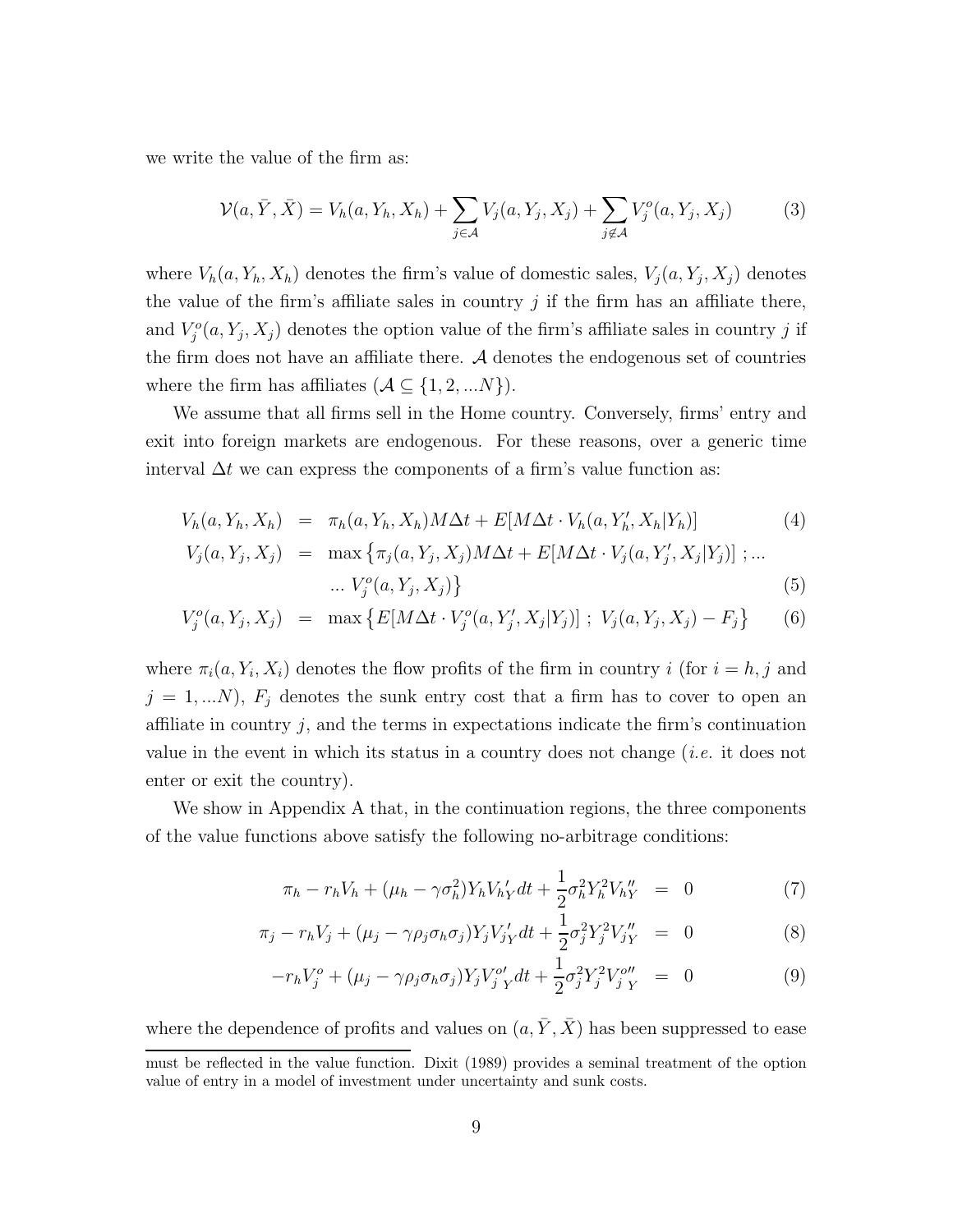we write the value of the firm as:

$$
\mathcal{V}(a,\bar{Y},\bar{X})=V_h(a,Y_h,X_h)+\sum_{j\in\mathcal{A}}V_j(a,Y_j,X_j)+\sum_{j\not\in\mathcal{A}}V_j^o(a,Y_j,X_j)\qquad(3)
$$

where  $V_h(a, Y_h, X_h)$  denotes the firm's value of domestic sales,  $V_j(a, Y_j, X_j)$  denotes the value of the firm's affiliate sales in country  $j$  if the firm has an affiliate there, and  $V_j^o(a, Y_j, X_j)$  denotes the option value of the firm's affiliate sales in country j if the firm does not have an affiliate there.  $A$  denotes the endogenous set of countries where the firm has affiliates  $(A \subseteq \{1, 2, ...N\})$ .

We assume that all firms sell in the Home country. Conversely, firms' entry and exit into foreign markets are endogenous. For these reasons, over a generic time interval  $\Delta t$  we can express the components of a firm's value function as:

$$
V_h(a, Y_h, X_h) = \pi_h(a, Y_h, X_h)M\Delta t + E[M\Delta t \cdot V_h(a, Y_h', X_h|Y_h)] \tag{4}
$$

$$
V_j(a, Y_j, X_j) = \max \{ \pi_j(a, Y_j, X_j) M \Delta t + E[M \Delta t \cdot V_j(a, Y'_j, X_j | Y_j)] \; ; \dots \; \dots \; V_j^o(a, Y_j, X_j) \}
$$
\n
$$
(5)
$$

$$
V_j^o(a, Y_j, X_j) = \max \{ E[M\Delta t \cdot V_j^o(a, Y_j', X_j | Y_j)] ; V_j(a, Y_j, X_j) - F_j \}
$$
 (6)

where  $\pi_i(a, Y_i, X_i)$  denotes the flow profits of the firm in country i (for  $i = h, j$  and  $j = 1, \ldots N$ ,  $F_j$  denotes the sunk entry cost that a firm has to cover to open an affiliate in country  $j$ , and the terms in expectations indicate the firm's continuation value in the event in which its status in a country does not change (*i.e.* it does not enter or exit the country).

We show in Appendix A that, in the continuation regions, the three components of the value functions above satisfy the following no-arbitrage conditions:

$$
\pi_h - r_h V_h + (\mu_h - \gamma \sigma_h^2) Y_h V_{hY}^{\prime} dt + \frac{1}{2} \sigma_h^2 Y_h^2 V_{hY}^{\prime\prime} = 0 \tag{7}
$$

$$
\pi_j - r_h V_j + (\mu_j - \gamma \rho_j \sigma_h \sigma_j) Y_j V'_{j'} dt + \frac{1}{2} \sigma_j^2 Y_j^2 V''_{j'} = 0
$$
\n(8)

$$
-r_h V_j^o + (\mu_j - \gamma \rho_j \sigma_h \sigma_j) Y_j V_{j'Y}^{o'} dt + \frac{1}{2} \sigma_j^2 Y_j^2 V_{j'Y}^{o''} = 0
$$
\n(9)

where the dependence of profits and values on  $(a, \bar{Y}, \bar{X})$  has been suppressed to ease

must be reflected in the value function. Dixit (1989) provides a seminal treatment of the option value of entry in a model of investment under uncertainty and sunk costs.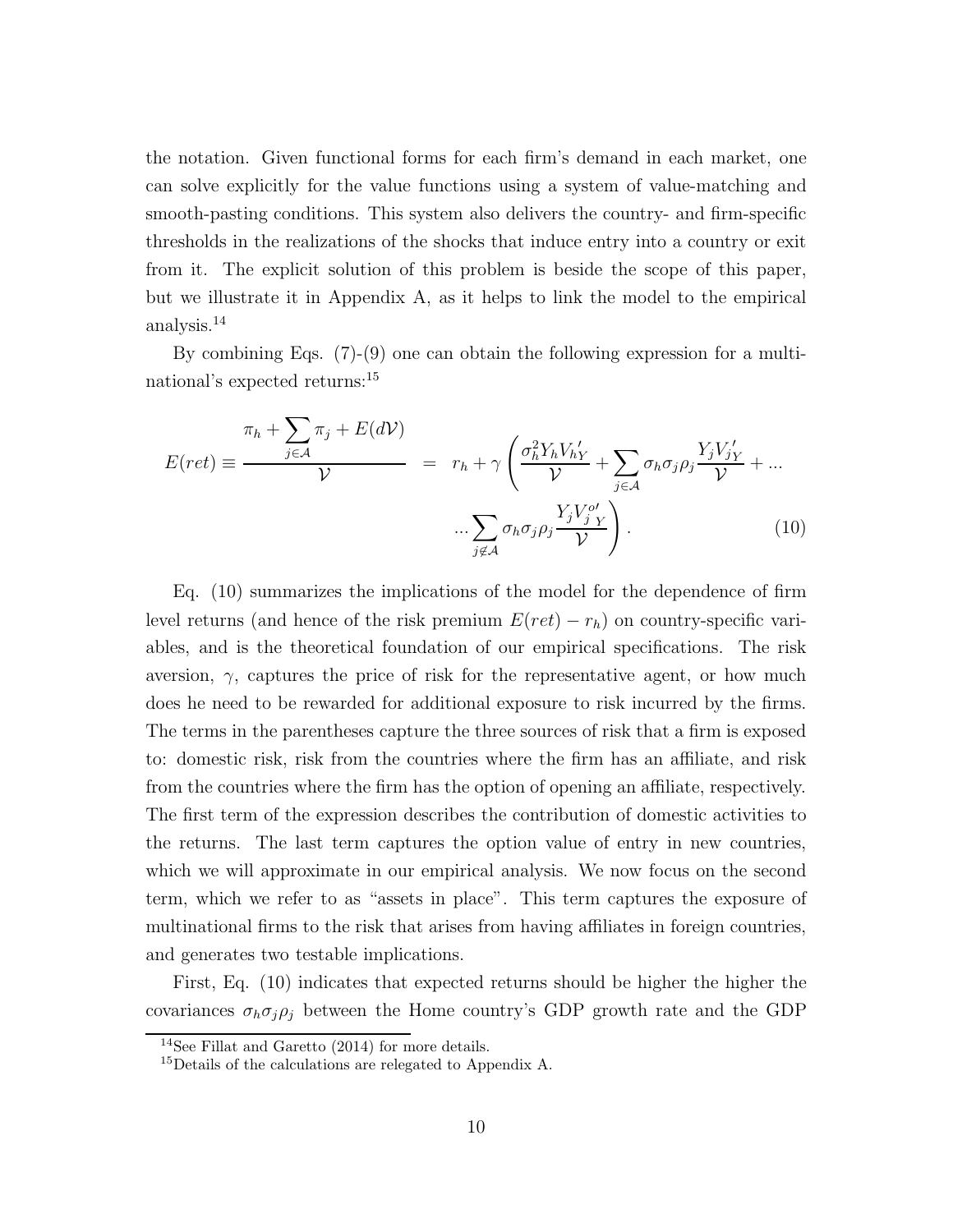the notation. Given functional forms for each firm's demand in each market, one can solve explicitly for the value functions using a system of value-matching and smooth-pasting conditions. This system also delivers the country- and firm-specific thresholds in the realizations of the shocks that induce entry into a country or exit from it. The explicit solution of this problem is beside the scope of this paper, but we illustrate it in Appendix A, as it helps to link the model to the empirical analysis.<sup>14</sup>

By combining Eqs. (7)-(9) one can obtain the following expression for a multinational's expected returns:<sup>15</sup>

$$
E(ret) \equiv \frac{\pi_h + \sum_{j \in \mathcal{A}} \pi_j + E(d\mathcal{V})}{\mathcal{V}} = r_h + \gamma \left( \frac{\sigma_h^2 Y_h V_{hY}'}{\mathcal{V}} + \sum_{j \in \mathcal{A}} \sigma_h \sigma_j \rho_j \frac{Y_j V_{jY}'}{\mathcal{V}} + \dots \right) \dots \sum_{j \notin \mathcal{A}} \sigma_h \sigma_j \rho_j \frac{Y_j V_{jY}'}{\mathcal{V}} \right). \tag{10}
$$

Eq. (10) summarizes the implications of the model for the dependence of firm level returns (and hence of the risk premium  $E(ret) - r<sub>h</sub>$ ) on country-specific variables, and is the theoretical foundation of our empirical specifications. The risk aversion,  $\gamma$ , captures the price of risk for the representative agent, or how much does he need to be rewarded for additional exposure to risk incurred by the firms. The terms in the parentheses capture the three sources of risk that a firm is exposed to: domestic risk, risk from the countries where the firm has an affiliate, and risk from the countries where the firm has the option of opening an affiliate, respectively. The first term of the expression describes the contribution of domestic activities to the returns. The last term captures the option value of entry in new countries, which we will approximate in our empirical analysis. We now focus on the second term, which we refer to as "assets in place". This term captures the exposure of multinational firms to the risk that arises from having affiliates in foreign countries, and generates two testable implications.

First, Eq. (10) indicates that expected returns should be higher the higher the covariances  $\sigma_h \sigma_j \rho_j$  between the Home country's GDP growth rate and the GDP

<sup>14</sup>See Fillat and Garetto (2014) for more details.

<sup>&</sup>lt;sup>15</sup>Details of the calculations are relegated to Appendix A.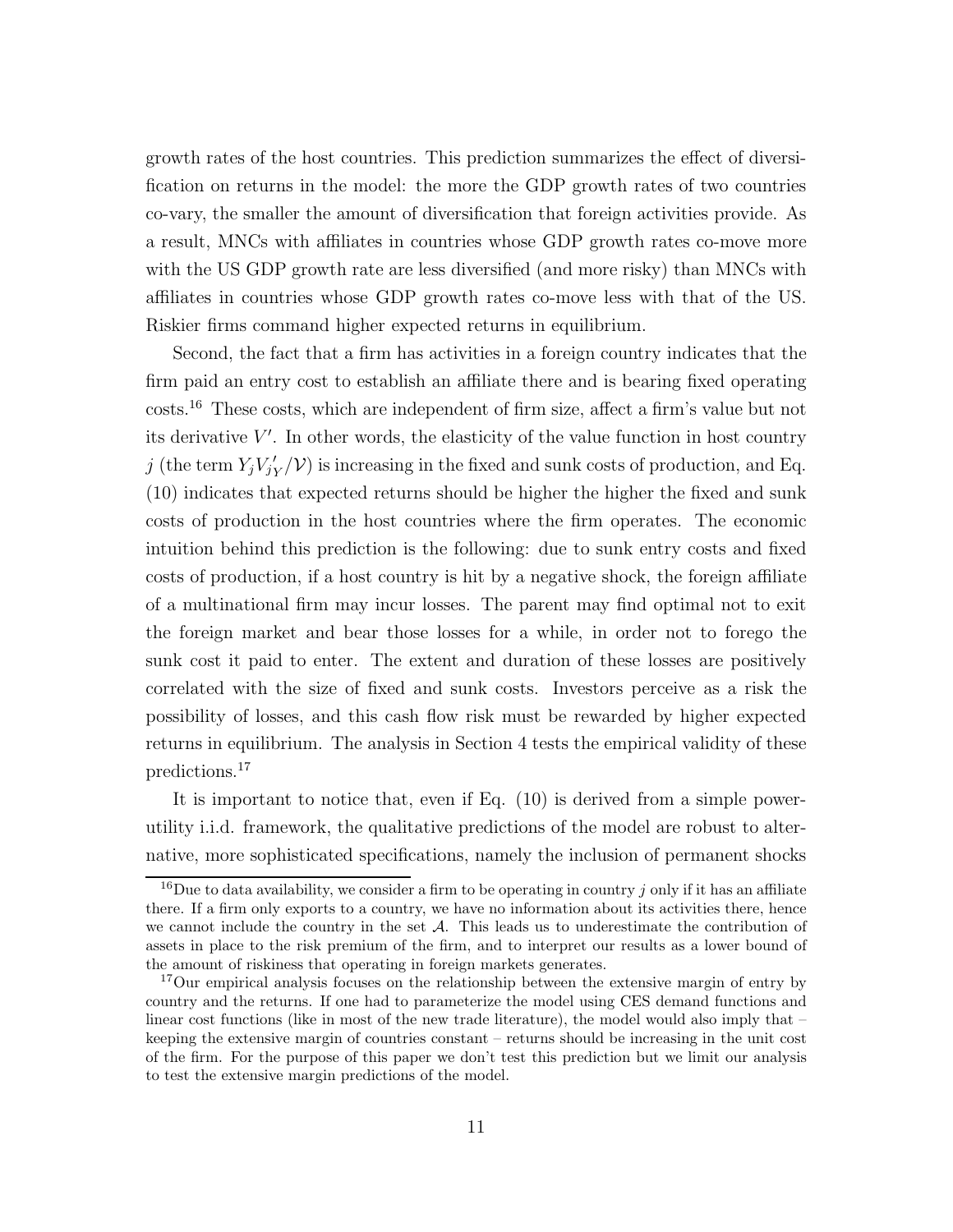growth rates of the host countries. This prediction summarizes the effect of diversification on returns in the model: the more the GDP growth rates of two countries co-vary, the smaller the amount of diversification that foreign activities provide. As a result, MNCs with affiliates in countries whose GDP growth rates co-move more with the US GDP growth rate are less diversified (and more risky) than MNCs with affiliates in countries whose GDP growth rates co-move less with that of the US. Riskier firms command higher expected returns in equilibrium.

Second, the fact that a firm has activities in a foreign country indicates that the firm paid an entry cost to establish an affiliate there and is bearing fixed operating costs.<sup>16</sup> These costs, which are independent of firm size, affect a firm's value but not its derivative  $V'$ . In other words, the elasticity of the value function in host country j (the term  $Y_j V'_{j}$  $Y(Y|Y)$  is increasing in the fixed and sunk costs of production, and Eq. (10) indicates that expected returns should be higher the higher the fixed and sunk costs of production in the host countries where the firm operates. The economic intuition behind this prediction is the following: due to sunk entry costs and fixed costs of production, if a host country is hit by a negative shock, the foreign affiliate of a multinational firm may incur losses. The parent may find optimal not to exit the foreign market and bear those losses for a while, in order not to forego the sunk cost it paid to enter. The extent and duration of these losses are positively correlated with the size of fixed and sunk costs. Investors perceive as a risk the possibility of losses, and this cash flow risk must be rewarded by higher expected returns in equilibrium. The analysis in Section 4 tests the empirical validity of these predictions.<sup>17</sup>

It is important to notice that, even if Eq. (10) is derived from a simple powerutility i.i.d. framework, the qualitative predictions of the model are robust to alternative, more sophisticated specifications, namely the inclusion of permanent shocks

<sup>&</sup>lt;sup>16</sup>Due to data availability, we consider a firm to be operating in country j only if it has an affiliate there. If a firm only exports to a country, we have no information about its activities there, hence we cannot include the country in the set  $A$ . This leads us to underestimate the contribution of assets in place to the risk premium of the firm, and to interpret our results as a lower bound of the amount of riskiness that operating in foreign markets generates.

<sup>&</sup>lt;sup>17</sup>Our empirical analysis focuses on the relationship between the extensive margin of entry by country and the returns. If one had to parameterize the model using CES demand functions and linear cost functions (like in most of the new trade literature), the model would also imply that – keeping the extensive margin of countries constant – returns should be increasing in the unit cost of the firm. For the purpose of this paper we don't test this prediction but we limit our analysis to test the extensive margin predictions of the model.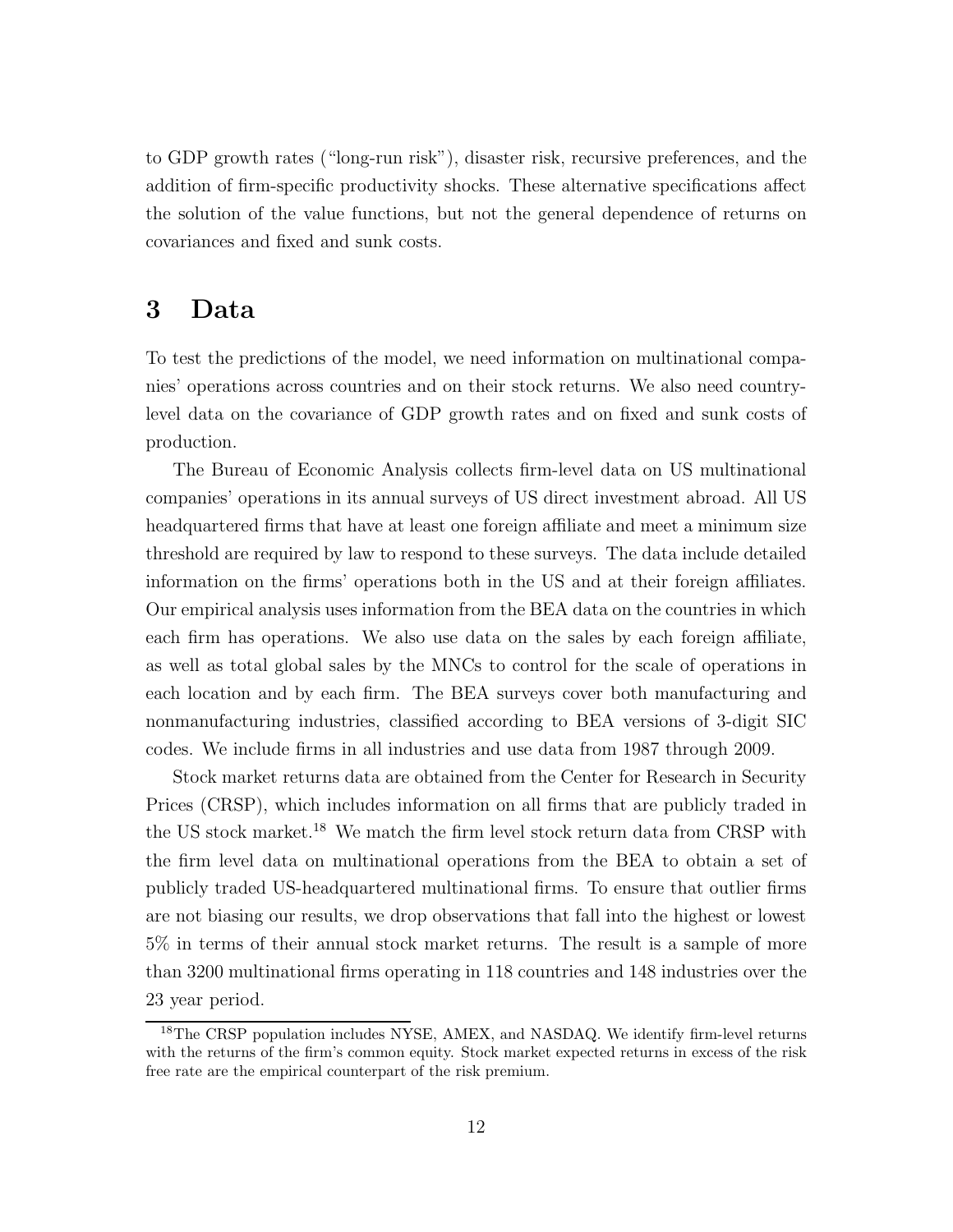to GDP growth rates ("long-run risk"), disaster risk, recursive preferences, and the addition of firm-specific productivity shocks. These alternative specifications affect the solution of the value functions, but not the general dependence of returns on covariances and fixed and sunk costs.

### 3 Data

To test the predictions of the model, we need information on multinational companies' operations across countries and on their stock returns. We also need countrylevel data on the covariance of GDP growth rates and on fixed and sunk costs of production.

The Bureau of Economic Analysis collects firm-level data on US multinational companies' operations in its annual surveys of US direct investment abroad. All US headquartered firms that have at least one foreign affiliate and meet a minimum size threshold are required by law to respond to these surveys. The data include detailed information on the firms' operations both in the US and at their foreign affiliates. Our empirical analysis uses information from the BEA data on the countries in which each firm has operations. We also use data on the sales by each foreign affiliate, as well as total global sales by the MNCs to control for the scale of operations in each location and by each firm. The BEA surveys cover both manufacturing and nonmanufacturing industries, classified according to BEA versions of 3-digit SIC codes. We include firms in all industries and use data from 1987 through 2009.

Stock market returns data are obtained from the Center for Research in Security Prices (CRSP), which includes information on all firms that are publicly traded in the US stock market.<sup>18</sup> We match the firm level stock return data from CRSP with the firm level data on multinational operations from the BEA to obtain a set of publicly traded US-headquartered multinational firms. To ensure that outlier firms are not biasing our results, we drop observations that fall into the highest or lowest 5% in terms of their annual stock market returns. The result is a sample of more than 3200 multinational firms operating in 118 countries and 148 industries over the 23 year period.

<sup>&</sup>lt;sup>18</sup>The CRSP population includes NYSE, AMEX, and NASDAQ. We identify firm-level returns with the returns of the firm's common equity. Stock market expected returns in excess of the risk free rate are the empirical counterpart of the risk premium.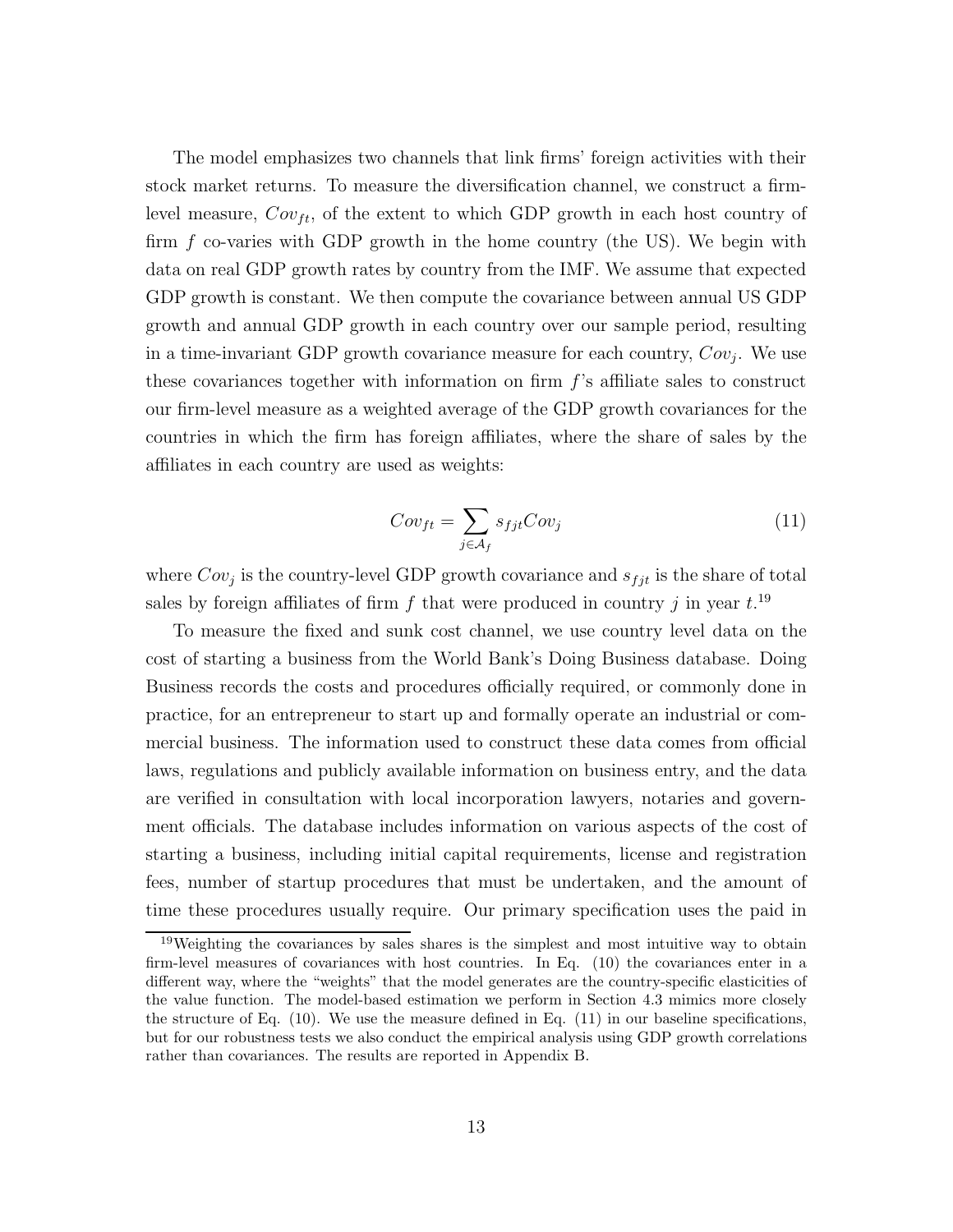The model emphasizes two channels that link firms' foreign activities with their stock market returns. To measure the diversification channel, we construct a firmlevel measure,  $Cov_{tt}$ , of the extent to which GDP growth in each host country of firm  $f$  co-varies with GDP growth in the home country (the US). We begin with data on real GDP growth rates by country from the IMF. We assume that expected GDP growth is constant. We then compute the covariance between annual US GDP growth and annual GDP growth in each country over our sample period, resulting in a time-invariant GDP growth covariance measure for each country,  $Cov_j$ . We use these covariances together with information on firm f's affiliate sales to construct our firm-level measure as a weighted average of the GDP growth covariances for the countries in which the firm has foreign affiliates, where the share of sales by the affiliates in each country are used as weights:

$$
Cov_{ft} = \sum_{j \in A_f} s_{fjt} Cov_j \tag{11}
$$

where  $Cov_j$  is the country-level GDP growth covariance and  $s_{fjt}$  is the share of total sales by foreign affiliates of firm  $f$  that were produced in country  $j$  in year  $t$ .<sup>19</sup>

To measure the fixed and sunk cost channel, we use country level data on the cost of starting a business from the World Bank's Doing Business database. Doing Business records the costs and procedures officially required, or commonly done in practice, for an entrepreneur to start up and formally operate an industrial or commercial business. The information used to construct these data comes from official laws, regulations and publicly available information on business entry, and the data are verified in consultation with local incorporation lawyers, notaries and government officials. The database includes information on various aspects of the cost of starting a business, including initial capital requirements, license and registration fees, number of startup procedures that must be undertaken, and the amount of time these procedures usually require. Our primary specification uses the paid in

 $19$ Weighting the covariances by sales shares is the simplest and most intuitive way to obtain firm-level measures of covariances with host countries. In Eq. (10) the covariances enter in a different way, where the "weights" that the model generates are the country-specific elasticities of the value function. The model-based estimation we perform in Section 4.3 mimics more closely the structure of Eq.  $(10)$ . We use the measure defined in Eq.  $(11)$  in our baseline specifications, but for our robustness tests we also conduct the empirical analysis using GDP growth correlations rather than covariances. The results are reported in Appendix B.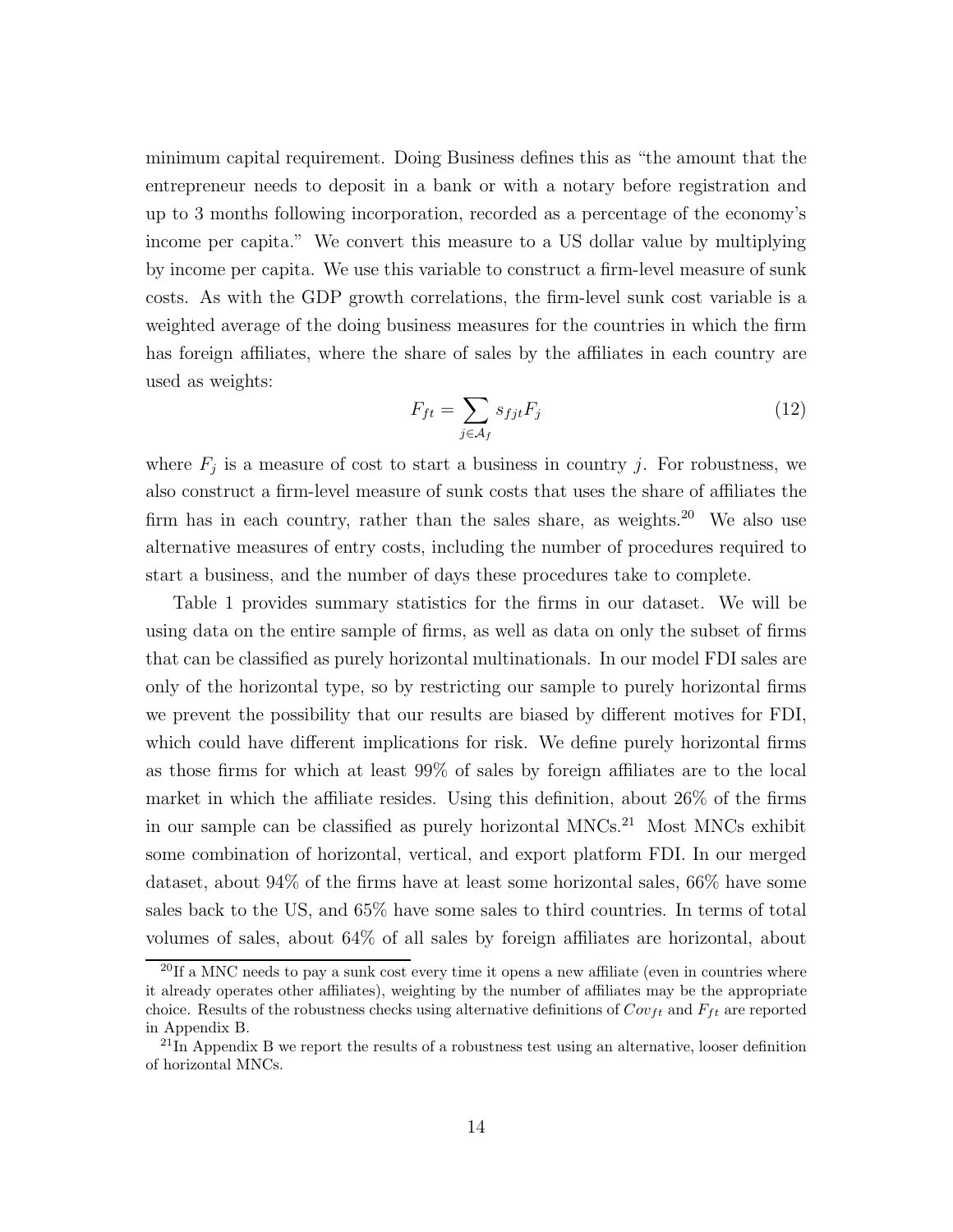minimum capital requirement. Doing Business defines this as "the amount that the entrepreneur needs to deposit in a bank or with a notary before registration and up to 3 months following incorporation, recorded as a percentage of the economy's income per capita." We convert this measure to a US dollar value by multiplying by income per capita. We use this variable to construct a firm-level measure of sunk costs. As with the GDP growth correlations, the firm-level sunk cost variable is a weighted average of the doing business measures for the countries in which the firm has foreign affiliates, where the share of sales by the affiliates in each country are used as weights:

$$
F_{ft} = \sum_{j \in \mathcal{A}_f} s_{fjt} F_j \tag{12}
$$

where  $F_j$  is a measure of cost to start a business in country j. For robustness, we also construct a firm-level measure of sunk costs that uses the share of affiliates the firm has in each country, rather than the sales share, as weights.<sup>20</sup> We also use alternative measures of entry costs, including the number of procedures required to start a business, and the number of days these procedures take to complete.

Table 1 provides summary statistics for the firms in our dataset. We will be using data on the entire sample of firms, as well as data on only the subset of firms that can be classified as purely horizontal multinationals. In our model FDI sales are only of the horizontal type, so by restricting our sample to purely horizontal firms we prevent the possibility that our results are biased by different motives for FDI, which could have different implications for risk. We define purely horizontal firms as those firms for which at least 99% of sales by foreign affiliates are to the local market in which the affiliate resides. Using this definition, about 26% of the firms in our sample can be classified as purely horizontal MNCs.<sup>21</sup> Most MNCs exhibit some combination of horizontal, vertical, and export platform FDI. In our merged dataset, about 94% of the firms have at least some horizontal sales, 66% have some sales back to the US, and 65% have some sales to third countries. In terms of total volumes of sales, about 64% of all sales by foreign affiliates are horizontal, about

 ${}^{20}$ If a MNC needs to pay a sunk cost every time it opens a new affiliate (even in countries where it already operates other affiliates), weighting by the number of affiliates may be the appropriate choice. Results of the robustness checks using alternative definitions of  $Cov_{ft}$  and  $F_{ft}$  are reported in Appendix B.

 $^{21}$ In Appendix B we report the results of a robustness test using an alternative, looser definition of horizontal MNCs.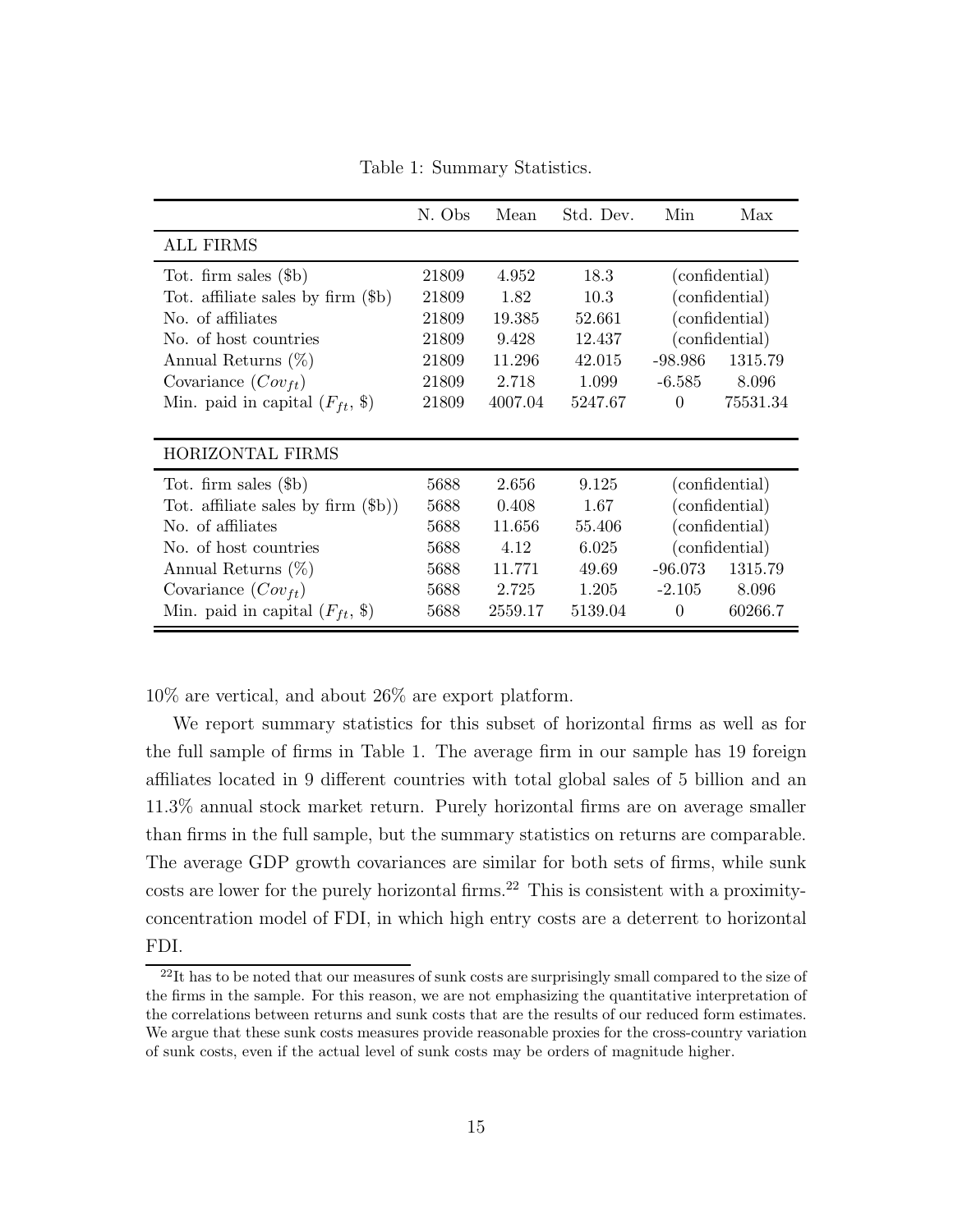|                                        | N. Obs | Mean    | Std. Dev. | Min      | Max            |
|----------------------------------------|--------|---------|-----------|----------|----------------|
| ALL FIRMS                              |        |         |           |          |                |
| Tot. firm sales $(\$b)$                | 21809  | 4.952   | 18.3      |          | (confidential) |
| Tot. affiliate sales by firm (\$b)     | 21809  | 1.82    | 10.3      |          | (confidential) |
| No. of affiliates                      | 21809  | 19.385  | 52.661    |          | (confidential) |
| No. of host countries                  | 21809  | 9.428   | 12.437    |          | (confidential) |
| Annual Returns $(\%)$                  | 21809  | 11.296  | 42.015    | -98.986  | 1315.79        |
| Covariance $(Cov_{ft})$                | 21809  | 2.718   | 1.099     | $-6.585$ | 8.096          |
| Min. paid in capital $(F_{ft}, \, \$)$ | 21809  | 4007.04 | 5247.67   | $\Omega$ | 75531.34       |
|                                        |        |         |           |          |                |
| HORIZONTAL FIRMS                       |        |         |           |          |                |
| Tot. firm sales $(\$b)$                | 5688   | 2.656   | 9.125     |          | (confidential) |
| Tot. affiliate sales by firm $(\$b))$  | 5688   | 0.408   | 1.67      |          | (confidential) |
| No. of affiliates                      | 5688   | 11.656  | 55.406    |          | (confidential) |
| No. of host countries                  | 5688   | 4.12    | 6.025     |          | (confidential) |
| Annual Returns $(\%)$                  | 5688   | 11.771  | 49.69     | -96.073  | 1315.79        |
| Covariance $(Cov_{ft})$                | 5688   | 2.725   | 1.205     | $-2.105$ | 8.096          |
| Min. paid in capital $(F_{ft}, \, \$)$ | 5688   | 2559.17 | 5139.04   | $\theta$ | 60266.7        |

Table 1: Summary Statistics.

10% are vertical, and about 26% are export platform.

We report summary statistics for this subset of horizontal firms as well as for the full sample of firms in Table 1. The average firm in our sample has 19 foreign affiliates located in 9 different countries with total global sales of 5 billion and an 11.3% annual stock market return. Purely horizontal firms are on average smaller than firms in the full sample, but the summary statistics on returns are comparable. The average GDP growth covariances are similar for both sets of firms, while sunk costs are lower for the purely horizontal firms.<sup>22</sup> This is consistent with a proximityconcentration model of FDI, in which high entry costs are a deterrent to horizontal FDI.

<sup>&</sup>lt;sup>22</sup>It has to be noted that our measures of sunk costs are surprisingly small compared to the size of the firms in the sample. For this reason, we are not emphasizing the quantitative interpretation of the correlations between returns and sunk costs that are the results of our reduced form estimates. We argue that these sunk costs measures provide reasonable proxies for the cross-country variation of sunk costs, even if the actual level of sunk costs may be orders of magnitude higher.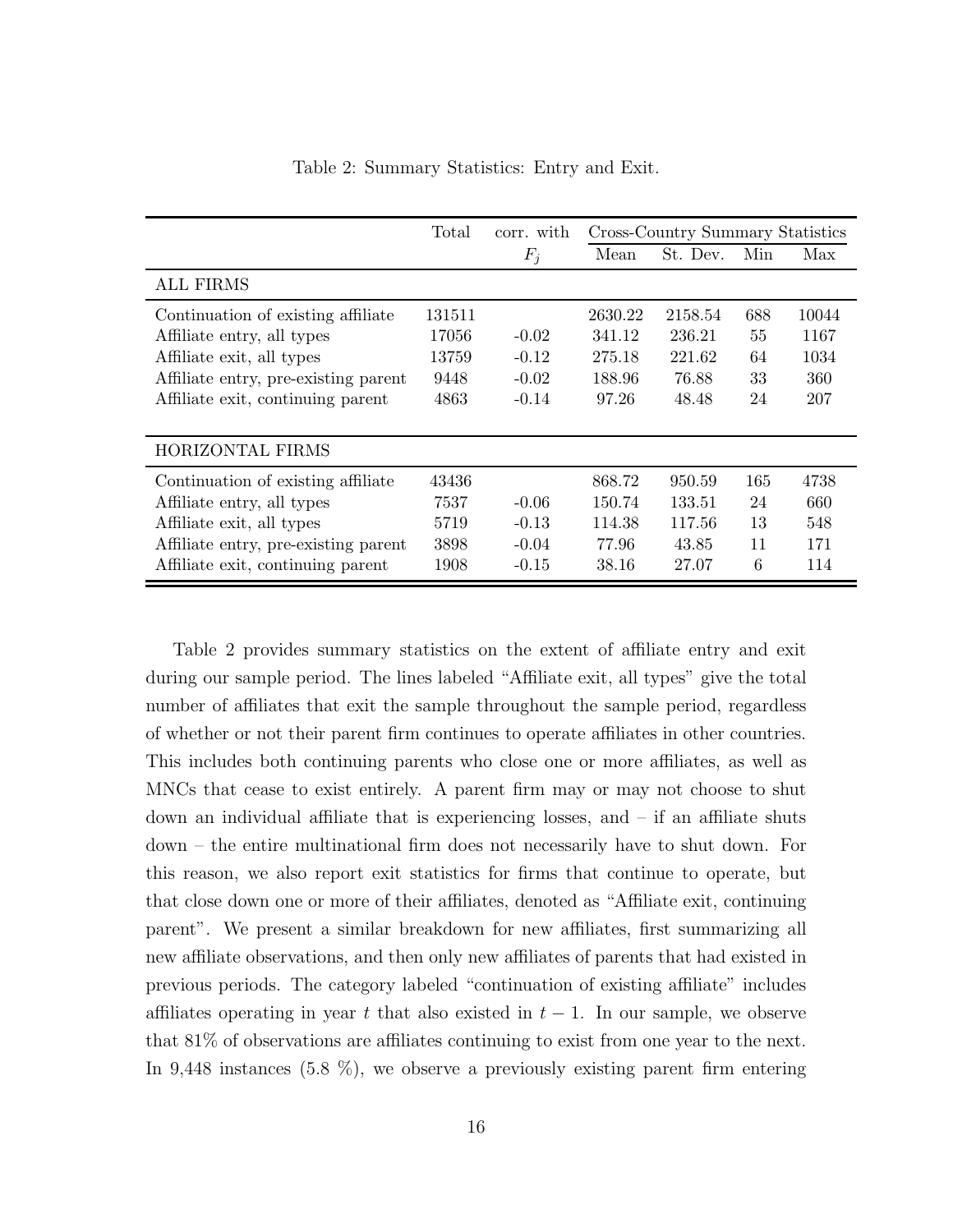|                                      | Total  | corr. with |         | Cross-Country Summary Statistics |     |       |
|--------------------------------------|--------|------------|---------|----------------------------------|-----|-------|
|                                      |        | $F_j$      | Mean    | St. Dev.                         | Min | Max   |
| <b>ALL FIRMS</b>                     |        |            |         |                                  |     |       |
| Continuation of existing affiliate   | 131511 |            | 2630.22 | 2158.54                          | 688 | 10044 |
| Affiliate entry, all types           | 17056  | $-0.02$    | 341.12  | 236.21                           | 55  | 1167  |
| Affiliate exit, all types            | 13759  | $-0.12$    | 275.18  | 221.62                           | 64  | 1034  |
| Affiliate entry, pre-existing parent | 9448   | $-0.02$    | 188.96  | 76.88                            | 33  | 360   |
| Affiliate exit, continuing parent    | 4863   | $-0.14$    | 97.26   | 48.48                            | 24  | 207   |
|                                      |        |            |         |                                  |     |       |
| HORIZONTAL FIRMS                     |        |            |         |                                  |     |       |
| Continuation of existing affiliate   | 43436  |            | 868.72  | 950.59                           | 165 | 4738  |
| Affiliate entry, all types           | 7537   | $-0.06$    | 150.74  | 133.51                           | 24  | 660   |
| Affiliate exit, all types            | 5719   | $-0.13$    | 114.38  | 117.56                           | 13  | 548   |
| Affiliate entry, pre-existing parent | 3898   | $-0.04$    | 77.96   | 43.85                            | 11  | 171   |
| Affiliate exit, continuing parent    | 1908   | $-0.15$    | 38.16   | 27.07                            | 6   | 114   |

Table 2: Summary Statistics: Entry and Exit.

Table 2 provides summary statistics on the extent of affiliate entry and exit during our sample period. The lines labeled "Affiliate exit, all types" give the total number of affiliates that exit the sample throughout the sample period, regardless of whether or not their parent firm continues to operate affiliates in other countries. This includes both continuing parents who close one or more affiliates, as well as MNCs that cease to exist entirely. A parent firm may or may not choose to shut down an individual affiliate that is experiencing losses, and – if an affiliate shuts down – the entire multinational firm does not necessarily have to shut down. For this reason, we also report exit statistics for firms that continue to operate, but that close down one or more of their affiliates, denoted as "Affiliate exit, continuing parent". We present a similar breakdown for new affiliates, first summarizing all new affiliate observations, and then only new affiliates of parents that had existed in previous periods. The category labeled "continuation of existing affiliate" includes affiliates operating in year t that also existed in  $t-1$ . In our sample, we observe that 81% of observations are affiliates continuing to exist from one year to the next. In 9,448 instances (5.8 %), we observe a previously existing parent firm entering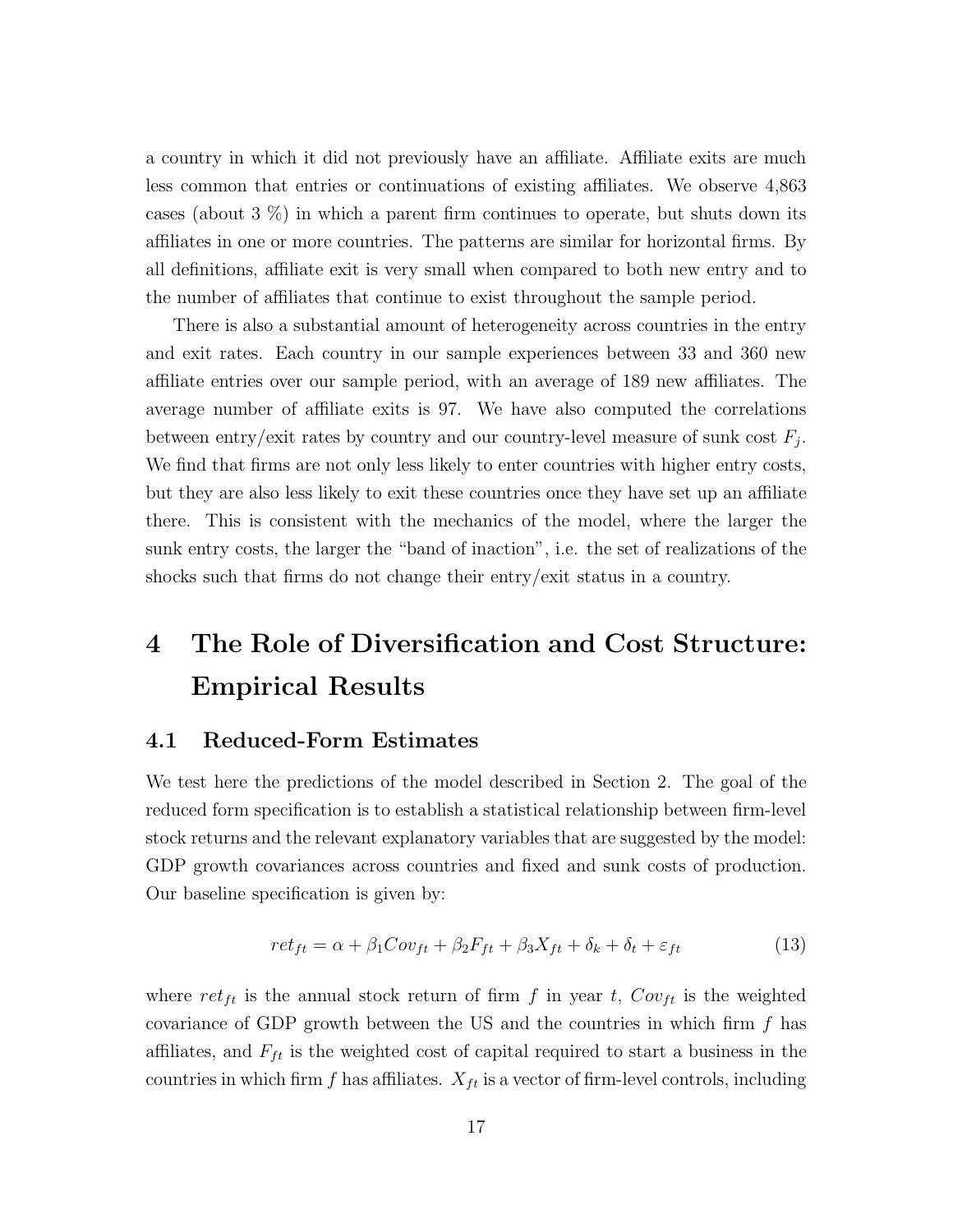a country in which it did not previously have an affiliate. Affiliate exits are much less common that entries or continuations of existing affiliates. We observe 4,863 cases (about  $3\%$ ) in which a parent firm continues to operate, but shuts down its affiliates in one or more countries. The patterns are similar for horizontal firms. By all definitions, affiliate exit is very small when compared to both new entry and to the number of affiliates that continue to exist throughout the sample period.

There is also a substantial amount of heterogeneity across countries in the entry and exit rates. Each country in our sample experiences between 33 and 360 new affiliate entries over our sample period, with an average of 189 new affiliates. The average number of affiliate exits is 97. We have also computed the correlations between entry/exit rates by country and our country-level measure of sunk cost  $F_j$ . We find that firms are not only less likely to enter countries with higher entry costs, but they are also less likely to exit these countries once they have set up an affiliate there. This is consistent with the mechanics of the model, where the larger the sunk entry costs, the larger the "band of inaction", i.e. the set of realizations of the shocks such that firms do not change their entry/exit status in a country.

## 4 The Role of Diversification and Cost Structure: Empirical Results

#### 4.1 Reduced-Form Estimates

We test here the predictions of the model described in Section 2. The goal of the reduced form specification is to establish a statistical relationship between firm-level stock returns and the relevant explanatory variables that are suggested by the model: GDP growth covariances across countries and fixed and sunk costs of production. Our baseline specification is given by:

$$
ret_{ft} = \alpha + \beta_1 Cov_{ft} + \beta_2 F_{ft} + \beta_3 X_{ft} + \delta_k + \delta_t + \varepsilon_{ft}
$$
\n(13)

where  $ret_{ft}$  is the annual stock return of firm f in year t,  $Cov_{ft}$  is the weighted covariance of GDP growth between the US and the countries in which firm  $f$  has affiliates, and  $F_{ft}$  is the weighted cost of capital required to start a business in the countries in which firm f has affiliated.  $X_{ft}$  is a vector of firm-level controls, including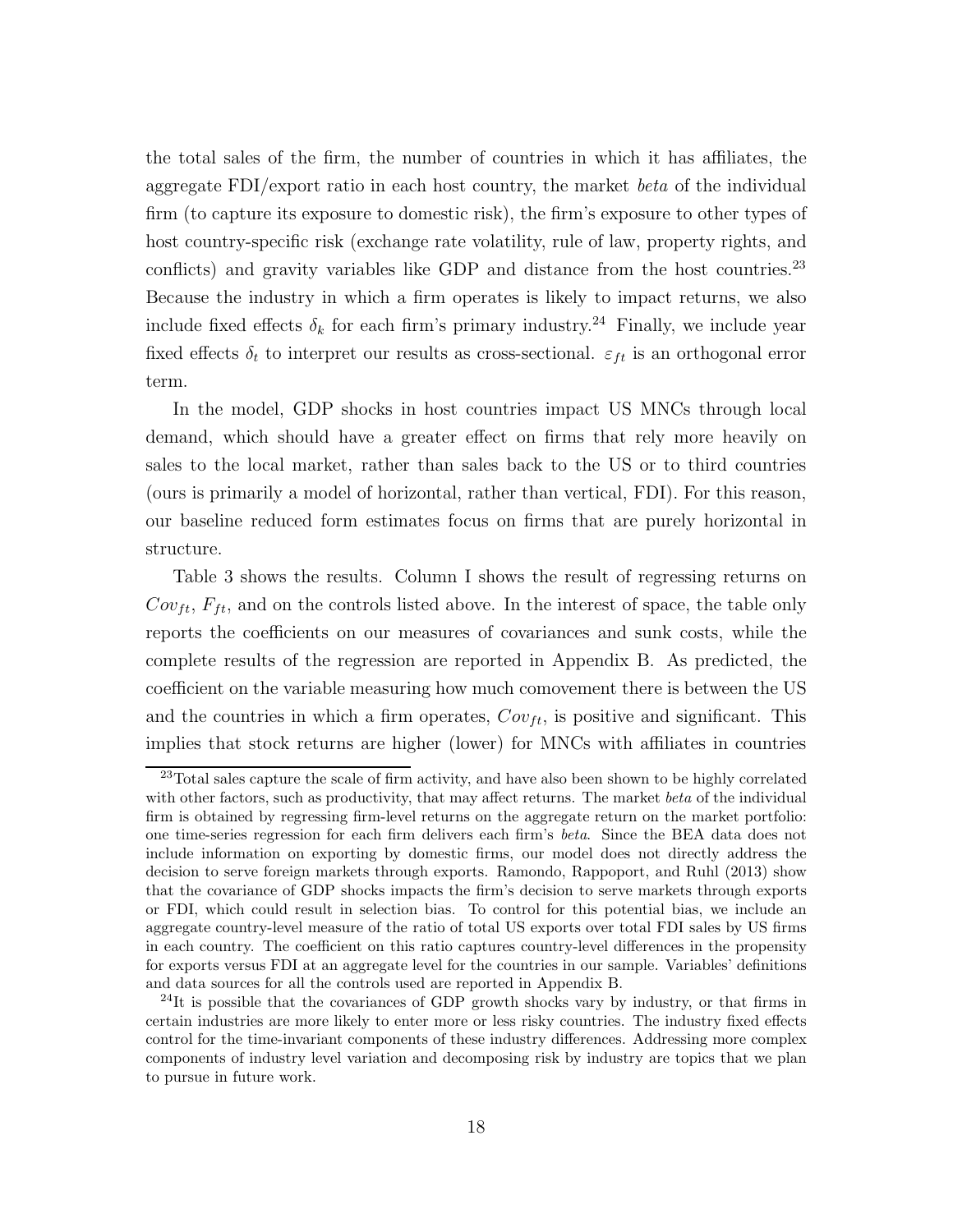the total sales of the firm, the number of countries in which it has affiliates, the aggregate FDI/export ratio in each host country, the market *beta* of the individual firm (to capture its exposure to domestic risk), the firm's exposure to other types of host country-specific risk (exchange rate volatility, rule of law, property rights, and conflicts) and gravity variables like GDP and distance from the host countries.<sup>23</sup> Because the industry in which a firm operates is likely to impact returns, we also include fixed effects  $\delta_k$  for each firm's primary industry.<sup>24</sup> Finally, we include year fixed effects  $\delta_t$  to interpret our results as cross-sectional.  $\varepsilon_{ft}$  is an orthogonal error term.

In the model, GDP shocks in host countries impact US MNCs through local demand, which should have a greater effect on firms that rely more heavily on sales to the local market, rather than sales back to the US or to third countries (ours is primarily a model of horizontal, rather than vertical, FDI). For this reason, our baseline reduced form estimates focus on firms that are purely horizontal in structure.

Table 3 shows the results. Column I shows the result of regressing returns on  $Cov_{ft}$ ,  $F_{ft}$ , and on the controls listed above. In the interest of space, the table only reports the coefficients on our measures of covariances and sunk costs, while the complete results of the regression are reported in Appendix B. As predicted, the coefficient on the variable measuring how much comovement there is between the US and the countries in which a firm operates,  $Cov_{ft}$ , is positive and significant. This implies that stock returns are higher (lower) for MNCs with affiliates in countries

<sup>&</sup>lt;sup>23</sup>Total sales capture the scale of firm activity, and have also been shown to be highly correlated with other factors, such as productivity, that may affect returns. The market beta of the individual firm is obtained by regressing firm-level returns on the aggregate return on the market portfolio: one time-series regression for each firm delivers each firm's beta. Since the BEA data does not include information on exporting by domestic firms, our model does not directly address the decision to serve foreign markets through exports. Ramondo, Rappoport, and Ruhl (2013) show that the covariance of GDP shocks impacts the firm's decision to serve markets through exports or FDI, which could result in selection bias. To control for this potential bias, we include an aggregate country-level measure of the ratio of total US exports over total FDI sales by US firms in each country. The coefficient on this ratio captures country-level differences in the propensity for exports versus FDI at an aggregate level for the countries in our sample. Variables' definitions and data sources for all the controls used are reported in Appendix B.

 $^{24}$ It is possible that the covariances of GDP growth shocks vary by industry, or that firms in certain industries are more likely to enter more or less risky countries. The industry fixed effects control for the time-invariant components of these industry differences. Addressing more complex components of industry level variation and decomposing risk by industry are topics that we plan to pursue in future work.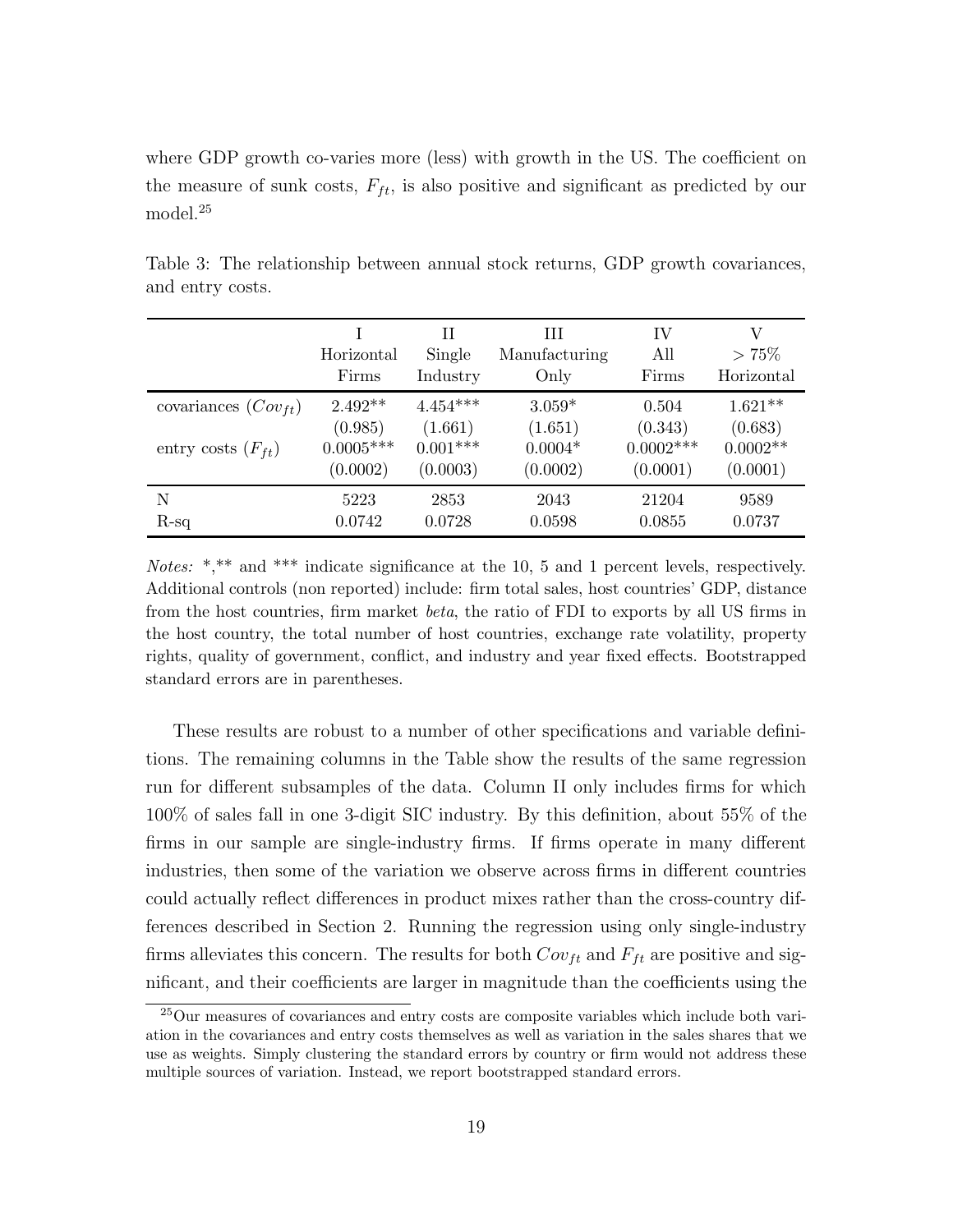where GDP growth co-varies more (less) with growth in the US. The coefficient on the measure of sunk costs,  $F_{ft}$ , is also positive and significant as predicted by our model.<sup>25</sup>

|                          |             | Н          | Ш             | IV          | V          |
|--------------------------|-------------|------------|---------------|-------------|------------|
|                          | Horizontal  | Single     | Manufacturing | All         | $> 75\%$   |
|                          | Firms       | Industry   | Only          | Firms       | Horizontal |
| covariances $(Cov_{ft})$ | $2.492**$   | $4.454***$ | $3.059*$      | 0.504       | $1.621**$  |
|                          | (0.985)     | (1.661)    | (1.651)       | (0.343)     | (0.683)    |
| entry costs $(F_{ft})$   | $0.0005***$ | $0.001***$ | $0.0004*$     | $0.0002***$ | $0.0002**$ |
|                          | (0.0002)    | (0.0003)   | (0.0002)      | (0.0001)    | (0.0001)   |
| N                        | 5223        | 2853       | 2043          | 21204       | 9589       |
| $R-sq$                   | 0.0742      | 0.0728     | 0.0598        | 0.0855      | 0.0737     |

Table 3: The relationship between annual stock returns, GDP growth covariances, and entry costs.

Notes: \*,\*\* and \*\*\* indicate significance at the 10, 5 and 1 percent levels, respectively. Additional controls (non reported) include: firm total sales, host countries' GDP, distance from the host countries, firm market beta, the ratio of FDI to exports by all US firms in the host country, the total number of host countries, exchange rate volatility, property rights, quality of government, conflict, and industry and year fixed effects. Bootstrapped standard errors are in parentheses.

These results are robust to a number of other specifications and variable definitions. The remaining columns in the Table show the results of the same regression run for different subsamples of the data. Column II only includes firms for which 100% of sales fall in one 3-digit SIC industry. By this definition, about 55% of the firms in our sample are single-industry firms. If firms operate in many different industries, then some of the variation we observe across firms in different countries could actually reflect differences in product mixes rather than the cross-country differences described in Section 2. Running the regression using only single-industry firms alleviates this concern. The results for both  $Cov_{ft}$  and  $F_{ft}$  are positive and significant, and their coefficients are larger in magnitude than the coefficients using the

<sup>&</sup>lt;sup>25</sup>Our measures of covariances and entry costs are composite variables which include both variation in the covariances and entry costs themselves as well as variation in the sales shares that we use as weights. Simply clustering the standard errors by country or firm would not address these multiple sources of variation. Instead, we report bootstrapped standard errors.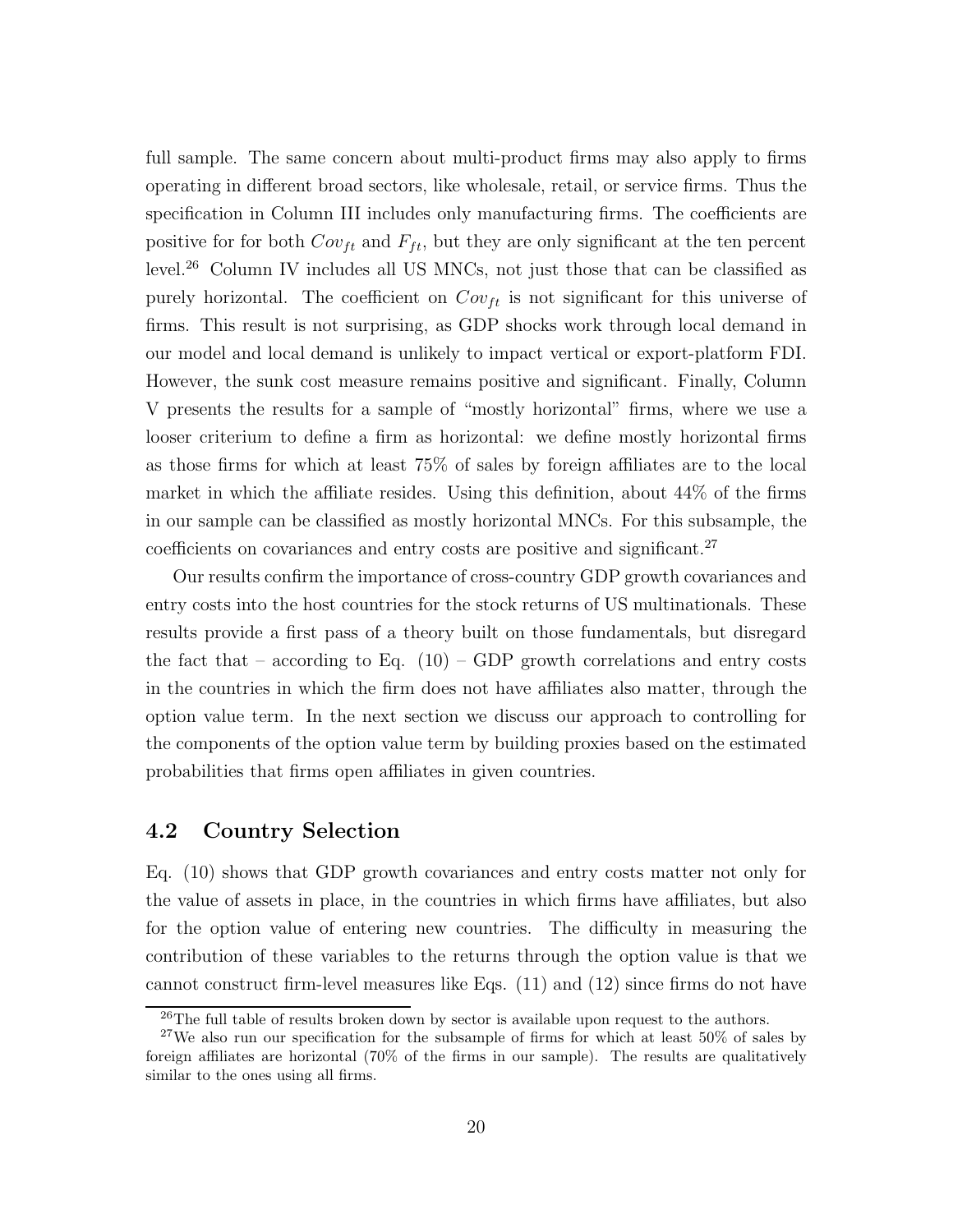full sample. The same concern about multi-product firms may also apply to firms operating in different broad sectors, like wholesale, retail, or service firms. Thus the specification in Column III includes only manufacturing firms. The coefficients are positive for for both  $Cov_{ft}$  and  $F_{ft}$ , but they are only significant at the ten percent level.<sup>26</sup> Column IV includes all US MNCs, not just those that can be classified as purely horizontal. The coefficient on  $Cov_{tt}$  is not significant for this universe of firms. This result is not surprising, as GDP shocks work through local demand in our model and local demand is unlikely to impact vertical or export-platform FDI. However, the sunk cost measure remains positive and significant. Finally, Column V presents the results for a sample of "mostly horizontal" firms, where we use a looser criterium to define a firm as horizontal: we define mostly horizontal firms as those firms for which at least 75% of sales by foreign affiliates are to the local market in which the affiliate resides. Using this definition, about 44% of the firms in our sample can be classified as mostly horizontal MNCs. For this subsample, the coefficients on covariances and entry costs are positive and significant.<sup>27</sup>

Our results confirm the importance of cross-country GDP growth covariances and entry costs into the host countries for the stock returns of US multinationals. These results provide a first pass of a theory built on those fundamentals, but disregard the fact that – according to Eq.  $(10)$  – GDP growth correlations and entry costs in the countries in which the firm does not have affiliates also matter, through the option value term. In the next section we discuss our approach to controlling for the components of the option value term by building proxies based on the estimated probabilities that firms open affiliates in given countries.

#### 4.2 Country Selection

Eq. (10) shows that GDP growth covariances and entry costs matter not only for the value of assets in place, in the countries in which firms have affiliates, but also for the option value of entering new countries. The difficulty in measuring the contribution of these variables to the returns through the option value is that we cannot construct firm-level measures like Eqs. (11) and (12) since firms do not have

 $^{26}$ The full table of results broken down by sector is available upon request to the authors.

<sup>&</sup>lt;sup>27</sup>We also run our specification for the subsample of firms for which at least 50% of sales by foreign affiliates are horizontal (70% of the firms in our sample). The results are qualitatively similar to the ones using all firms.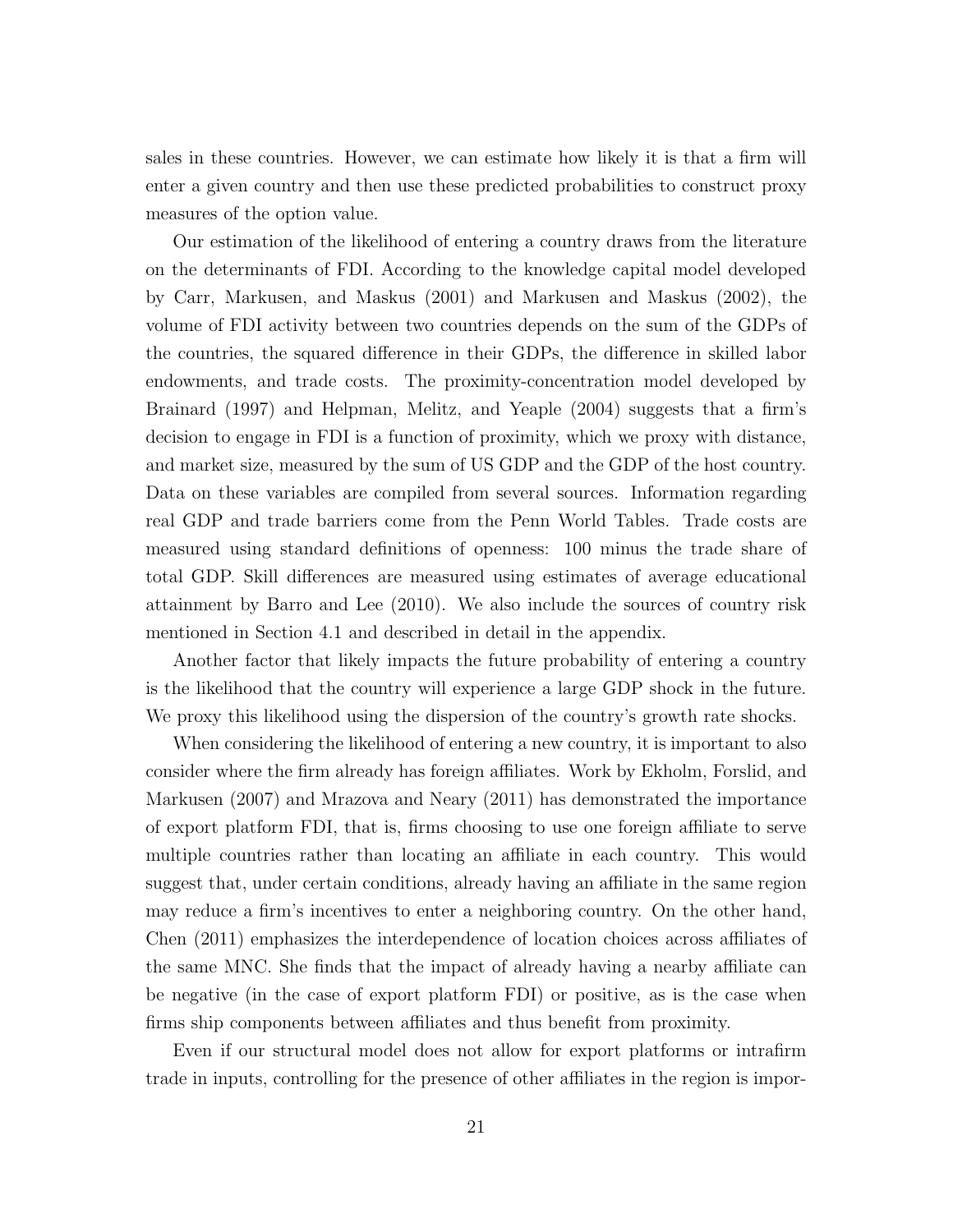sales in these countries. However, we can estimate how likely it is that a firm will enter a given country and then use these predicted probabilities to construct proxy measures of the option value.

Our estimation of the likelihood of entering a country draws from the literature on the determinants of FDI. According to the knowledge capital model developed by Carr, Markusen, and Maskus (2001) and Markusen and Maskus (2002), the volume of FDI activity between two countries depends on the sum of the GDPs of the countries, the squared difference in their GDPs, the difference in skilled labor endowments, and trade costs. The proximity-concentration model developed by Brainard (1997) and Helpman, Melitz, and Yeaple (2004) suggests that a firm's decision to engage in FDI is a function of proximity, which we proxy with distance, and market size, measured by the sum of US GDP and the GDP of the host country. Data on these variables are compiled from several sources. Information regarding real GDP and trade barriers come from the Penn World Tables. Trade costs are measured using standard definitions of openness: 100 minus the trade share of total GDP. Skill differences are measured using estimates of average educational attainment by Barro and Lee (2010). We also include the sources of country risk mentioned in Section 4.1 and described in detail in the appendix.

Another factor that likely impacts the future probability of entering a country is the likelihood that the country will experience a large GDP shock in the future. We proxy this likelihood using the dispersion of the country's growth rate shocks.

When considering the likelihood of entering a new country, it is important to also consider where the firm already has foreign affiliates. Work by Ekholm, Forslid, and Markusen (2007) and Mrazova and Neary (2011) has demonstrated the importance of export platform FDI, that is, firms choosing to use one foreign affiliate to serve multiple countries rather than locating an affiliate in each country. This would suggest that, under certain conditions, already having an affiliate in the same region may reduce a firm's incentives to enter a neighboring country. On the other hand, Chen (2011) emphasizes the interdependence of location choices across affiliates of the same MNC. She finds that the impact of already having a nearby affiliate can be negative (in the case of export platform FDI) or positive, as is the case when firms ship components between affiliates and thus benefit from proximity.

Even if our structural model does not allow for export platforms or intrafirm trade in inputs, controlling for the presence of other affiliates in the region is impor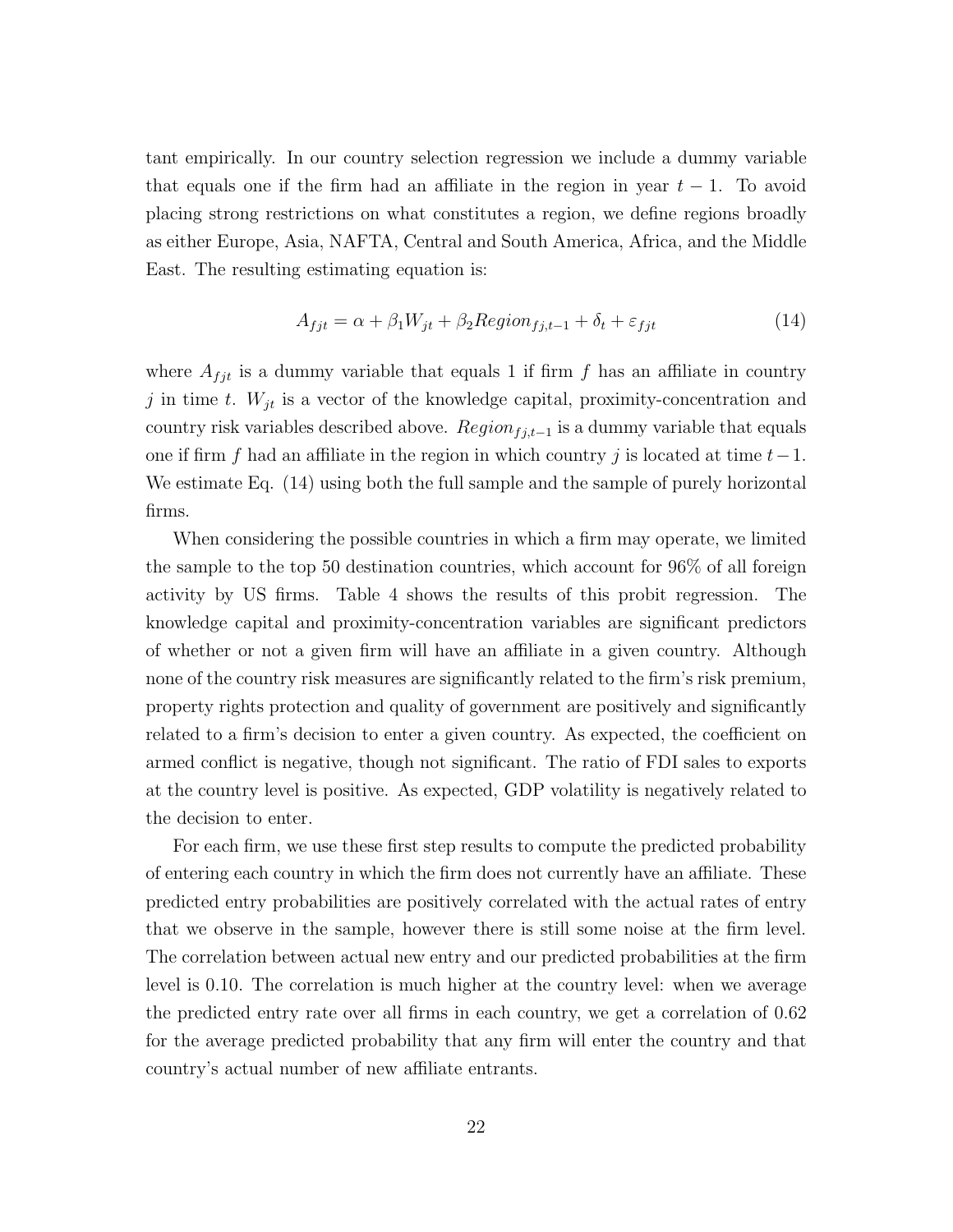tant empirically. In our country selection regression we include a dummy variable that equals one if the firm had an affiliate in the region in year  $t-1$ . To avoid placing strong restrictions on what constitutes a region, we define regions broadly as either Europe, Asia, NAFTA, Central and South America, Africa, and the Middle East. The resulting estimating equation is:

$$
A_{fjt} = \alpha + \beta_1 W_{jt} + \beta_2 Region_{fj,t-1} + \delta_t + \varepsilon_{fjt}
$$
\n(14)

where  $A_{fjt}$  is a dummy variable that equals 1 if firm f has an affiliate in country j in time t.  $W_{jt}$  is a vector of the knowledge capital, proximity-concentration and country risk variables described above.  $Region_{fj,t-1}$  is a dummy variable that equals one if firm f had an affiliate in the region in which country j is located at time  $t-1$ . We estimate Eq. (14) using both the full sample and the sample of purely horizontal firms.

When considering the possible countries in which a firm may operate, we limited the sample to the top 50 destination countries, which account for 96% of all foreign activity by US firms. Table 4 shows the results of this probit regression. The knowledge capital and proximity-concentration variables are significant predictors of whether or not a given firm will have an affiliate in a given country. Although none of the country risk measures are significantly related to the firm's risk premium, property rights protection and quality of government are positively and significantly related to a firm's decision to enter a given country. As expected, the coefficient on armed conflict is negative, though not significant. The ratio of FDI sales to exports at the country level is positive. As expected, GDP volatility is negatively related to the decision to enter.

For each firm, we use these first step results to compute the predicted probability of entering each country in which the firm does not currently have an affiliate. These predicted entry probabilities are positively correlated with the actual rates of entry that we observe in the sample, however there is still some noise at the firm level. The correlation between actual new entry and our predicted probabilities at the firm level is 0.10. The correlation is much higher at the country level: when we average the predicted entry rate over all firms in each country, we get a correlation of 0.62 for the average predicted probability that any firm will enter the country and that country's actual number of new affiliate entrants.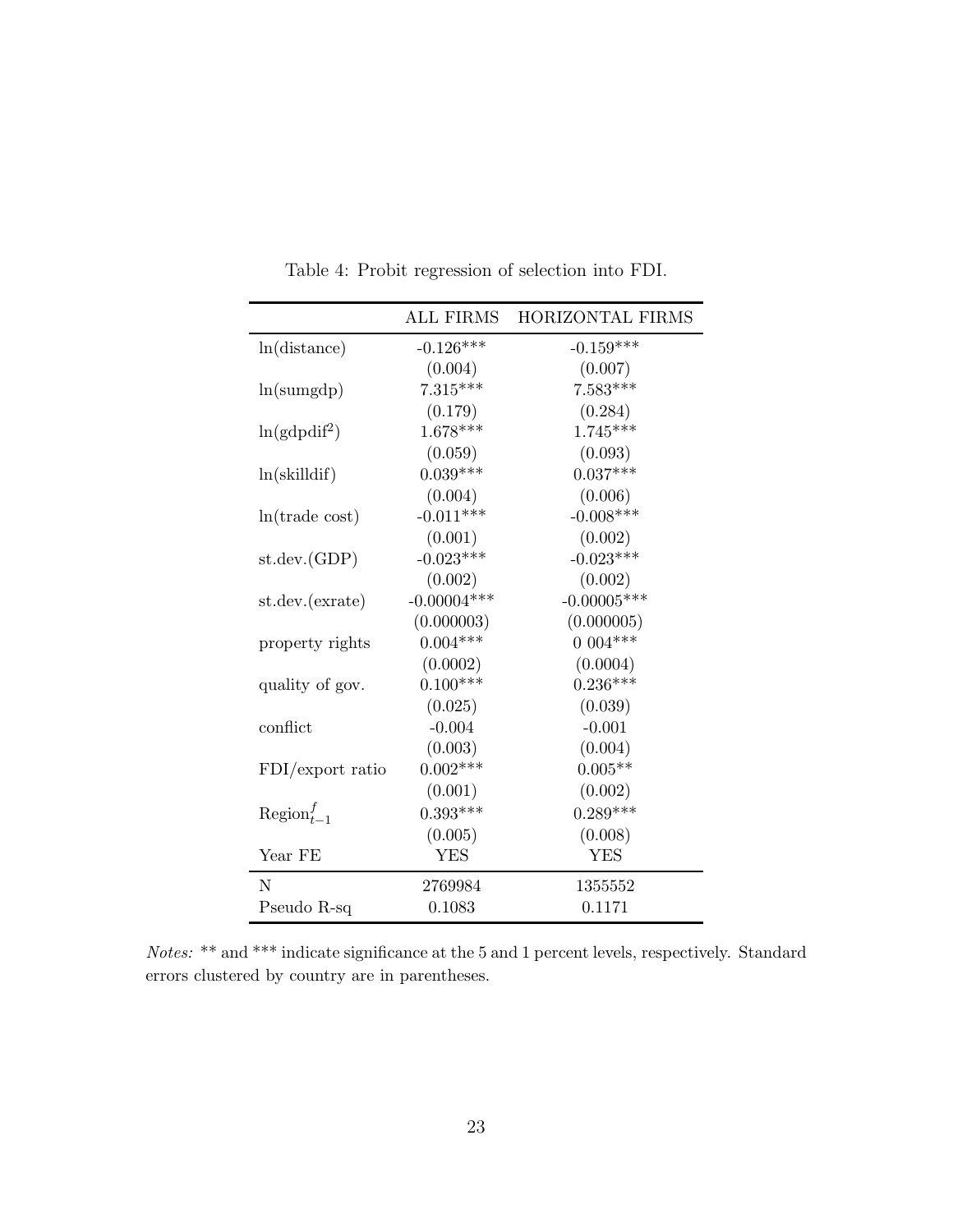|                              | ALL FIRMS     | HORIZONTAL FIRMS |
|------------------------------|---------------|------------------|
| ln(distance)                 | $-0.126***$   | $-0.159***$      |
|                              | (0.004)       | (0.007)          |
| ln(sumgdp)                   | $7.315***$    | $7.583***$       |
|                              | (0.179)       | (0.284)          |
| $ln(gdpdif^2)$               | $1.678***$    | $1.745***$       |
|                              | (0.059)       | (0.093)          |
| ln(skilldf)                  | $0.039***$    | $0.037***$       |
|                              | (0.004)       | (0.006)          |
| $ln(t \, \text{rad} \cos t)$ | $-0.011***$   | $-0.008***$      |
|                              | (0.001)       | (0.002)          |
| st.dev.(GDP)                 | $-0.023***$   | $-0.023***$      |
|                              | (0.002)       | (0.002)          |
| st.dev.(exrate)              | $-0.00004***$ | $-0.00005***$    |
|                              | (0.000003)    | (0.000005)       |
| property rights              | $0.004***$    | $0.004***$       |
|                              | (0.0002)      | (0.0004)         |
| quality of gov.              | $0.100***$    | $0.236***$       |
|                              | (0.025)       | (0.039)          |
| conflict                     | $-0.004$      | $-0.001$         |
|                              | (0.003)       | (0.004)          |
| FDI/export ratio             | $0.002***$    | $0.005**$        |
|                              | (0.001)       | (0.002)          |
| $\mathrm{Region}_{t-1}^f$    | $0.393***$    | $0.289***$       |
|                              | (0.005)       | (0.008)          |
| Year FE                      | <b>YES</b>    | <b>YES</b>       |
| Ν                            | 2769984       | 1355552          |
| Pseudo R-sq                  | 0.1083        | 0.1171           |

Table 4: Probit regression of selection into FDI.

Notes: \*\* and \*\*\* indicate significance at the 5 and 1 percent levels, respectively. Standard errors clustered by country are in parentheses.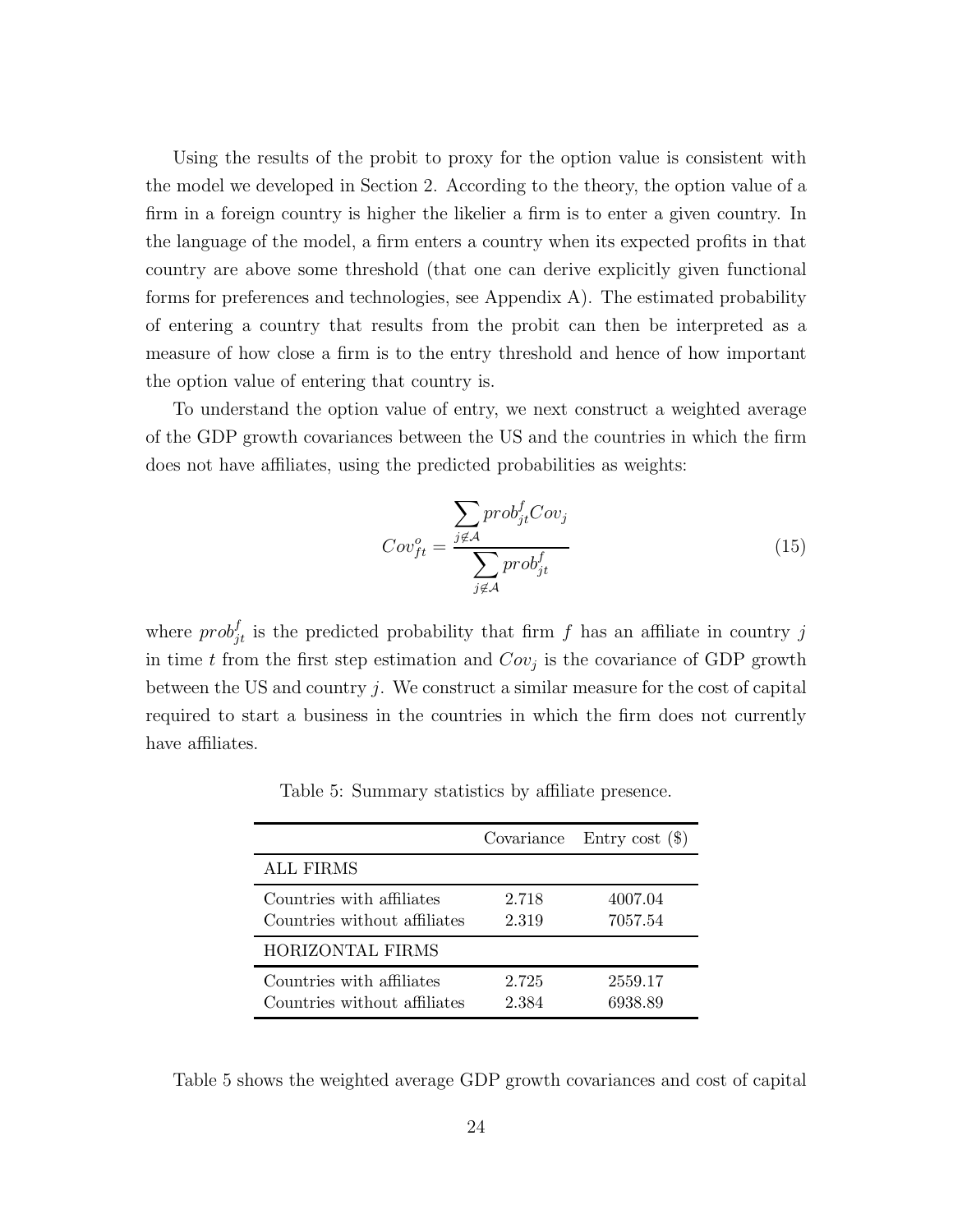Using the results of the probit to proxy for the option value is consistent with the model we developed in Section 2. According to the theory, the option value of a firm in a foreign country is higher the likelier a firm is to enter a given country. In the language of the model, a firm enters a country when its expected profits in that country are above some threshold (that one can derive explicitly given functional forms for preferences and technologies, see Appendix A). The estimated probability of entering a country that results from the probit can then be interpreted as a measure of how close a firm is to the entry threshold and hence of how important the option value of entering that country is.

To understand the option value of entry, we next construct a weighted average of the GDP growth covariances between the US and the countries in which the firm does not have affiliates, using the predicted probabilities as weights:

$$
Cov_{ft}^{o} = \frac{\sum_{j \notin A} prob_{jt}^{f} Cov_{j}}{\sum_{j \notin A} prob_{jt}^{f}}
$$
\n(15)

where  $prob_{jt}^f$  is the predicted probability that firm f has an affiliate in country j in time t from the first step estimation and  $Cov_j$  is the covariance of GDP growth between the US and country j. We construct a similar measure for the cost of capital required to start a business in the countries in which the firm does not currently have affiliates.

|                                                           |                | Covariance Entry cost $(\$)$ |
|-----------------------------------------------------------|----------------|------------------------------|
| ALL FIRMS                                                 |                |                              |
| Countries with affiliates<br>Countries without affiliates | 2.718<br>2.319 | 4007.04<br>7057.54           |
| HORIZONTAL FIRMS                                          |                |                              |
| Countries with affiliates<br>Countries without affiliates | 2.725<br>2.384 | 2559.17<br>6938.89           |

Table 5: Summary statistics by affiliate presence.

Table 5 shows the weighted average GDP growth covariances and cost of capital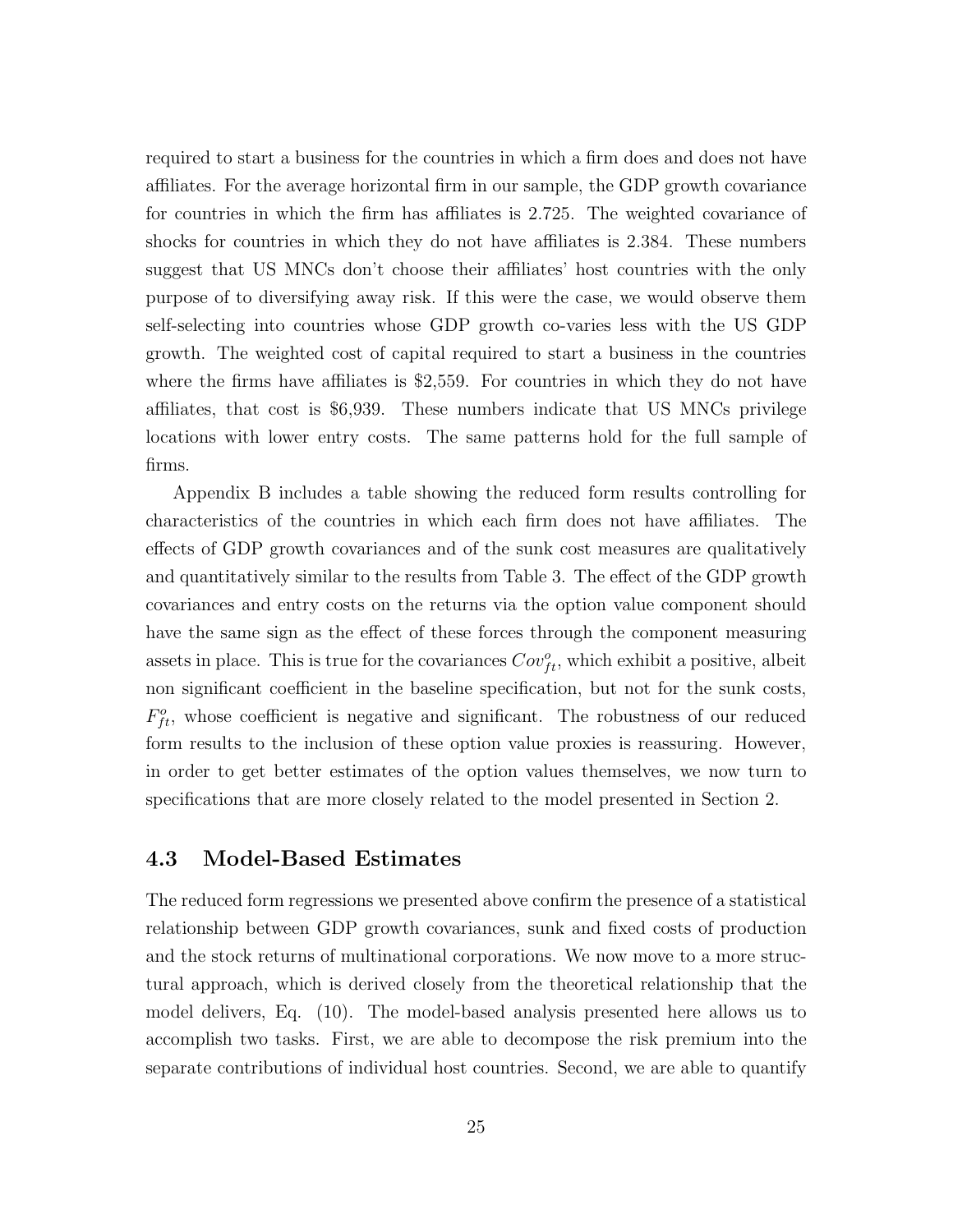required to start a business for the countries in which a firm does and does not have affiliates. For the average horizontal firm in our sample, the GDP growth covariance for countries in which the firm has affiliates is 2.725. The weighted covariance of shocks for countries in which they do not have affiliates is 2.384. These numbers suggest that US MNCs don't choose their affiliates' host countries with the only purpose of to diversifying away risk. If this were the case, we would observe them self-selecting into countries whose GDP growth co-varies less with the US GDP growth. The weighted cost of capital required to start a business in the countries where the firms have affiliates is \$2,559. For countries in which they do not have affiliates, that cost is \$6,939. These numbers indicate that US MNCs privilege locations with lower entry costs. The same patterns hold for the full sample of firms.

Appendix B includes a table showing the reduced form results controlling for characteristics of the countries in which each firm does not have affiliates. The effects of GDP growth covariances and of the sunk cost measures are qualitatively and quantitatively similar to the results from Table 3. The effect of the GDP growth covariances and entry costs on the returns via the option value component should have the same sign as the effect of these forces through the component measuring assets in place. This is true for the covariances  $Cov_{ft}^o$ , which exhibit a positive, albeit non significant coefficient in the baseline specification, but not for the sunk costs,  $F_{ft}^o$ , whose coefficient is negative and significant. The robustness of our reduced form results to the inclusion of these option value proxies is reassuring. However, in order to get better estimates of the option values themselves, we now turn to specifications that are more closely related to the model presented in Section 2.

#### 4.3 Model-Based Estimates

The reduced form regressions we presented above confirm the presence of a statistical relationship between GDP growth covariances, sunk and fixed costs of production and the stock returns of multinational corporations. We now move to a more structural approach, which is derived closely from the theoretical relationship that the model delivers, Eq. (10). The model-based analysis presented here allows us to accomplish two tasks. First, we are able to decompose the risk premium into the separate contributions of individual host countries. Second, we are able to quantify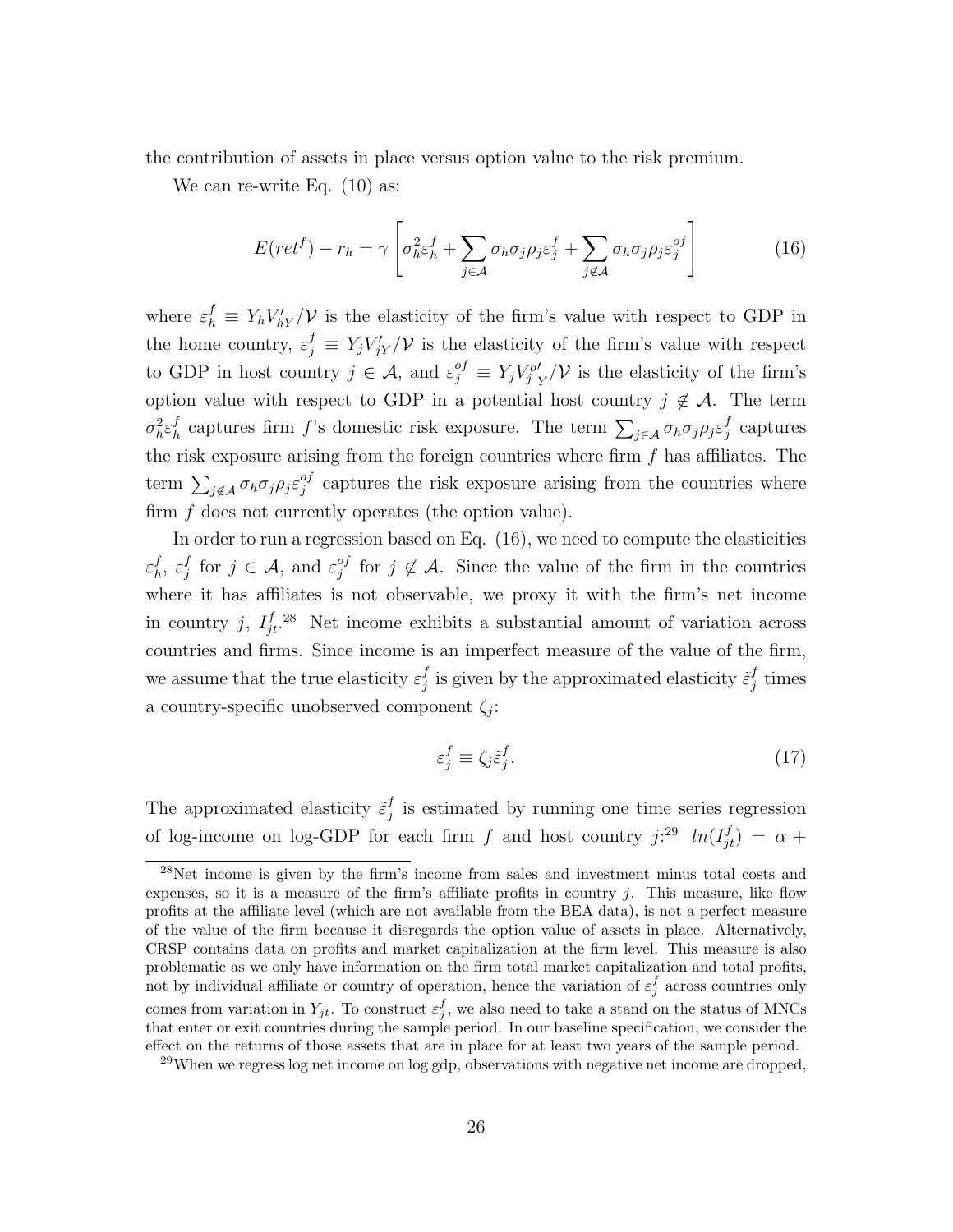the contribution of assets in place versus option value to the risk premium.

We can re-write Eq.  $(10)$  as:

$$
E(re^{f}) - r_h = \gamma \left[ \sigma_h^2 \varepsilon_h^f + \sum_{j \in \mathcal{A}} \sigma_h \sigma_j \rho_j \varepsilon_j^f + \sum_{j \notin \mathcal{A}} \sigma_h \sigma_j \rho_j \varepsilon_j^o f \right]
$$
(16)

where  $\varepsilon_h^f \equiv Y_h V_{hY}^{\prime}/\mathcal{V}$  is the elasticity of the firm's value with respect to GDP in the home country,  $\varepsilon_j^f \equiv Y_j V'_{jY}/\mathcal{V}$  is the elasticity of the firm's value with respect to GDP in host country  $j \in \mathcal{A}$ , and  $\varepsilon_j^{of} \equiv Y_j V_{j}^{of}$  $Y'_{Y}/\mathcal{V}$  is the elasticity of the firm's option value with respect to GDP in a potential host country  $j \notin \mathcal{A}$ . The term  $\sigma_h^2 \varepsilon_h^f$  $\int_h^f$  captures firm f's domestic risk exposure. The term  $\sum_{j\in\mathcal{A}} \sigma_h \sigma_j \rho_j \varepsilon_j^f$  $_j^J$  captures the risk exposure arising from the foreign countries where firm  $f$  has affiliates. The term  $\sum_{j \notin A} \sigma_h \sigma_j \rho_j \varepsilon_j^{of}$  $j<sup>0J</sup>$  captures the risk exposure arising from the countries where firm  $f$  does not currently operates (the option value).

In order to run a regression based on Eq. (16), we need to compute the elasticities  $\varepsilon_h^f$  $_{h}^{f},\ \varepsilon_{j}^{f}$  $_j^f$  for  $j \in \mathcal{A}$ , and  $\varepsilon_j^{of}$  $j_j^{\sigma}$  for  $j \notin \mathcal{A}$ . Since the value of the firm in the countries where it has affiliates is not observable, we proxy it with the firm's net income in country j,  $I_{jt}^f$ <sup>28</sup>. Net income exhibits a substantial amount of variation across countries and firms. Since income is an imperfect measure of the value of the firm, we assume that the true elasticity  $\varepsilon_j^f$  $_j^f$  is given by the approximated elasticity  $\tilde{\varepsilon}_j^f$  $j$  times a country-specific unobserved component  $\zeta_j$ :

$$
\varepsilon_j^f \equiv \zeta_j \tilde{\varepsilon}_j^f. \tag{17}
$$

The approximated elasticity  $\tilde{\varepsilon}_i^f$  $j_j$  is estimated by running one time series regression of log-income on log-GDP for each firm f and host country  $j$ :<sup>29</sup>  $ln(I_{jt}^f) = \alpha +$ 

<sup>28</sup>Net income is given by the firm's income from sales and investment minus total costs and expenses, so it is a measure of the firm's affiliate profits in country  $j$ . This measure, like flow profits at the affiliate level (which are not available from the BEA data), is not a perfect measure of the value of the firm because it disregards the option value of assets in place. Alternatively, CRSP contains data on profits and market capitalization at the firm level. This measure is also problematic as we only have information on the firm total market capitalization and total profits, not by individual affiliate or country of operation, hence the variation of  $\varepsilon_j^f$  across countries only comes from variation in  $Y_{jt}$ . To construct  $\varepsilon_j^f$ , we also need to take a stand on the status of MNCs that enter or exit countries during the sample period. In our baseline specification, we consider the effect on the returns of those assets that are in place for at least two years of the sample period.

 $^{29}$ When we regress log net income on log gdp, observations with negative net income are dropped,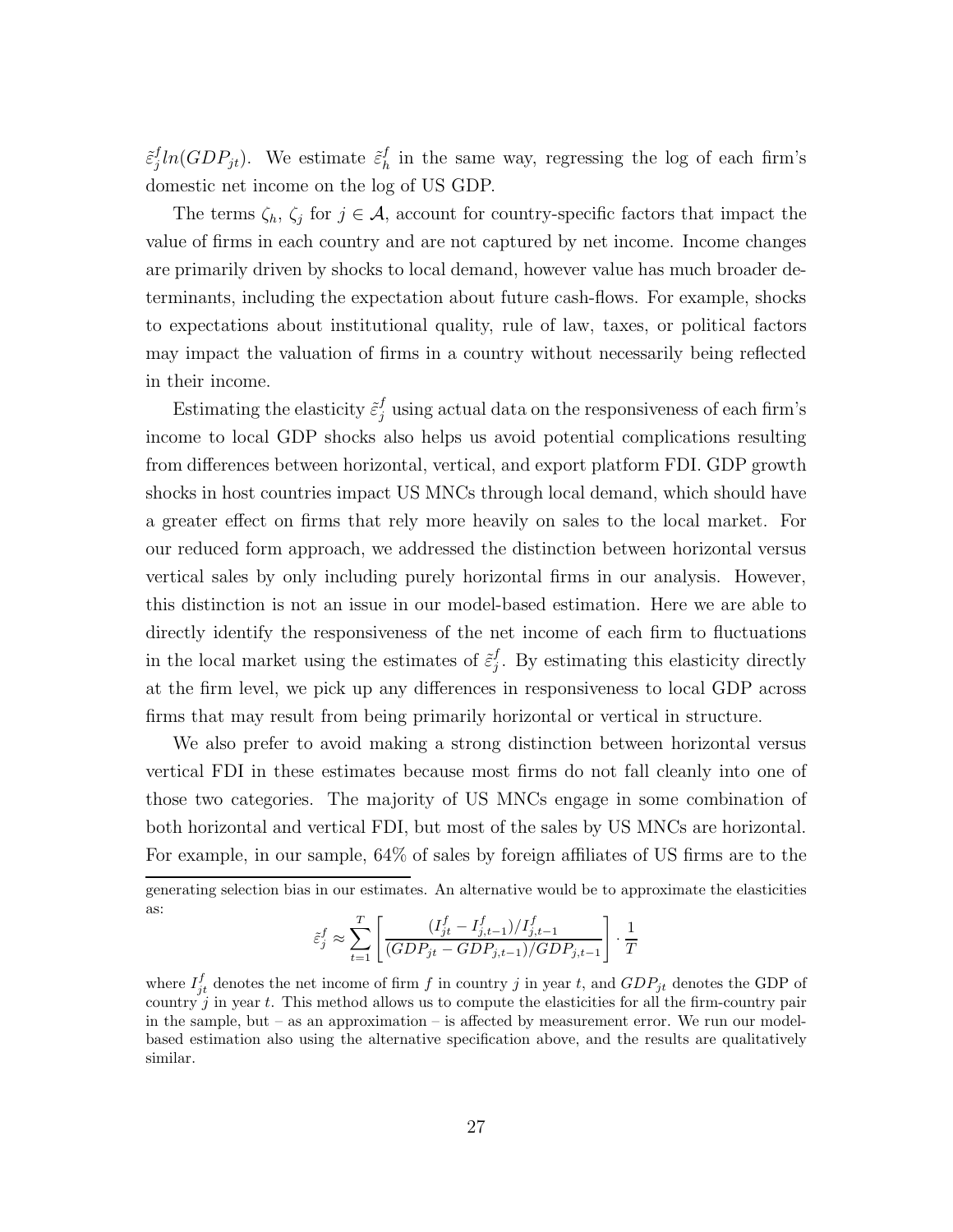$\tilde{\varepsilon}^f_i$  ${}_{j}^{f}ln(GDP_{jt})$ . We estimate  $\tilde{\varepsilon}_{h}^{f}$  $h_h$  in the same way, regressing the log of each firm's domestic net income on the log of US GDP.

The terms  $\zeta_h$ ,  $\zeta_j$  for  $j \in \mathcal{A}$ , account for country-specific factors that impact the value of firms in each country and are not captured by net income. Income changes are primarily driven by shocks to local demand, however value has much broader determinants, including the expectation about future cash-flows. For example, shocks to expectations about institutional quality, rule of law, taxes, or political factors may impact the valuation of firms in a country without necessarily being reflected in their income.

Estimating the elasticity  $\tilde{\varepsilon}_j^f$  using actual data on the responsiveness of each firm's income to local GDP shocks also helps us avoid potential complications resulting from differences between horizontal, vertical, and export platform FDI. GDP growth shocks in host countries impact US MNCs through local demand, which should have a greater effect on firms that rely more heavily on sales to the local market. For our reduced form approach, we addressed the distinction between horizontal versus vertical sales by only including purely horizontal firms in our analysis. However, this distinction is not an issue in our model-based estimation. Here we are able to directly identify the responsiveness of the net income of each firm to fluctuations in the local market using the estimates of  $\tilde{\varepsilon}_i^f$  $j$ . By estimating this elasticity directly at the firm level, we pick up any differences in responsiveness to local GDP across firms that may result from being primarily horizontal or vertical in structure.

We also prefer to avoid making a strong distinction between horizontal versus vertical FDI in these estimates because most firms do not fall cleanly into one of those two categories. The majority of US MNCs engage in some combination of both horizontal and vertical FDI, but most of the sales by US MNCs are horizontal. For example, in our sample, 64% of sales by foreign affiliates of US firms are to the

$$
\tilde{\varepsilon}_{j}^{f} \approx \sum_{t=1}^{T} \left[ \frac{(I_{jt}^{f} - I_{j,t-1}^{f})/I_{j,t-1}^{f}}{(GDP_{jt} - GDP_{j,t-1})/GDP_{j,t-1}} \right] \cdot \frac{1}{T}
$$

generating selection bias in our estimates. An alternative would be to approximate the elasticities as:

where  $I_{jt}^f$  denotes the net income of firm f in country j in year t, and  $GDP_{jt}$  denotes the GDP of country j in year  $t$ . This method allows us to compute the elasticities for all the firm-country pair in the sample, but – as an approximation – is affected by measurement error. We run our modelbased estimation also using the alternative specification above, and the results are qualitatively similar.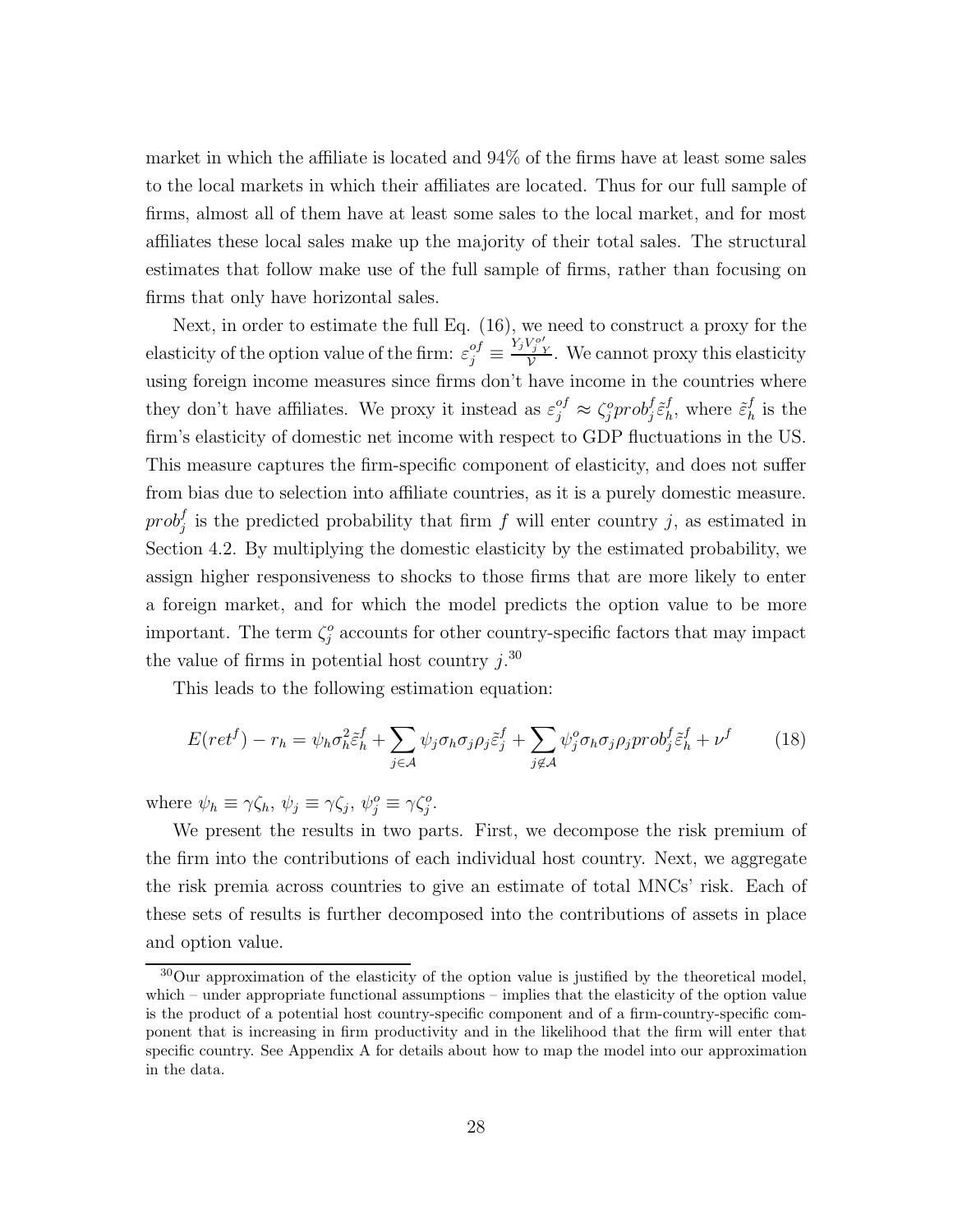market in which the affiliate is located and 94% of the firms have at least some sales to the local markets in which their affiliates are located. Thus for our full sample of firms, almost all of them have at least some sales to the local market, and for most affiliates these local sales make up the majority of their total sales. The structural estimates that follow make use of the full sample of firms, rather than focusing on firms that only have horizontal sales.

Next, in order to estimate the full Eq. (16), we need to construct a proxy for the elasticity of the option value of the firm:  $\varepsilon_j^{of} \equiv \frac{Y_j V_{j}^{of}}{\mathcal{V}}$  $\frac{y^2 y}{y^2}$ . We cannot proxy this elasticity using foreign income measures since firms don't have income in the countries where they don't have affiliates. We proxy it instead as  $\varepsilon_j^{of} \approx \zeta_j^o prob_j^f \tilde{\varepsilon}_h^f$  $\tilde{\varepsilon}_h^f$ , where  $\tilde{\varepsilon}_h^f$  $\frac{J}{h}$  is the firm's elasticity of domestic net income with respect to GDP fluctuations in the US. This measure captures the firm-specific component of elasticity, and does not suffer from bias due to selection into affiliate countries, as it is a purely domestic measure.  $prob_j^f$  is the predicted probability that firm f will enter country j, as estimated in Section 4.2. By multiplying the domestic elasticity by the estimated probability, we assign higher responsiveness to shocks to those firms that are more likely to enter a foreign market, and for which the model predicts the option value to be more important. The term  $\zeta_j^o$  accounts for other country-specific factors that may impact the value of firms in potential host country  $j$ <sup>30</sup>

This leads to the following estimation equation:

$$
E(re^{f}) - r_h = \psi_h \sigma_h^2 \tilde{\varepsilon}_h^f + \sum_{j \in \mathcal{A}} \psi_j \sigma_h \sigma_j \rho_j \tilde{\varepsilon}_j^f + \sum_{j \notin \mathcal{A}} \psi_j^o \sigma_h \sigma_j \rho_j \text{prob}_j^f \tilde{\varepsilon}_h^f + \nu^f \tag{18}
$$

where  $\psi_h \equiv \gamma \zeta_h$ ,  $\psi_j \equiv \gamma \zeta_j$ ,  $\psi_j^o \equiv \gamma \zeta_j^o$ .

We present the results in two parts. First, we decompose the risk premium of the firm into the contributions of each individual host country. Next, we aggregate the risk premia across countries to give an estimate of total MNCs' risk. Each of these sets of results is further decomposed into the contributions of assets in place and option value.

<sup>&</sup>lt;sup>30</sup>Our approximation of the elasticity of the option value is justified by the theoretical model, which – under appropriate functional assumptions – implies that the elasticity of the option value is the product of a potential host country-specific component and of a firm-country-specific component that is increasing in firm productivity and in the likelihood that the firm will enter that specific country. See Appendix A for details about how to map the model into our approximation in the data.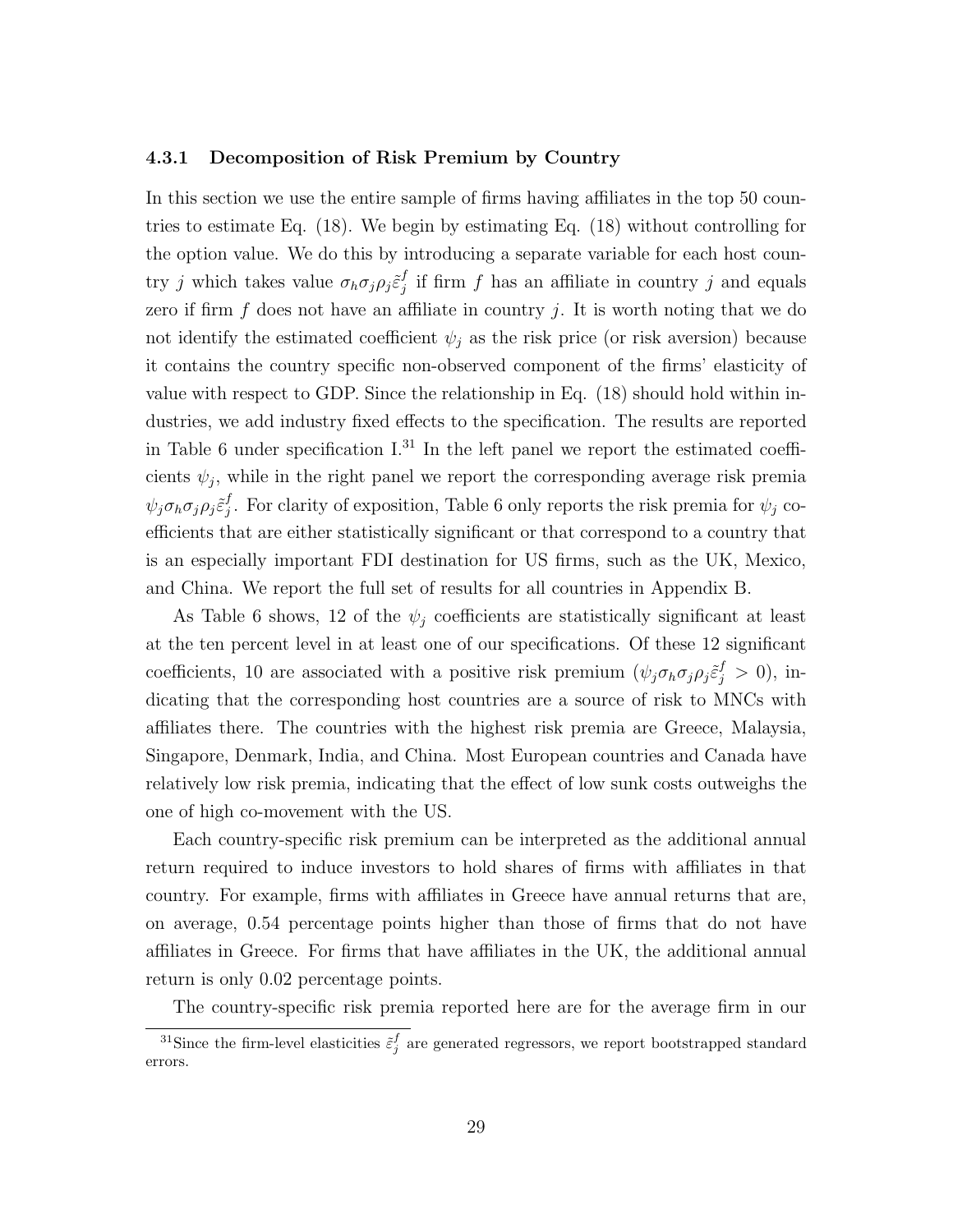#### 4.3.1 Decomposition of Risk Premium by Country

In this section we use the entire sample of firms having affiliates in the top 50 countries to estimate Eq. (18). We begin by estimating Eq. (18) without controlling for the option value. We do this by introducing a separate variable for each host country *j* which takes value  $\sigma_h \sigma_j \rho_j \tilde{\varepsilon}_j^t$  $j$  if firm f has an affiliate in country j and equals zero if firm  $f$  does not have an affiliate in country  $j$ . It is worth noting that we do not identify the estimated coefficient  $\psi_j$  as the risk price (or risk aversion) because it contains the country specific non-observed component of the firms' elasticity of value with respect to GDP. Since the relationship in Eq. (18) should hold within industries, we add industry fixed effects to the specification. The results are reported in Table 6 under specification  $I^{31}$  In the left panel we report the estimated coefficients  $\psi_j$ , while in the right panel we report the corresponding average risk premia  $\psi_j \sigma_h \sigma_j \rho_j {\tilde \varepsilon}^f_j$ <sup>*j*</sup>. For clarity of exposition, Table 6 only reports the risk premia for  $\psi_j$  coefficients that are either statistically significant or that correspond to a country that is an especially important FDI destination for US firms, such as the UK, Mexico, and China. We report the full set of results for all countries in Appendix B.

As Table 6 shows, 12 of the  $\psi_j$  coefficients are statistically significant at least at the ten percent level in at least one of our specifications. Of these 12 significant coefficients, 10 are associated with a positive risk premium  $(\psi_j \sigma_h \sigma_j \rho_j \tilde{\epsilon}_j^f > 0)$ , indicating that the corresponding host countries are a source of risk to MNCs with affiliates there. The countries with the highest risk premia are Greece, Malaysia, Singapore, Denmark, India, and China. Most European countries and Canada have relatively low risk premia, indicating that the effect of low sunk costs outweighs the one of high co-movement with the US.

Each country-specific risk premium can be interpreted as the additional annual return required to induce investors to hold shares of firms with affiliates in that country. For example, firms with affiliates in Greece have annual returns that are, on average, 0.54 percentage points higher than those of firms that do not have affiliates in Greece. For firms that have affiliates in the UK, the additional annual return is only 0.02 percentage points.

The country-specific risk premia reported here are for the average firm in our

<sup>&</sup>lt;sup>31</sup>Since the firm-level elasticities  $\tilde{\varepsilon}_j^f$  are generated regressors, we report bootstrapped standard errors.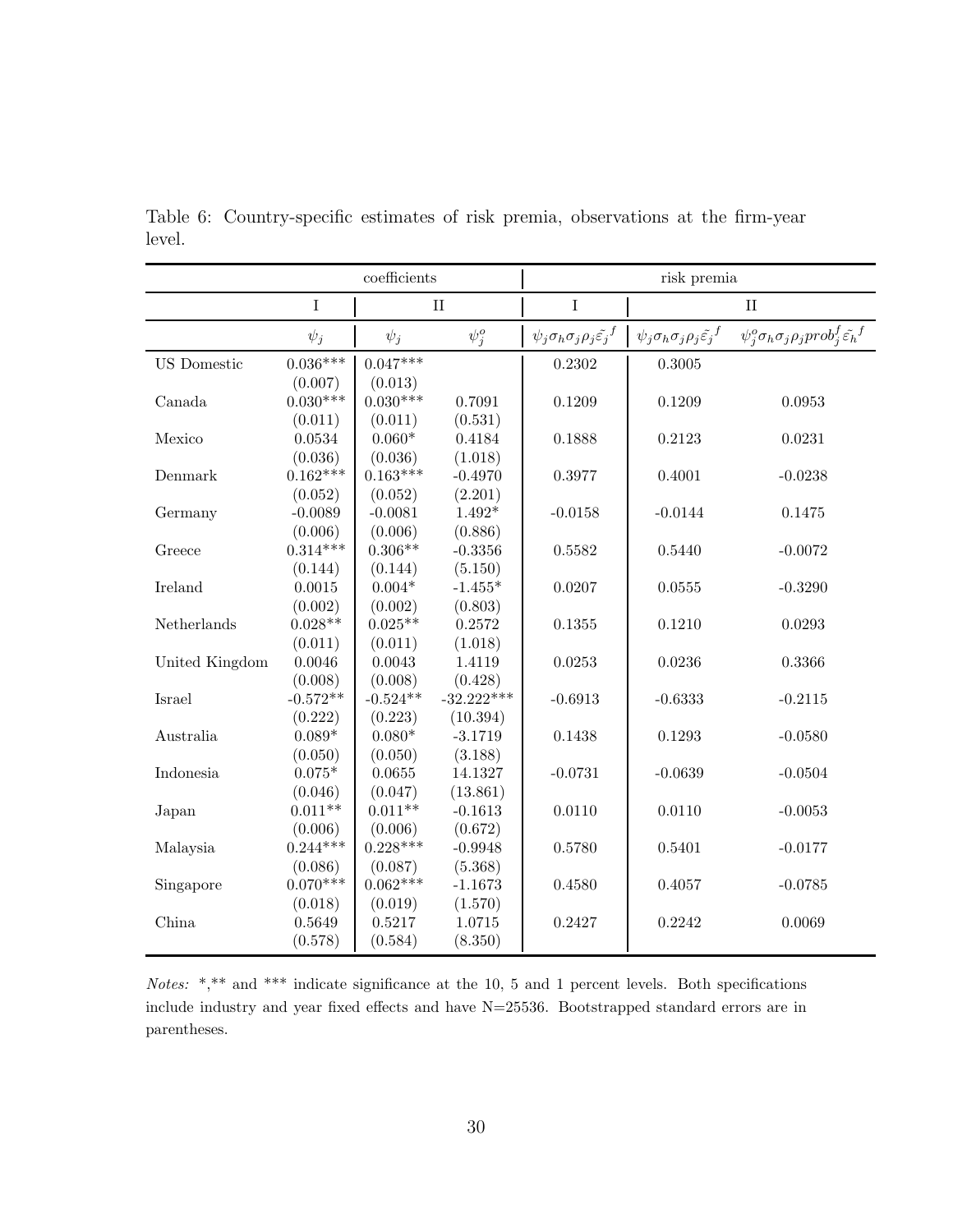|                    | coefficients          |                     |                      | risk premia                                               |                                                           |                                                                             |  |
|--------------------|-----------------------|---------------------|----------------------|-----------------------------------------------------------|-----------------------------------------------------------|-----------------------------------------------------------------------------|--|
|                    | $\rm I$               |                     | $\rm II$             | $\bf{I}$                                                  |                                                           | $\mathop{\mathrm{II}}$                                                      |  |
|                    | $\psi_j$              | $\psi_j$            | $\psi^{o}_j$         | $\psi_j \sigma_h \sigma_j \rho_j \tilde{\varepsilon_j}^f$ | $\psi_j \sigma_h \sigma_j \rho_j \tilde{\varepsilon_j}^f$ | $\psi_j^o \sigma_h \sigma_j \rho_j \text{prob}_j^f \tilde{\varepsilon_h}^f$ |  |
| <b>US</b> Domestic | $0.036***$            | $0.047***$          |                      | 0.2302                                                    | 0.3005                                                    |                                                                             |  |
|                    | (0.007)               | (0.013)             |                      |                                                           |                                                           |                                                                             |  |
| Canada             | $0.030***$            | $0.030***$          | 0.7091               | 0.1209                                                    | 0.1209                                                    | 0.0953                                                                      |  |
|                    | (0.011)               | (0.011)             | (0.531)              |                                                           |                                                           |                                                                             |  |
| Mexico             | 0.0534                | $0.060*$            | 0.4184               | 0.1888                                                    | 0.2123                                                    | 0.0231                                                                      |  |
|                    | (0.036)               | (0.036)             | (1.018)              |                                                           |                                                           |                                                                             |  |
| Denmark            | $0.162***$            | $0.163***$          | $-0.4970$            | 0.3977                                                    | 0.4001                                                    | $-0.0238$                                                                   |  |
|                    | (0.052)               | (0.052)             | (2.201)              |                                                           |                                                           |                                                                             |  |
| Germany            | $-0.0089$             | $-0.0081$           | $1.492*$             | $-0.0158$                                                 | $-0.0144$                                                 | 0.1475                                                                      |  |
|                    | (0.006)<br>$0.314***$ | (0.006)             | (0.886)              |                                                           |                                                           |                                                                             |  |
| Greece             |                       | $0.306**$           | $-0.3356$            | 0.5582                                                    | 0.5440                                                    | $-0.0072$                                                                   |  |
| Ireland            | (0.144)<br>0.0015     | (0.144)<br>$0.004*$ | (5.150)<br>$-1.455*$ | 0.0207                                                    | 0.0555                                                    | $-0.3290$                                                                   |  |
|                    | (0.002)               | (0.002)             | (0.803)              |                                                           |                                                           |                                                                             |  |
| Netherlands        | $0.028**$             | $0.025**$           | 0.2572               | 0.1355                                                    | 0.1210                                                    | 0.0293                                                                      |  |
|                    | (0.011)               | (0.011)             | (1.018)              |                                                           |                                                           |                                                                             |  |
| United Kingdom     | 0.0046                | 0.0043              | 1.4119               | 0.0253                                                    | 0.0236                                                    | 0.3366                                                                      |  |
|                    | (0.008)               | (0.008)             | (0.428)              |                                                           |                                                           |                                                                             |  |
| Israel             | $-0.572**$            | $-0.524**$          | $-32.222***$         | $-0.6913$                                                 | $-0.6333$                                                 | $-0.2115$                                                                   |  |
|                    | (0.222)               | (0.223)             | (10.394)             |                                                           |                                                           |                                                                             |  |
| Australia          | $0.089*$              | $0.080*$            | $-3.1719$            | 0.1438                                                    | 0.1293                                                    | $-0.0580$                                                                   |  |
|                    | (0.050)               | (0.050)             | (3.188)              |                                                           |                                                           |                                                                             |  |
| Indonesia          | $0.075*$              | 0.0655              | 14.1327              | $-0.0731$                                                 | $-0.0639$                                                 | $-0.0504$                                                                   |  |
|                    | (0.046)               | (0.047)             | (13.861)             |                                                           |                                                           |                                                                             |  |
| Japan              | $0.011**$             | $0.011**$           | $-0.1613$            | 0.0110                                                    | 0.0110                                                    | $-0.0053$                                                                   |  |
|                    | (0.006)               | (0.006)             | (0.672)              |                                                           |                                                           |                                                                             |  |
| Malaysia           | $0.244***$            | $0.228***$          | $-0.9948$            | 0.5780                                                    | 0.5401                                                    | $-0.0177$                                                                   |  |
|                    | (0.086)               | (0.087)             | (5.368)              |                                                           |                                                           |                                                                             |  |
| Singapore          | $0.070***$            | $0.062***$          | $-1.1673$            | 0.4580                                                    | 0.4057                                                    | $-0.0785$                                                                   |  |
|                    | (0.018)               | (0.019)             | (1.570)              |                                                           |                                                           |                                                                             |  |
| China              | 0.5649                | 0.5217              | 1.0715               | 0.2427                                                    | 0.2242                                                    | 0.0069                                                                      |  |
|                    | (0.578)               | (0.584)             | (8.350)              |                                                           |                                                           |                                                                             |  |

Table 6: Country-specific estimates of risk premia, observations at the firm-year level.

Notes: \*,\*\* and \*\*\* indicate significance at the 10, 5 and 1 percent levels. Both specifications include industry and year fixed effects and have N=25536. Bootstrapped standard errors are in parentheses.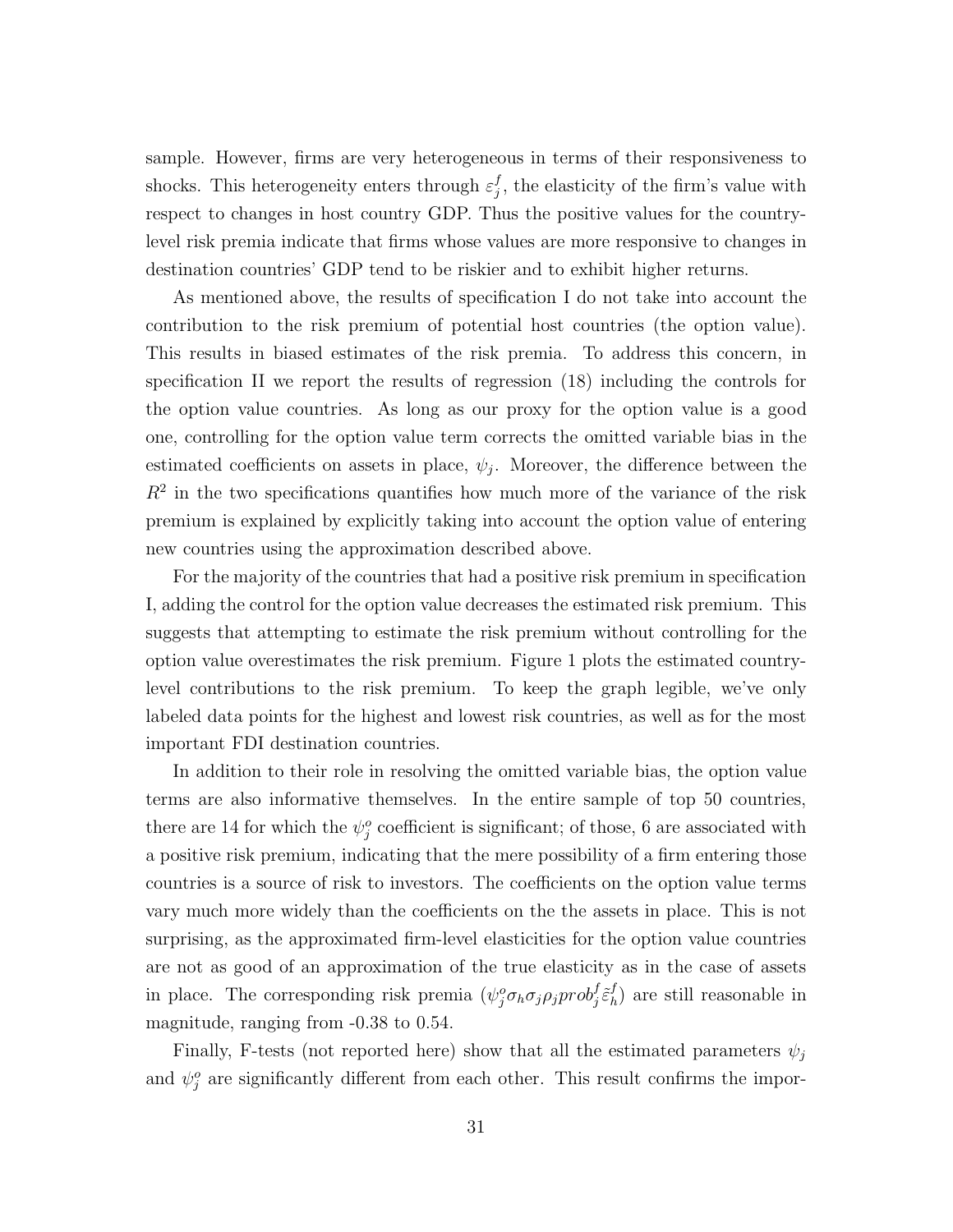sample. However, firms are very heterogeneous in terms of their responsiveness to shocks. This heterogeneity enters through  $\varepsilon_i^f$  $j<sub>j</sub>$ , the elasticity of the firm's value with respect to changes in host country GDP. Thus the positive values for the countrylevel risk premia indicate that firms whose values are more responsive to changes in destination countries' GDP tend to be riskier and to exhibit higher returns.

As mentioned above, the results of specification I do not take into account the contribution to the risk premium of potential host countries (the option value). This results in biased estimates of the risk premia. To address this concern, in specification II we report the results of regression (18) including the controls for the option value countries. As long as our proxy for the option value is a good one, controlling for the option value term corrects the omitted variable bias in the estimated coefficients on assets in place,  $\psi_j$ . Moreover, the difference between the  $R<sup>2</sup>$  in the two specifications quantifies how much more of the variance of the risk premium is explained by explicitly taking into account the option value of entering new countries using the approximation described above.

For the majority of the countries that had a positive risk premium in specification I, adding the control for the option value decreases the estimated risk premium. This suggests that attempting to estimate the risk premium without controlling for the option value overestimates the risk premium. Figure 1 plots the estimated countrylevel contributions to the risk premium. To keep the graph legible, we've only labeled data points for the highest and lowest risk countries, as well as for the most important FDI destination countries.

In addition to their role in resolving the omitted variable bias, the option value terms are also informative themselves. In the entire sample of top 50 countries, there are 14 for which the  $\psi_j^o$  coefficient is significant; of those, 6 are associated with a positive risk premium, indicating that the mere possibility of a firm entering those countries is a source of risk to investors. The coefficients on the option value terms vary much more widely than the coefficients on the the assets in place. This is not surprising, as the approximated firm-level elasticities for the option value countries are not as good of an approximation of the true elasticity as in the case of assets in place. The corresponding risk premia  $(\psi_j^o \sigma_h \sigma_j \rho_j \text{pro} b_j^f \tilde{\varepsilon}_h^f)$  $\binom{J}{h}$  are still reasonable in magnitude, ranging from -0.38 to 0.54.

Finally, F-tests (not reported here) show that all the estimated parameters  $\psi_i$ and  $\psi_j^o$  are significantly different from each other. This result confirms the impor-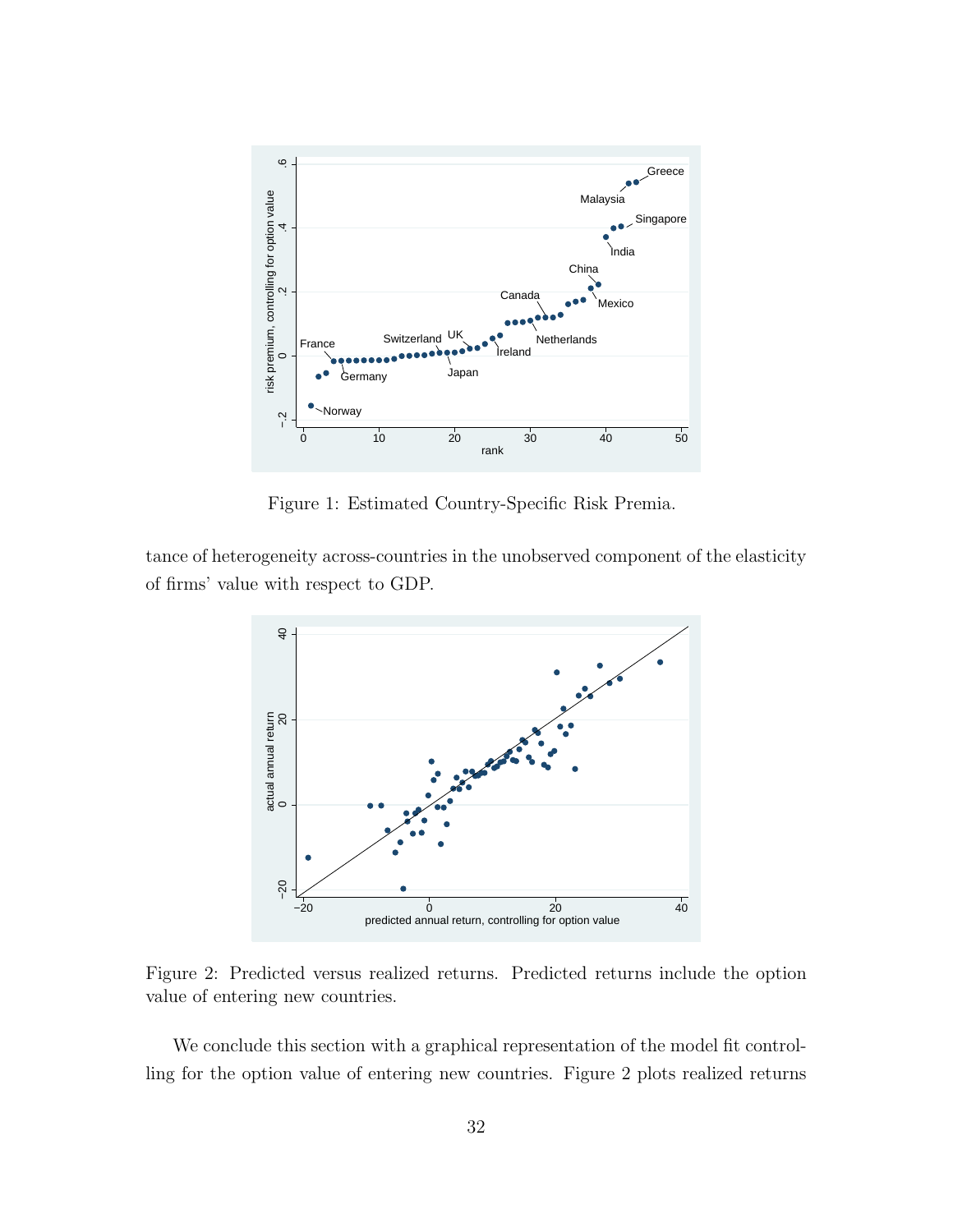

Figure 1: Estimated Country-Specific Risk Premia.

tance of heterogeneity across-countries in the unobserved component of the elasticity of firms' value with respect to GDP.



Figure 2: Predicted versus realized returns. Predicted returns include the option value of entering new countries.

We conclude this section with a graphical representation of the model fit controlling for the option value of entering new countries. Figure 2 plots realized returns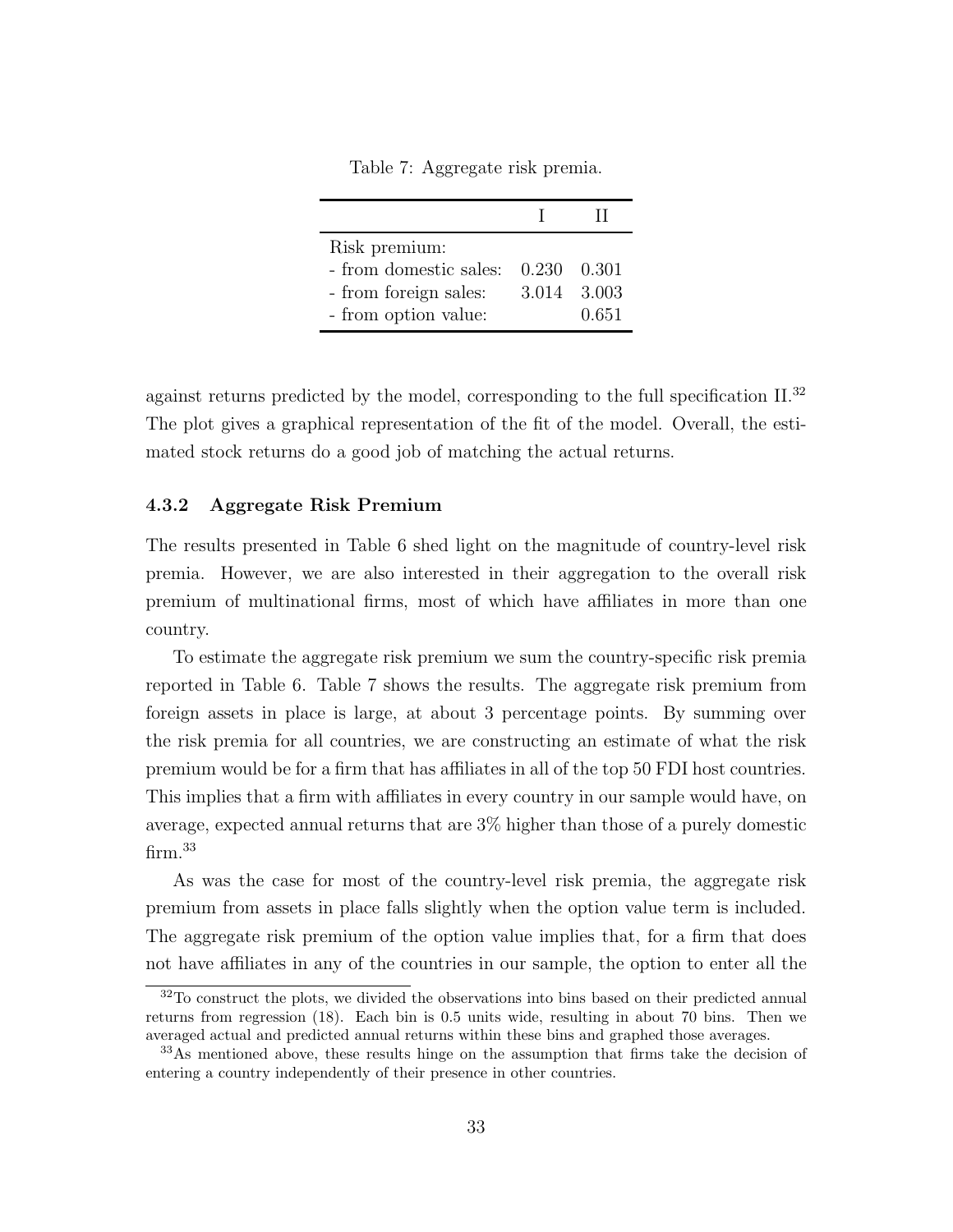Table 7: Aggregate risk premia.

| Risk premium:          |                     |       |
|------------------------|---------------------|-------|
| - from domestic sales: | $0.230 \quad 0.301$ |       |
| - from foreign sales:  | 3.014 3.003         |       |
| - from option value:   |                     | 0.651 |

against returns predicted by the model, corresponding to the full specification  $II^{32}$ The plot gives a graphical representation of the fit of the model. Overall, the estimated stock returns do a good job of matching the actual returns.

#### 4.3.2 Aggregate Risk Premium

The results presented in Table 6 shed light on the magnitude of country-level risk premia. However, we are also interested in their aggregation to the overall risk premium of multinational firms, most of which have affiliates in more than one country.

To estimate the aggregate risk premium we sum the country-specific risk premia reported in Table 6. Table 7 shows the results. The aggregate risk premium from foreign assets in place is large, at about 3 percentage points. By summing over the risk premia for all countries, we are constructing an estimate of what the risk premium would be for a firm that has affiliates in all of the top 50 FDI host countries. This implies that a firm with affiliates in every country in our sample would have, on average, expected annual returns that are 3% higher than those of a purely domestic firm.<sup>33</sup>

As was the case for most of the country-level risk premia, the aggregate risk premium from assets in place falls slightly when the option value term is included. The aggregate risk premium of the option value implies that, for a firm that does not have affiliates in any of the countries in our sample, the option to enter all the

 $32\text{To construct the plots, we divided the observations into bins based on their predicted annual.}$ returns from regression (18). Each bin is 0.5 units wide, resulting in about 70 bins. Then we averaged actual and predicted annual returns within these bins and graphed those averages.

<sup>33</sup>As mentioned above, these results hinge on the assumption that firms take the decision of entering a country independently of their presence in other countries.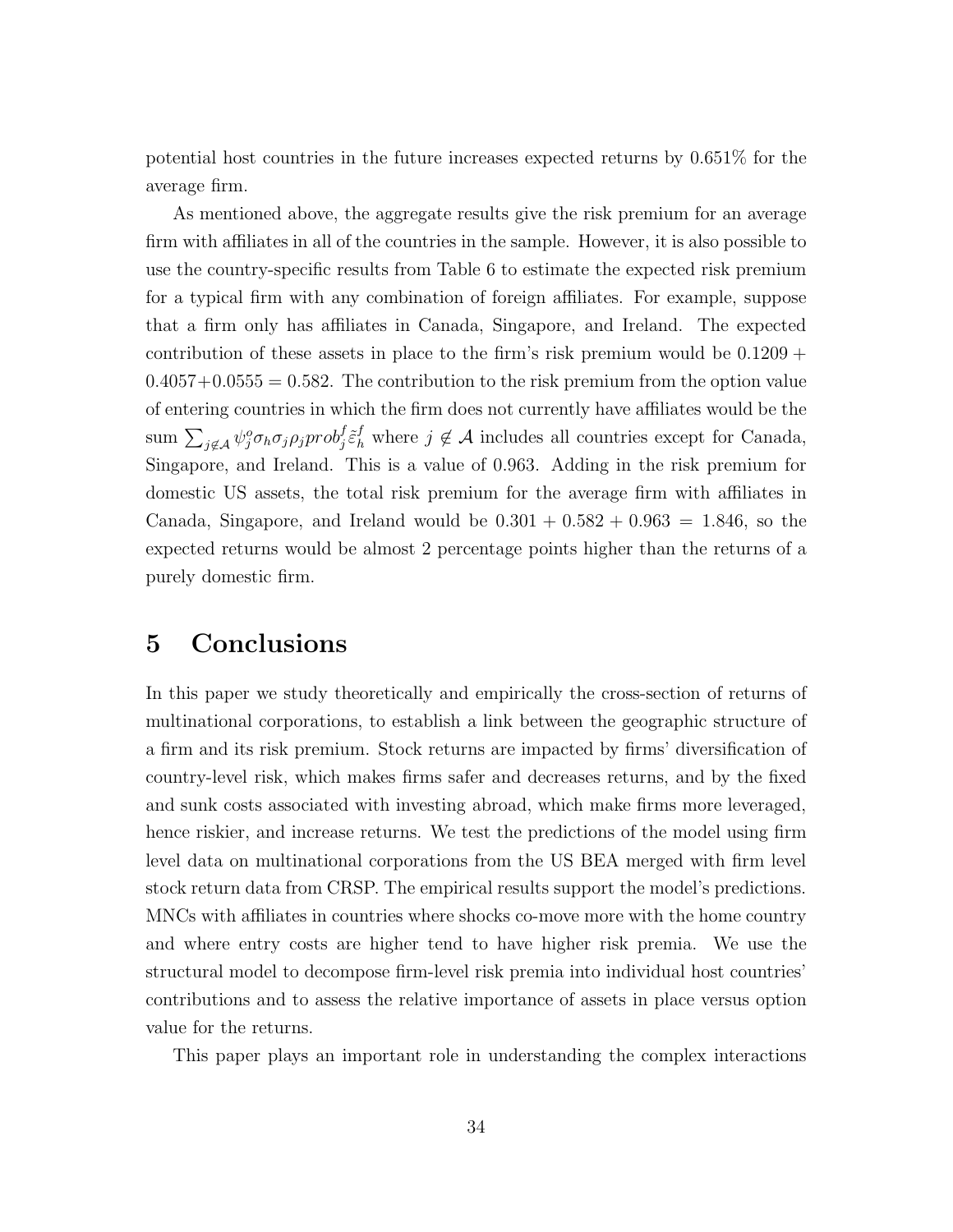potential host countries in the future increases expected returns by 0.651% for the average firm.

As mentioned above, the aggregate results give the risk premium for an average firm with affiliates in all of the countries in the sample. However, it is also possible to use the country-specific results from Table 6 to estimate the expected risk premium for a typical firm with any combination of foreign affiliates. For example, suppose that a firm only has affiliates in Canada, Singapore, and Ireland. The expected contribution of these assets in place to the firm's risk premium would be  $0.1209 +$  $0.4057+0.0555 = 0.582$ . The contribution to the risk premium from the option value of entering countries in which the firm does not currently have affiliates would be the sum  $\sum_{j \notin A} \psi_j^o \sigma_b \sigma_j \rho_j \text{prob}_j^f \tilde{\varepsilon}_h^f$  where  $j \notin A$  includes all countries except for Canada, Singapore, and Ireland. This is a value of 0.963. Adding in the risk premium for domestic US assets, the total risk premium for the average firm with affiliates in Canada, Singapore, and Ireland would be  $0.301 + 0.582 + 0.963 = 1.846$ , so the expected returns would be almost 2 percentage points higher than the returns of a purely domestic firm.

### 5 Conclusions

In this paper we study theoretically and empirically the cross-section of returns of multinational corporations, to establish a link between the geographic structure of a firm and its risk premium. Stock returns are impacted by firms' diversification of country-level risk, which makes firms safer and decreases returns, and by the fixed and sunk costs associated with investing abroad, which make firms more leveraged, hence riskier, and increase returns. We test the predictions of the model using firm level data on multinational corporations from the US BEA merged with firm level stock return data from CRSP. The empirical results support the model's predictions. MNCs with affiliates in countries where shocks co-move more with the home country and where entry costs are higher tend to have higher risk premia. We use the structural model to decompose firm-level risk premia into individual host countries' contributions and to assess the relative importance of assets in place versus option value for the returns.

This paper plays an important role in understanding the complex interactions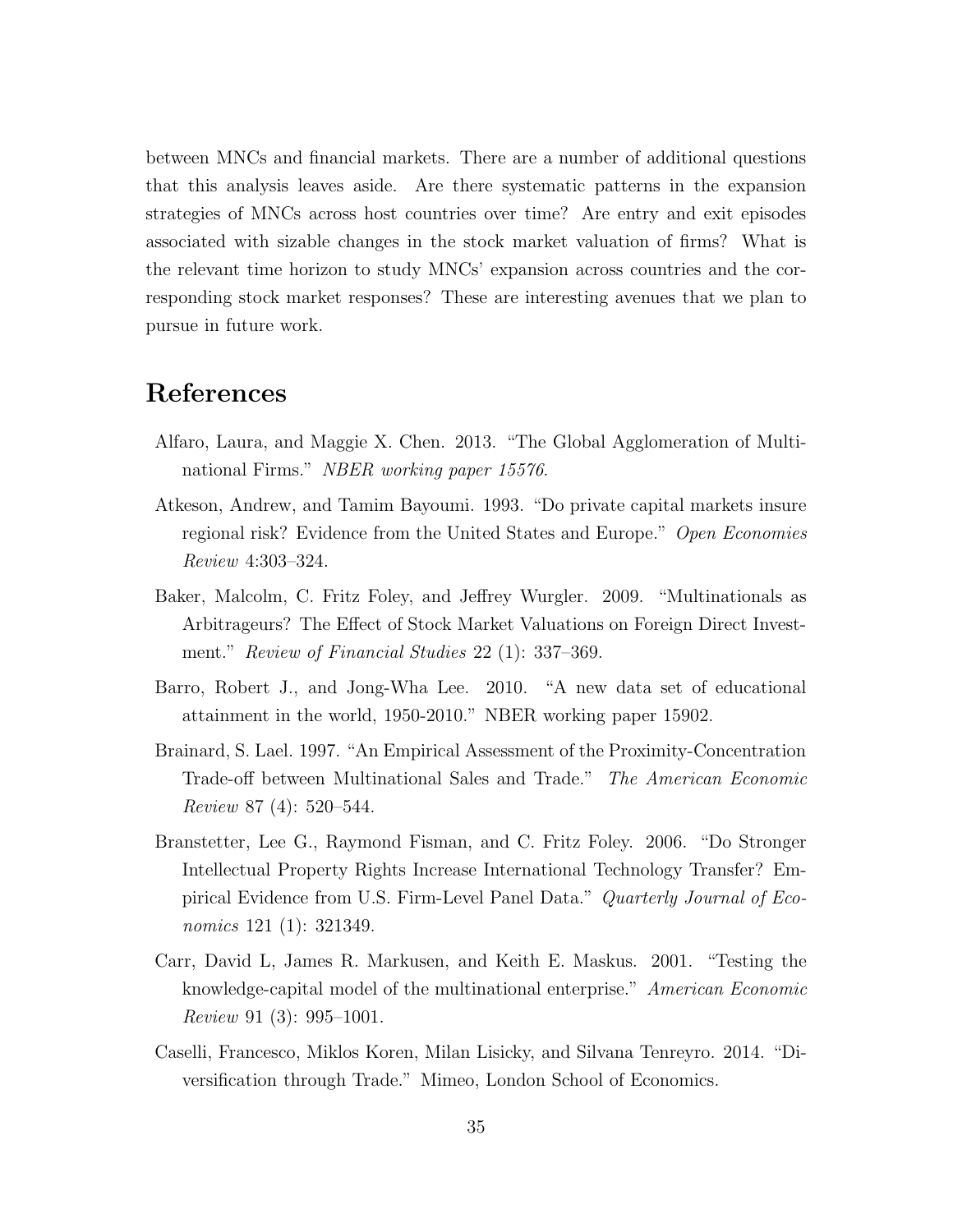between MNCs and financial markets. There are a number of additional questions that this analysis leaves aside. Are there systematic patterns in the expansion strategies of MNCs across host countries over time? Are entry and exit episodes associated with sizable changes in the stock market valuation of firms? What is the relevant time horizon to study MNCs' expansion across countries and the corresponding stock market responses? These are interesting avenues that we plan to pursue in future work.

### References

- Alfaro, Laura, and Maggie X. Chen. 2013. "The Global Agglomeration of Multinational Firms." *NBER working paper 15576*.
- Atkeson, Andrew, and Tamim Bayoumi. 1993. "Do private capital markets insure regional risk? Evidence from the United States and Europe." *Open Economies Review* 4:303–324.
- Baker, Malcolm, C. Fritz Foley, and Jeffrey Wurgler. 2009. "Multinationals as Arbitrageurs? The Effect of Stock Market Valuations on Foreign Direct Investment." *Review of Financial Studies* 22 (1): 337–369.
- Barro, Robert J., and Jong-Wha Lee. 2010. "A new data set of educational attainment in the world, 1950-2010." NBER working paper 15902.
- Brainard, S. Lael. 1997. "An Empirical Assessment of the Proximity-Concentration Trade-off between Multinational Sales and Trade." *The American Economic Review* 87 (4): 520–544.
- Branstetter, Lee G., Raymond Fisman, and C. Fritz Foley. 2006. "Do Stronger Intellectual Property Rights Increase International Technology Transfer? Empirical Evidence from U.S. Firm-Level Panel Data." *Quarterly Journal of Economics* 121 (1): 321349.
- Carr, David L, James R. Markusen, and Keith E. Maskus. 2001. "Testing the knowledge-capital model of the multinational enterprise." *American Economic Review* 91 (3): 995–1001.
- Caselli, Francesco, Miklos Koren, Milan Lisicky, and Silvana Tenreyro. 2014. "Diversification through Trade." Mimeo, London School of Economics.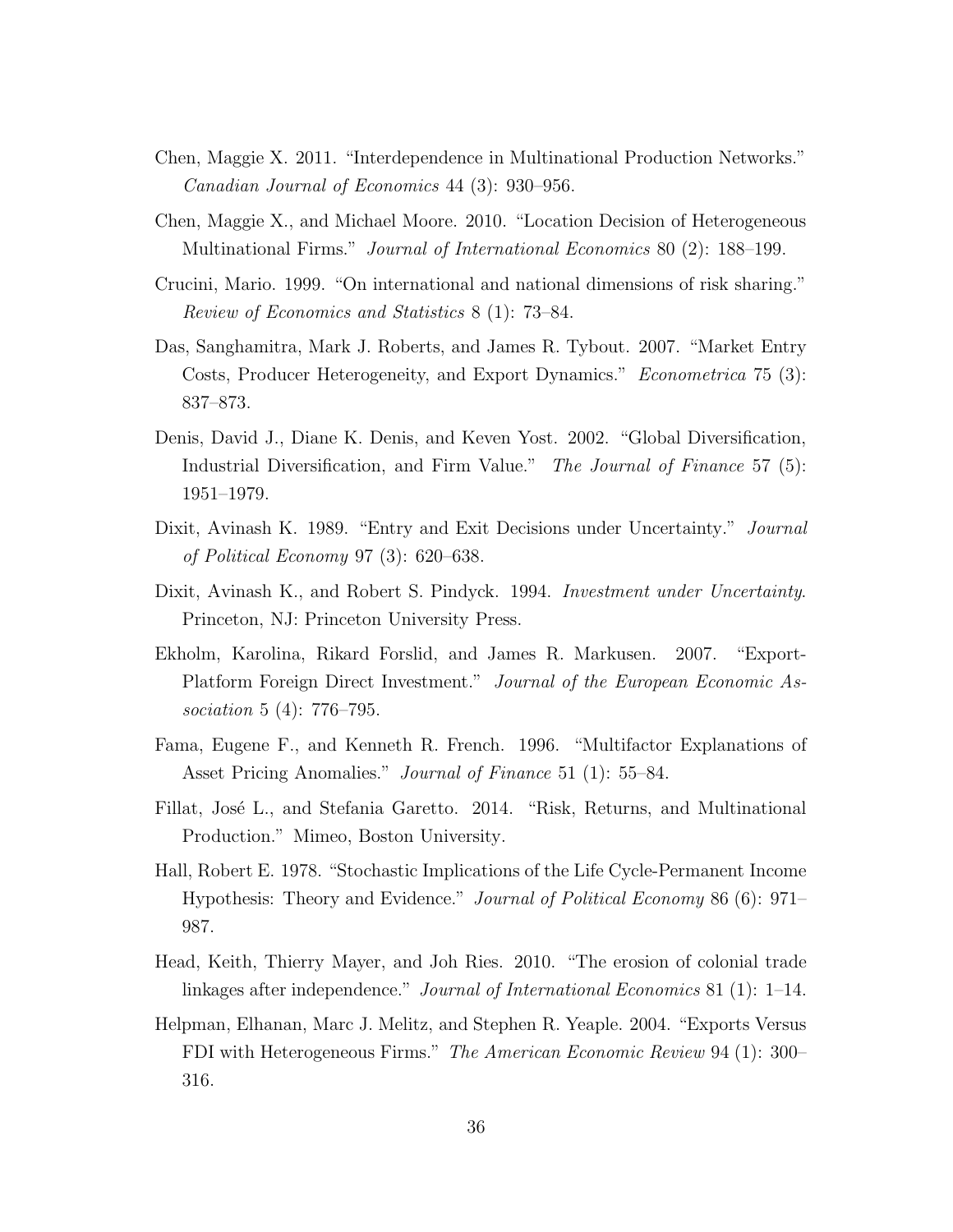- Chen, Maggie X. 2011. "Interdependence in Multinational Production Networks." *Canadian Journal of Economics* 44 (3): 930–956.
- Chen, Maggie X., and Michael Moore. 2010. "Location Decision of Heterogeneous Multinational Firms." *Journal of International Economics* 80 (2): 188–199.
- Crucini, Mario. 1999. "On international and national dimensions of risk sharing." *Review of Economics and Statistics* 8 (1): 73–84.
- Das, Sanghamitra, Mark J. Roberts, and James R. Tybout. 2007. "Market Entry Costs, Producer Heterogeneity, and Export Dynamics." *Econometrica* 75 (3): 837–873.
- Denis, David J., Diane K. Denis, and Keven Yost. 2002. "Global Diversification, Industrial Diversification, and Firm Value." *The Journal of Finance* 57 (5): 1951–1979.
- Dixit, Avinash K. 1989. "Entry and Exit Decisions under Uncertainty." *Journal of Political Economy* 97 (3): 620–638.
- Dixit, Avinash K., and Robert S. Pindyck. 1994. *Investment under Uncertainty*. Princeton, NJ: Princeton University Press.
- Ekholm, Karolina, Rikard Forslid, and James R. Markusen. 2007. "Export-Platform Foreign Direct Investment." *Journal of the European Economic Association* 5 (4): 776–795.
- Fama, Eugene F., and Kenneth R. French. 1996. "Multifactor Explanations of Asset Pricing Anomalies." *Journal of Finance* 51 (1): 55–84.
- Fillat, José L., and Stefania Garetto. 2014. "Risk, Returns, and Multinational Production." Mimeo, Boston University.
- Hall, Robert E. 1978. "Stochastic Implications of the Life Cycle-Permanent Income Hypothesis: Theory and Evidence." *Journal of Political Economy* 86 (6): 971– 987.
- Head, Keith, Thierry Mayer, and Joh Ries. 2010. "The erosion of colonial trade linkages after independence." *Journal of International Economics* 81 (1): 1–14.
- Helpman, Elhanan, Marc J. Melitz, and Stephen R. Yeaple. 2004. "Exports Versus FDI with Heterogeneous Firms." *The American Economic Review* 94 (1): 300– 316.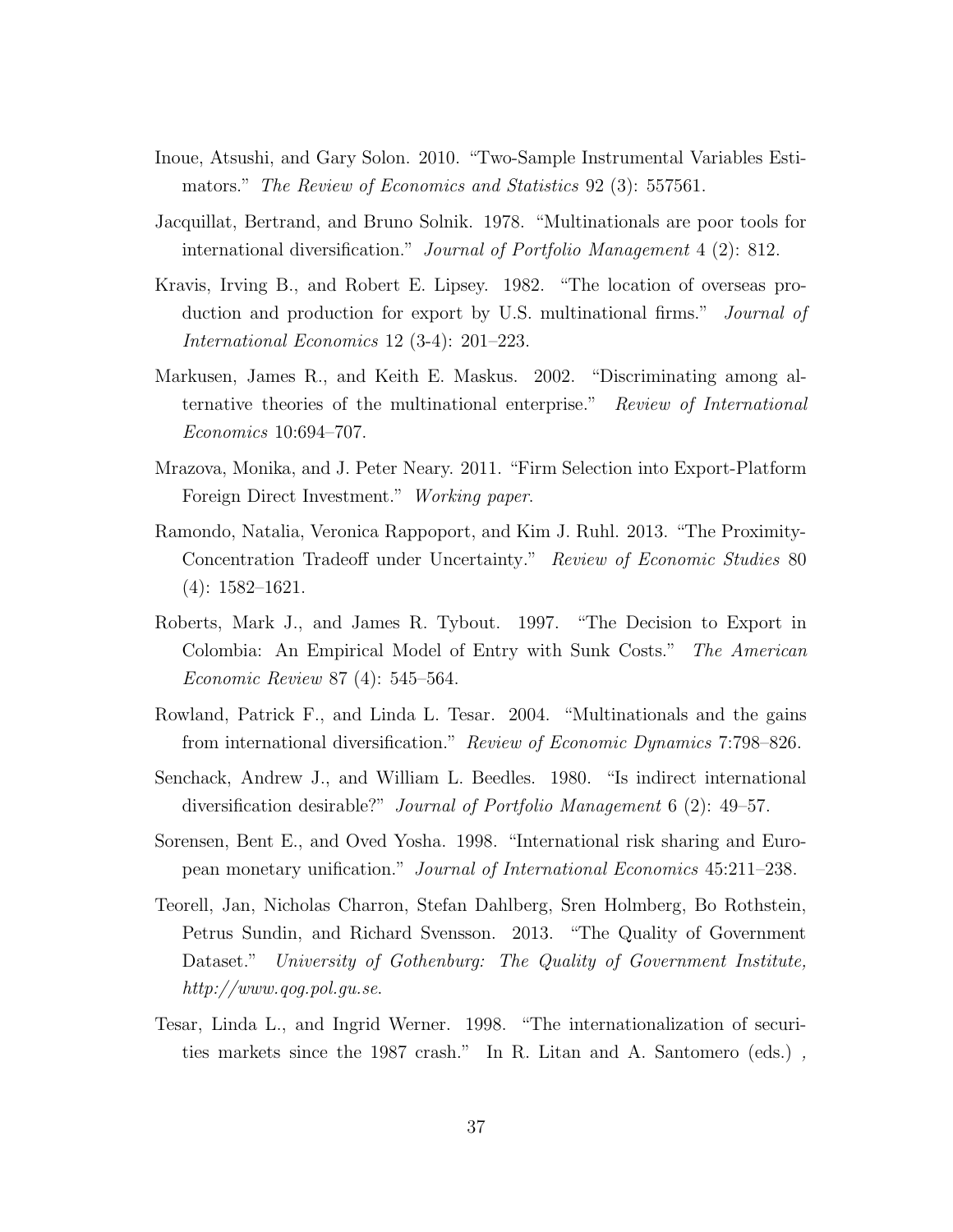- Inoue, Atsushi, and Gary Solon. 2010. "Two-Sample Instrumental Variables Estimators." *The Review of Economics and Statistics* 92 (3): 557561.
- Jacquillat, Bertrand, and Bruno Solnik. 1978. "Multinationals are poor tools for international diversification." *Journal of Portfolio Management* 4 (2): 812.
- Kravis, Irving B., and Robert E. Lipsey. 1982. "The location of overseas production and production for export by U.S. multinational firms." *Journal of International Economics* 12 (3-4): 201–223.
- Markusen, James R., and Keith E. Maskus. 2002. "Discriminating among alternative theories of the multinational enterprise." *Review of International Economics* 10:694–707.
- Mrazova, Monika, and J. Peter Neary. 2011. "Firm Selection into Export-Platform Foreign Direct Investment." *Working paper*.
- Ramondo, Natalia, Veronica Rappoport, and Kim J. Ruhl. 2013. "The Proximity-Concentration Tradeoff under Uncertainty." *Review of Economic Studies* 80 (4): 1582–1621.
- Roberts, Mark J., and James R. Tybout. 1997. "The Decision to Export in Colombia: An Empirical Model of Entry with Sunk Costs." *The American Economic Review* 87 (4): 545–564.
- Rowland, Patrick F., and Linda L. Tesar. 2004. "Multinationals and the gains from international diversification." *Review of Economic Dynamics* 7:798–826.
- Senchack, Andrew J., and William L. Beedles. 1980. "Is indirect international diversification desirable?" *Journal of Portfolio Management* 6 (2): 49–57.
- Sorensen, Bent E., and Oved Yosha. 1998. "International risk sharing and European monetary unification." *Journal of International Economics* 45:211–238.
- Teorell, Jan, Nicholas Charron, Stefan Dahlberg, Sren Holmberg, Bo Rothstein, Petrus Sundin, and Richard Svensson. 2013. "The Quality of Government Dataset." *University of Gothenburg: The Quality of Government Institute, http://www.qog.pol.gu.se*.
- Tesar, Linda L., and Ingrid Werner. 1998. "The internationalization of securities markets since the 1987 crash." In R. Litan and A. Santomero (eds.) *,*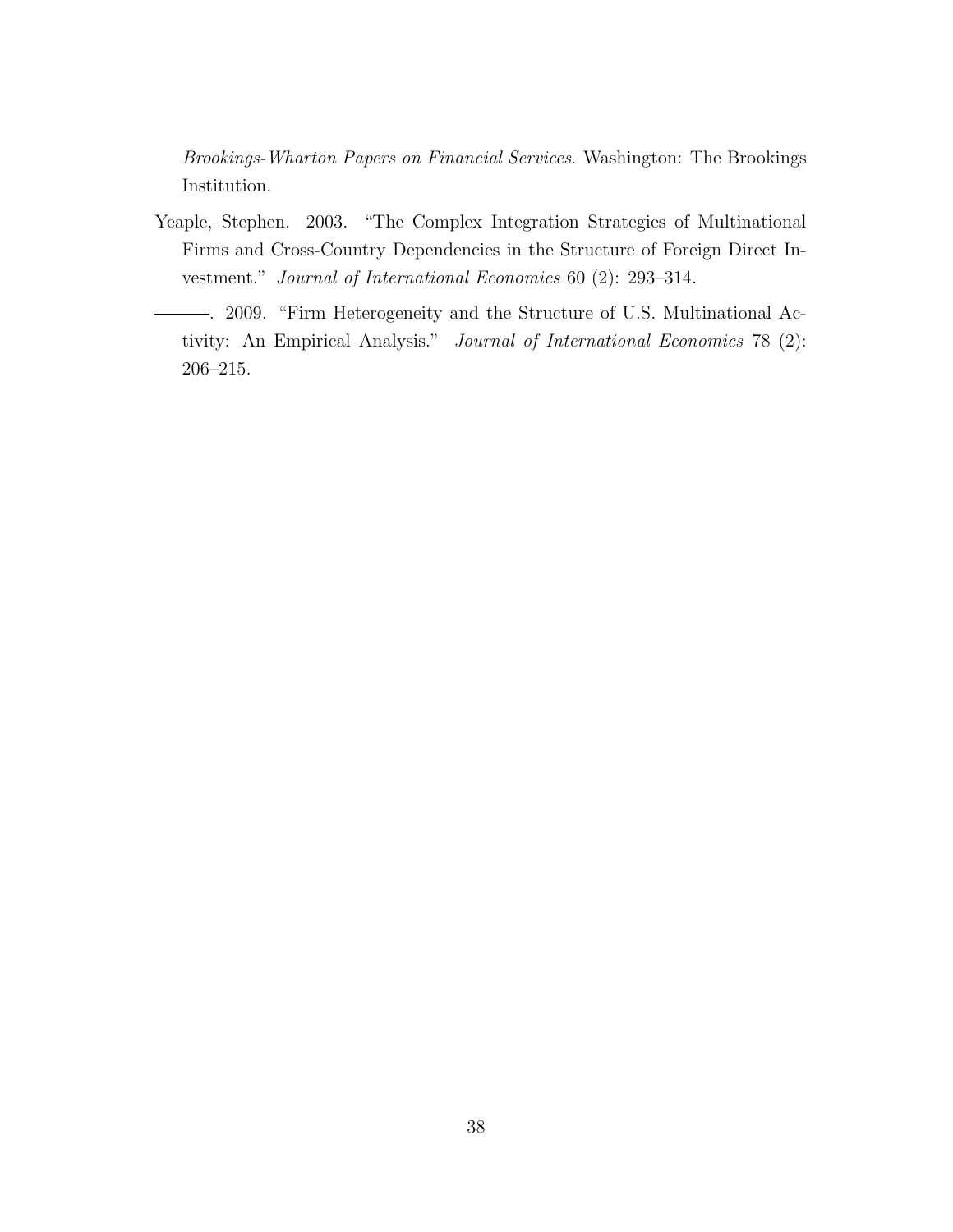*Brookings-Wharton Papers on Financial Services*. Washington: The Brookings Institution.

- Yeaple, Stephen. 2003. "The Complex Integration Strategies of Multinational Firms and Cross-Country Dependencies in the Structure of Foreign Direct Investment." *Journal of International Economics* 60 (2): 293–314.
- . 2009. "Firm Heterogeneity and the Structure of U.S. Multinational Activity: An Empirical Analysis." *Journal of International Economics* 78 (2): 206–215.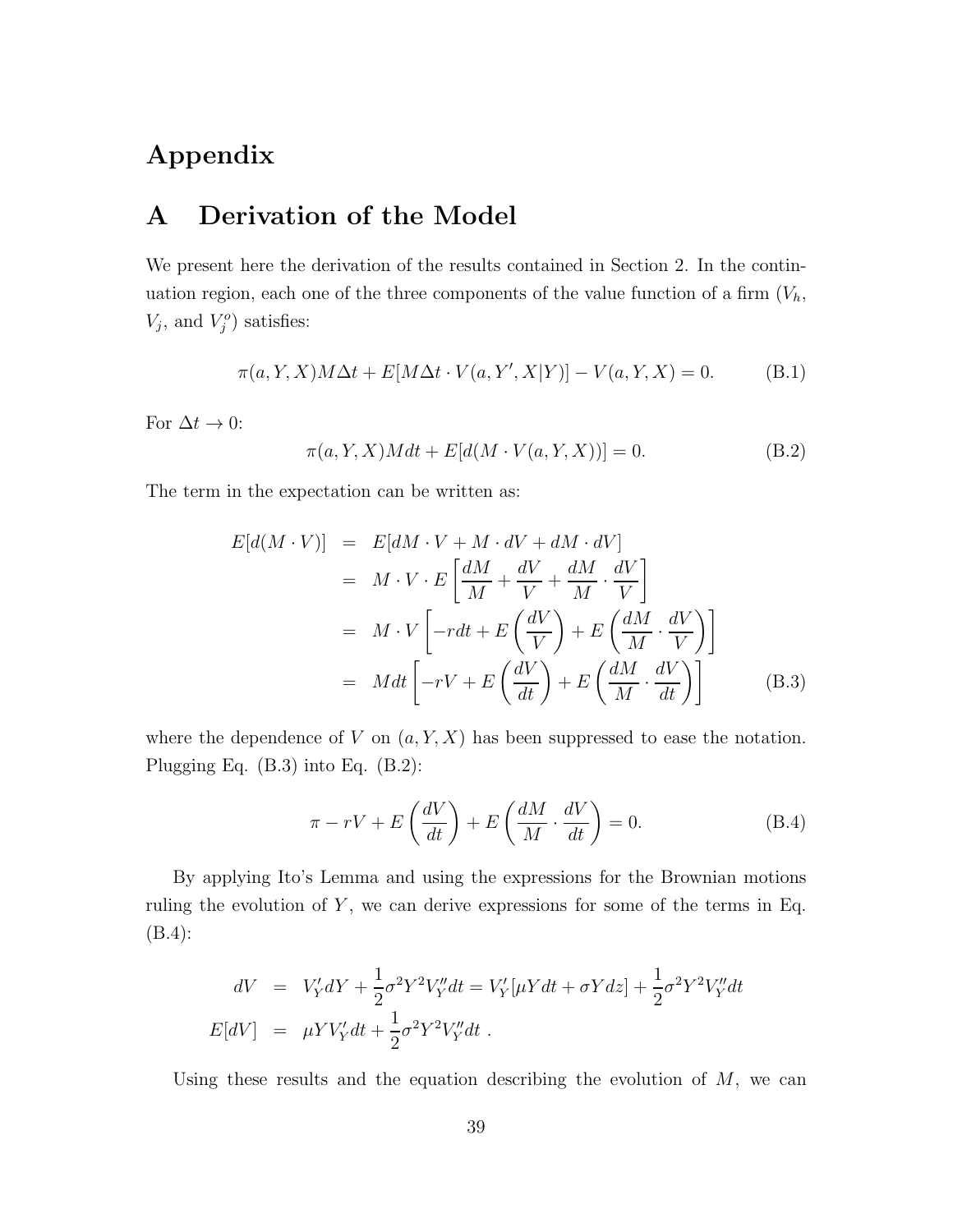### Appendix

### A Derivation of the Model

We present here the derivation of the results contained in Section 2. In the continuation region, each one of the three components of the value function of a firm  $(V_h,$  $V_j$ , and  $V_j^o$ ) satisfies:

$$
\pi(a, Y, X)M\Delta t + E[M\Delta t \cdot V(a, Y', X|Y)] - V(a, Y, X) = 0.
$$
 (B.1)

For  $\Delta t \to 0$ :

$$
\pi(a, Y, X)Mdt + E[d(M \cdot V(a, Y, X))] = 0.
$$
 (B.2)

The term in the expectation can be written as:

$$
E[d(M \cdot V)] = E[dM \cdot V + M \cdot dV + dM \cdot dV]
$$
  
=  $M \cdot V \cdot E\left[\frac{dM}{M} + \frac{dV}{V} + \frac{dM}{M} \cdot \frac{dV}{V}\right]$   
=  $M \cdot V\left[-rdt + E\left(\frac{dV}{V}\right) + E\left(\frac{dM}{M} \cdot \frac{dV}{V}\right)\right]$   
=  $Mdt\left[-rV + E\left(\frac{dV}{dt}\right) + E\left(\frac{dM}{M} \cdot \frac{dV}{dt}\right)\right]$  (B.3)

where the dependence of V on  $(a, Y, X)$  has been suppressed to ease the notation. Plugging Eq. (B.3) into Eq. (B.2):

$$
\pi - rV + E\left(\frac{dV}{dt}\right) + E\left(\frac{dM}{M} \cdot \frac{dV}{dt}\right) = 0.
$$
 (B.4)

By applying Ito's Lemma and using the expressions for the Brownian motions ruling the evolution of  $Y$ , we can derive expressions for some of the terms in Eq. (B.4):

$$
dV = V'_Y dY + \frac{1}{2} \sigma^2 Y^2 V''_Y dt = V'_Y [\mu Y dt + \sigma Y dz] + \frac{1}{2} \sigma^2 Y^2 V''_Y dt
$$
  

$$
E[dV] = \mu Y V'_Y dt + \frac{1}{2} \sigma^2 Y^2 V''_Y dt.
$$

Using these results and the equation describing the evolution of  $M$ , we can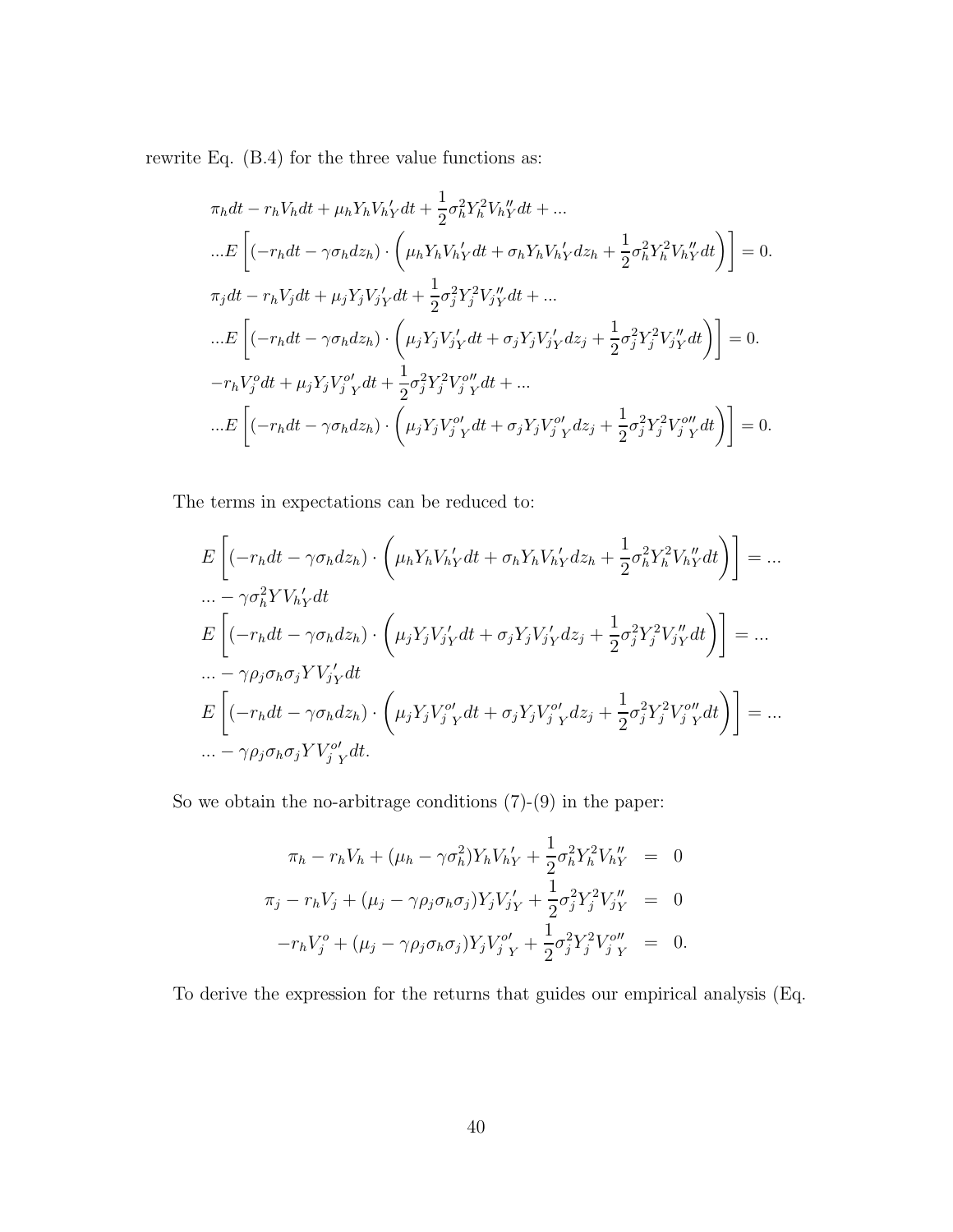rewrite Eq. (B.4) for the three value functions as:

$$
\pi_h dt - r_h V_h dt + \mu_h Y_h V_h' dt + \frac{1}{2} \sigma_h^2 Y_h^2 V_h'' dt + ... \n...E \left[ (-r_h dt - \gamma \sigma_h dz_h) \cdot \left( \mu_h Y_h V_h' dt + \sigma_h Y_h V_h' dz_h + \frac{1}{2} \sigma_h^2 Y_h^2 V_h'' dt \right) \right] = 0.
$$
\n
$$
\pi_j dt - r_h V_j dt + \mu_j Y_j V_j' dt + \frac{1}{2} \sigma_j^2 Y_j^2 V_j'' dt + ... \n...E \left[ (-r_h dt - \gamma \sigma_h dz_h) \cdot \left( \mu_j Y_j V_j' dt + \sigma_j Y_j V_j' dz_j + \frac{1}{2} \sigma_j^2 Y_j^2 V_j'' dt \right) \right] = 0.
$$
\n
$$
-r_h V_j^o dt + \mu_j Y_j V_j^{o'} \tau dt + \frac{1}{2} \sigma_j^2 Y_j^2 V_j^{o''} dt + ... \n...E \left[ (-r_h dt - \gamma \sigma_h dz_h) \cdot \left( \mu_j Y_j V_j^{o'} \tau dt + \sigma_j Y_j V_j^{o'} dz_j + \frac{1}{2} \sigma_j^2 Y_j^2 V_j^{o''} dt \right) \right] = 0.
$$

The terms in expectations can be reduced to:

$$
E\left[(-r_hdt - \gamma \sigma_h dz_h) \cdot \left(\mu_h Y_h V_h'_{Y} dt + \sigma_h Y_h V_h'_{Y} dz_h + \frac{1}{2} \sigma_h^2 Y_h^2 V_h''_{Y} dt\right)\right] = \dots
$$
  
\n
$$
\begin{aligned}\n&\therefore -\gamma \sigma_h^2 Y V_h'_{Y} dt \\
E\left[(-r_hdt - \gamma \sigma_h dz_h) \cdot \left(\mu_j Y_j V_{jY} ' dt + \sigma_j Y_j V_{jY} ' dz_j + \frac{1}{2} \sigma_j^2 Y_j^2 V_{jY} '' dt\right)\right] = \dots \\
&\therefore -\gamma \rho_j \sigma_h \sigma_j Y V_{jY} ' dt \\
E\left[(-r_hdt - \gamma \sigma_h dz_h) \cdot \left(\mu_j Y_j V_{jY}^{\sigma \prime} dt + \sigma_j Y_j V_{jY}^{\sigma \prime} dz_j + \frac{1}{2} \sigma_j^2 Y_j^2 Y_{jY}^{\sigma \prime} dt\right)\right] = \dots \\
&\therefore -\gamma \rho_j \sigma_h \sigma_j Y V_{jY}^{\sigma \prime} dt.\n\end{aligned}
$$

So we obtain the no-arbitrage conditions  $(7)-(9)$  in the paper:

$$
\pi_h - r_h V_h + (\mu_h - \gamma \sigma_h^2) Y_h V_{hY}^{\prime} + \frac{1}{2} \sigma_h^2 Y_h^2 V_{hY}^{\prime \prime} = 0
$$
  

$$
\pi_j - r_h V_j + (\mu_j - \gamma \rho_j \sigma_h \sigma_j) Y_j V_{jY}^{\prime} + \frac{1}{2} \sigma_j^2 Y_j^2 V_{jY}^{\prime \prime} = 0
$$
  

$$
-r_h V_j^o + (\mu_j - \gamma \rho_j \sigma_h \sigma_j) Y_j V_{jY}^{o\prime} + \frac{1}{2} \sigma_j^2 Y_j^2 V_{jY}^{o\prime} = 0.
$$

To derive the expression for the returns that guides our empirical analysis (Eq.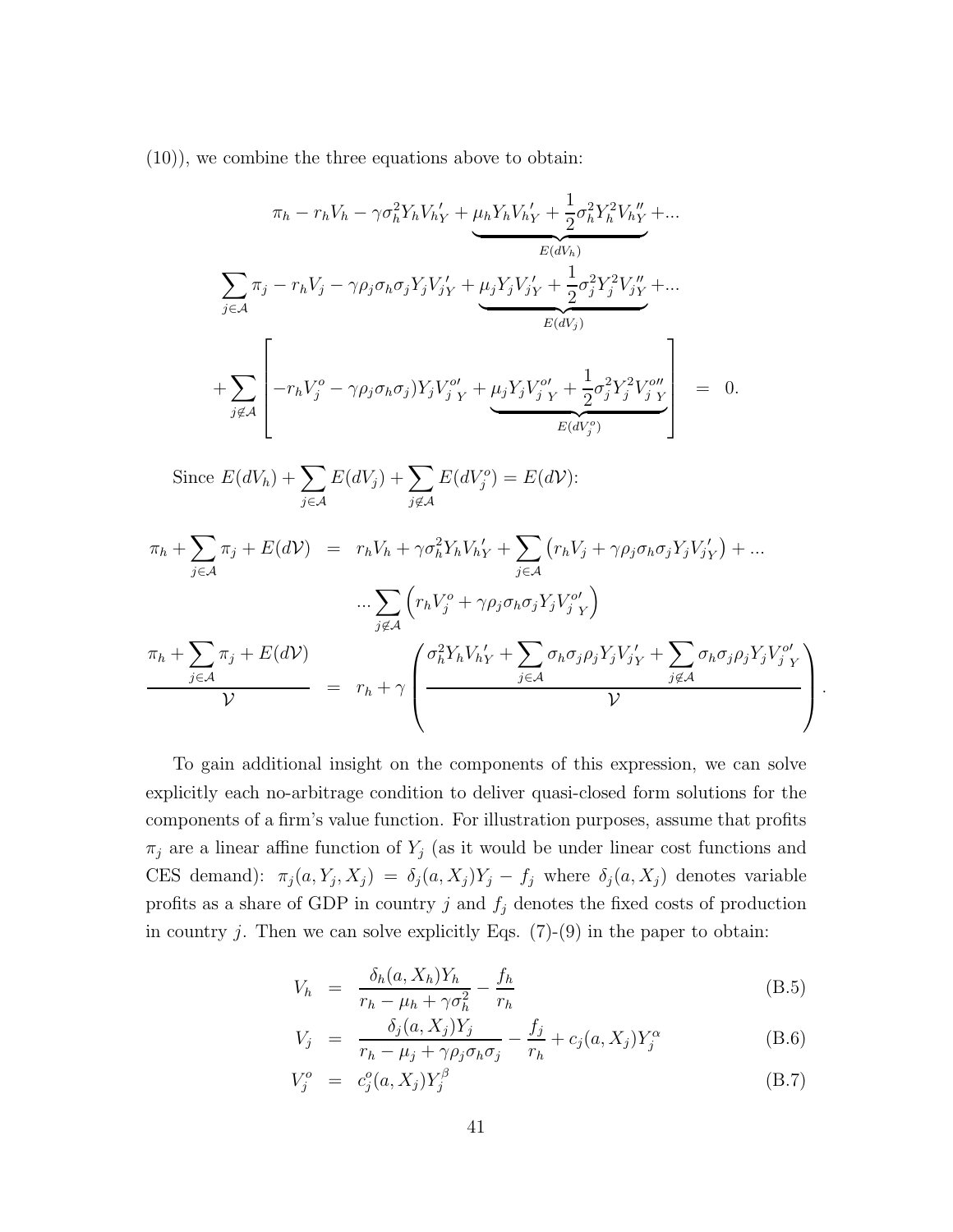(10)), we combine the three equations above to obtain:

$$
\pi_{h} - r_{h}V_{h} - \gamma \sigma_{h}^{2}Y_{h}V_{hY}^{\prime} + \underbrace{\mu_{h}Y_{h}V_{hY}^{\prime} + \frac{1}{2} \sigma_{h}^{2}Y_{h}^{2}V_{hY}^{\prime}}_{E(dV_{h})} + \dots
$$
\n
$$
\sum_{j \in \mathcal{A}} \pi_{j} - r_{h}V_{j} - \gamma \rho_{j} \sigma_{h} \sigma_{j}Y_{j}V_{jY}^{\prime} + \underbrace{\mu_{j}Y_{j}V_{jY}^{\prime} + \frac{1}{2} \sigma_{j}^{2}Y_{j}^{2}V_{jY}^{\prime\prime}}_{E(dV_{j})} + \dots
$$
\n
$$
+ \sum_{j \notin \mathcal{A}} \left[ -r_{h}V_{j}^{o} - \gamma \rho_{j} \sigma_{h} \sigma_{j})Y_{j}V_{jY}^{o\prime} + \underbrace{\mu_{j}Y_{j}V_{jY}^{o\prime} + \frac{1}{2} \sigma_{j}^{2}Y_{j}^{2}Y_{jY}^{o\prime\prime}}_{E(dV_{j}^{o})} \right] = 0.
$$

Since  $E(dV_h) + \sum$ j∈A  $E(dV_j) + \sum$ j∉A  $E(dV_j^o) = E(dV)$ :

$$
\pi_h + \sum_{j \in \mathcal{A}} \pi_j + E(d\mathcal{V}) = r_h V_h + \gamma \sigma_h^2 Y_h V_{hY}^{\prime} + \sum_{j \in \mathcal{A}} (r_h V_j + \gamma \rho_j \sigma_h \sigma_j Y_j V_{jY}^{\prime}) + \dots
$$

$$
\dots \sum_{j \notin \mathcal{A}} \left( r_h V_j^o + \gamma \rho_j \sigma_h \sigma_j Y_j V_{jY}^{o\prime} \right)
$$

$$
\pi_h + \sum_{j \in \mathcal{A}} \pi_j + E(d\mathcal{V}) = r_h + \gamma \left( \frac{\sigma_h^2 Y_h V_{hY}^{\prime} + \sum_{j \in \mathcal{A}} \sigma_h \sigma_j \rho_j Y_j V_{jY}^{\prime} + \sum_{j \notin \mathcal{A}} \sigma_h \sigma_j \rho_j Y_j V_{jY}^{o\prime}}{\mathcal{V}} \right).
$$

To gain additional insight on the components of this expression, we can solve explicitly each no-arbitrage condition to deliver quasi-closed form solutions for the components of a firm's value function. For illustration purposes, assume that profits  $\pi_j$  are a linear affine function of  $Y_j$  (as it would be under linear cost functions and CES demand):  $\pi_j(a, Y_j, X_j) = \delta_j(a, X_j)Y_j - f_j$  where  $\delta_j(a, X_j)$  denotes variable profits as a share of GDP in country  $j$  and  $f_j$  denotes the fixed costs of production in country *j*. Then we can solve explicitly Eqs.  $(7)-(9)$  in the paper to obtain:

$$
V_h = \frac{\delta_h(a, X_h)Y_h}{r_h - \mu_h + \gamma \sigma_h^2} - \frac{f_h}{r_h}
$$
(B.5)

$$
V_j = \frac{\delta_j(a, X_j)Y_j}{r_h - \mu_j + \gamma \rho_j \sigma_h \sigma_j} - \frac{f_j}{r_h} + c_j(a, X_j)Y_j^{\alpha}
$$
(B.6)

$$
V_j^o = c_j^o(a, X_j) Y_j^\beta \tag{B.7}
$$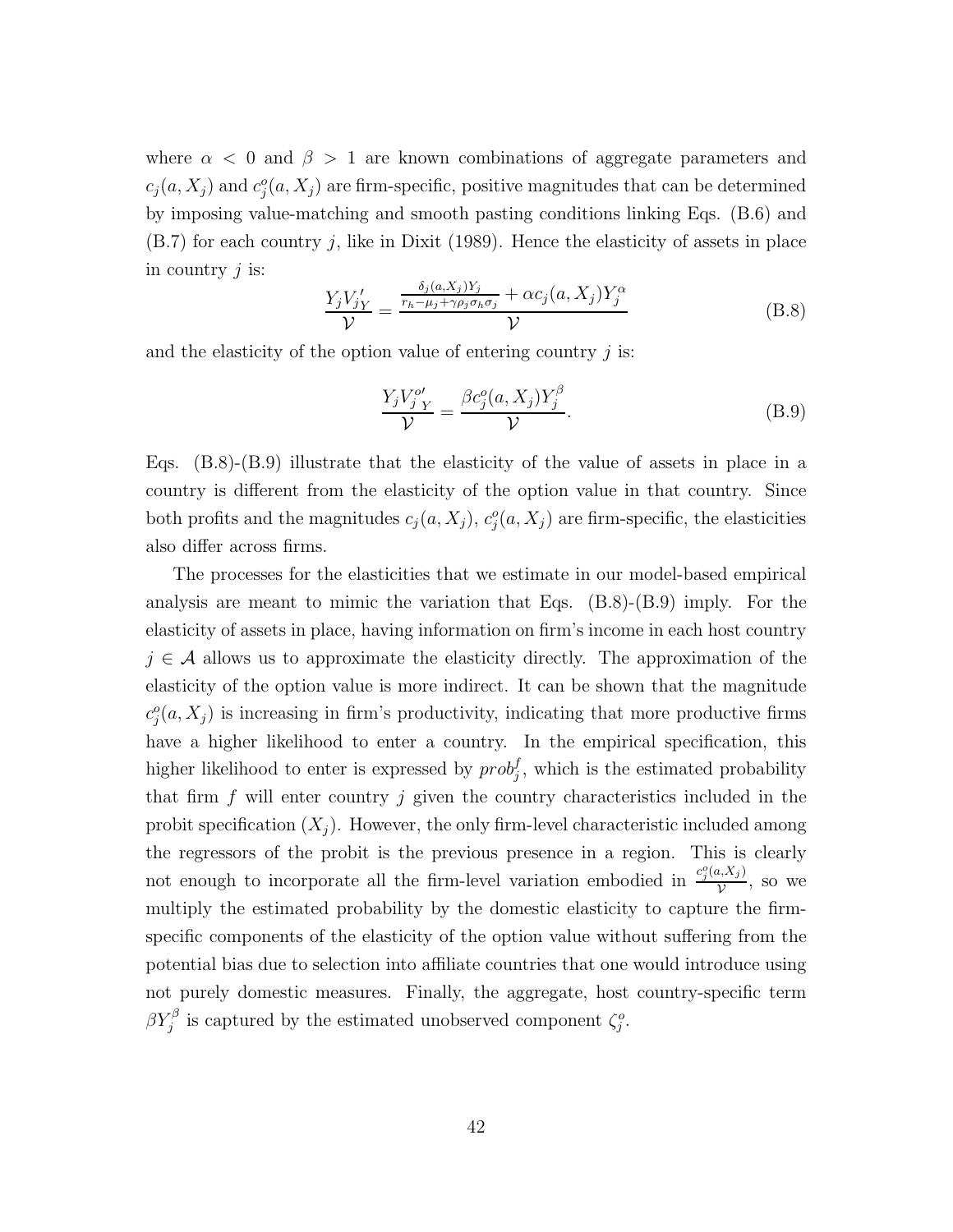where  $\alpha < 0$  and  $\beta > 1$  are known combinations of aggregate parameters and  $c_j(a, X_j)$  and  $c_j^o(a, X_j)$  are firm-specific, positive magnitudes that can be determined by imposing value-matching and smooth pasting conditions linking Eqs. (B.6) and  $(B.7)$  for each country j, like in Dixit (1989). Hence the elasticity of assets in place in country  $j$  is:

$$
\frac{Y_j V'_{jY}}{\mathcal{V}} = \frac{\frac{\delta_j(a, X_j)Y_j}{r_h - \mu_j + \gamma \rho_j \sigma_h \sigma_j} + \alpha c_j(a, X_j) Y_j^{\alpha}}{\mathcal{V}}
$$
(B.8)

and the elasticity of the option value of entering country  $i$  is:

$$
\frac{Y_j V_{j'Y}^{o'}}{\mathcal{V}} = \frac{\beta c_j^o(a, X_j) Y_j^{\beta}}{\mathcal{V}}.
$$
\n(B.9)

Eqs. (B.8)-(B.9) illustrate that the elasticity of the value of assets in place in a country is different from the elasticity of the option value in that country. Since both profits and the magnitudes  $c_j(a, X_j)$ ,  $c_j^o(a, X_j)$  are firm-specific, the elasticities also differ across firms.

The processes for the elasticities that we estimate in our model-based empirical analysis are meant to mimic the variation that Eqs. (B.8)-(B.9) imply. For the elasticity of assets in place, having information on firm's income in each host country  $j \in \mathcal{A}$  allows us to approximate the elasticity directly. The approximation of the elasticity of the option value is more indirect. It can be shown that the magnitude  $c_j^o(a, X_j)$  is increasing in firm's productivity, indicating that more productive firms have a higher likelihood to enter a country. In the empirical specification, this higher likelihood to enter is expressed by  $prob_j^f$ , which is the estimated probability that firm  $f$  will enter country  $j$  given the country characteristics included in the probit specification  $(X_i)$ . However, the only firm-level characteristic included among the regressors of the probit is the previous presence in a region. This is clearly not enough to incorporate all the firm-level variation embodied in  $\frac{c_j^o(a,X_j)}{V}$  $\frac{\nu^{(1)}(x,y)}{\nu}$ , so we multiply the estimated probability by the domestic elasticity to capture the firmspecific components of the elasticity of the option value without suffering from the potential bias due to selection into affiliate countries that one would introduce using not purely domestic measures. Finally, the aggregate, host country-specific term  $\beta Y_j^{\beta}$  is captured by the estimated unobserved component  $\zeta_j^o$ .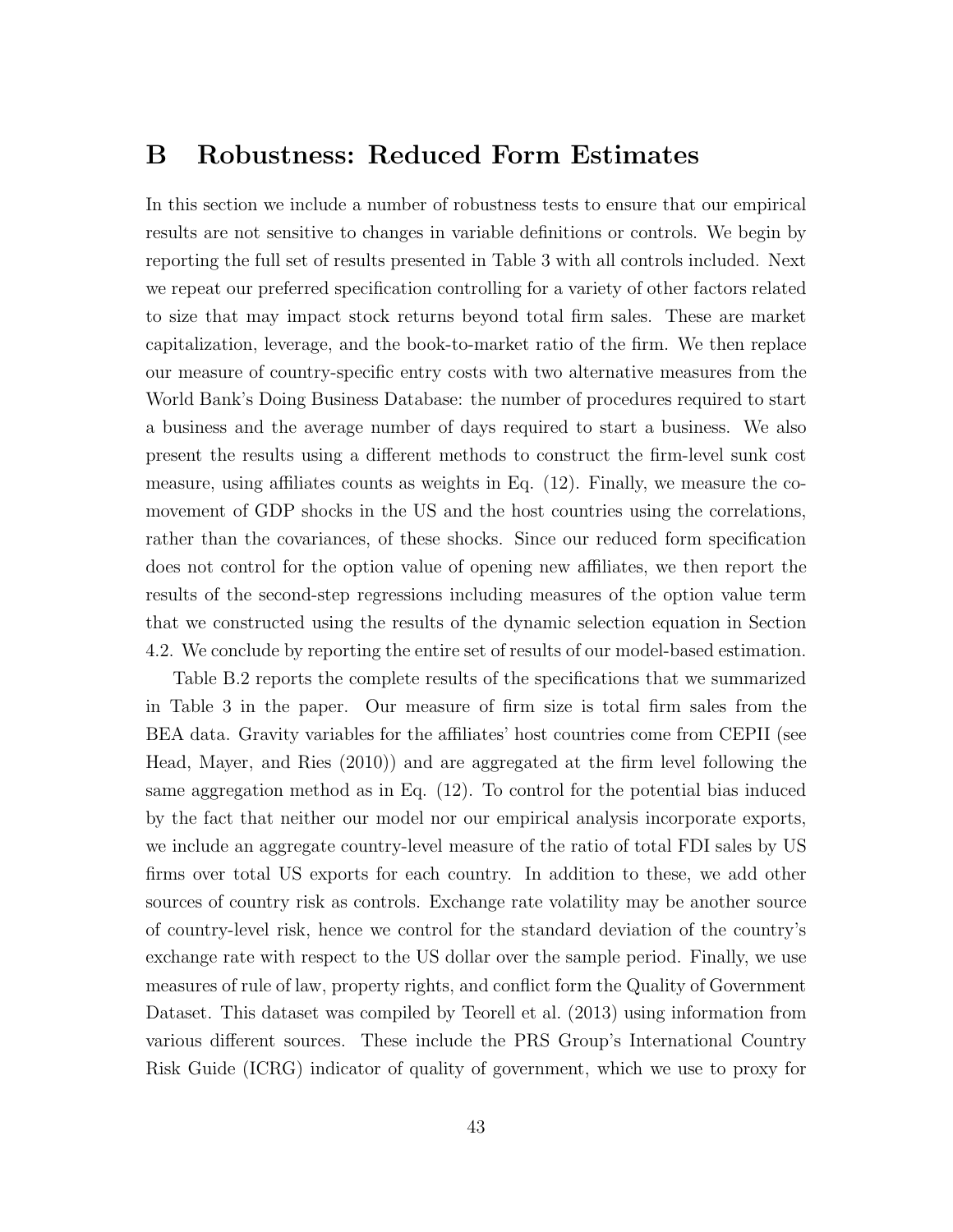### B Robustness: Reduced Form Estimates

In this section we include a number of robustness tests to ensure that our empirical results are not sensitive to changes in variable definitions or controls. We begin by reporting the full set of results presented in Table 3 with all controls included. Next we repeat our preferred specification controlling for a variety of other factors related to size that may impact stock returns beyond total firm sales. These are market capitalization, leverage, and the book-to-market ratio of the firm. We then replace our measure of country-specific entry costs with two alternative measures from the World Bank's Doing Business Database: the number of procedures required to start a business and the average number of days required to start a business. We also present the results using a different methods to construct the firm-level sunk cost measure, using affiliates counts as weights in Eq. (12). Finally, we measure the comovement of GDP shocks in the US and the host countries using the correlations, rather than the covariances, of these shocks. Since our reduced form specification does not control for the option value of opening new affiliates, we then report the results of the second-step regressions including measures of the option value term that we constructed using the results of the dynamic selection equation in Section 4.2. We conclude by reporting the entire set of results of our model-based estimation.

Table B.2 reports the complete results of the specifications that we summarized in Table 3 in the paper. Our measure of firm size is total firm sales from the BEA data. Gravity variables for the affiliates' host countries come from CEPII (see Head, Mayer, and Ries (2010)) and are aggregated at the firm level following the same aggregation method as in Eq. (12). To control for the potential bias induced by the fact that neither our model nor our empirical analysis incorporate exports, we include an aggregate country-level measure of the ratio of total FDI sales by US firms over total US exports for each country. In addition to these, we add other sources of country risk as controls. Exchange rate volatility may be another source of country-level risk, hence we control for the standard deviation of the country's exchange rate with respect to the US dollar over the sample period. Finally, we use measures of rule of law, property rights, and conflict form the Quality of Government Dataset. This dataset was compiled by Teorell et al. (2013) using information from various different sources. These include the PRS Group's International Country Risk Guide (ICRG) indicator of quality of government, which we use to proxy for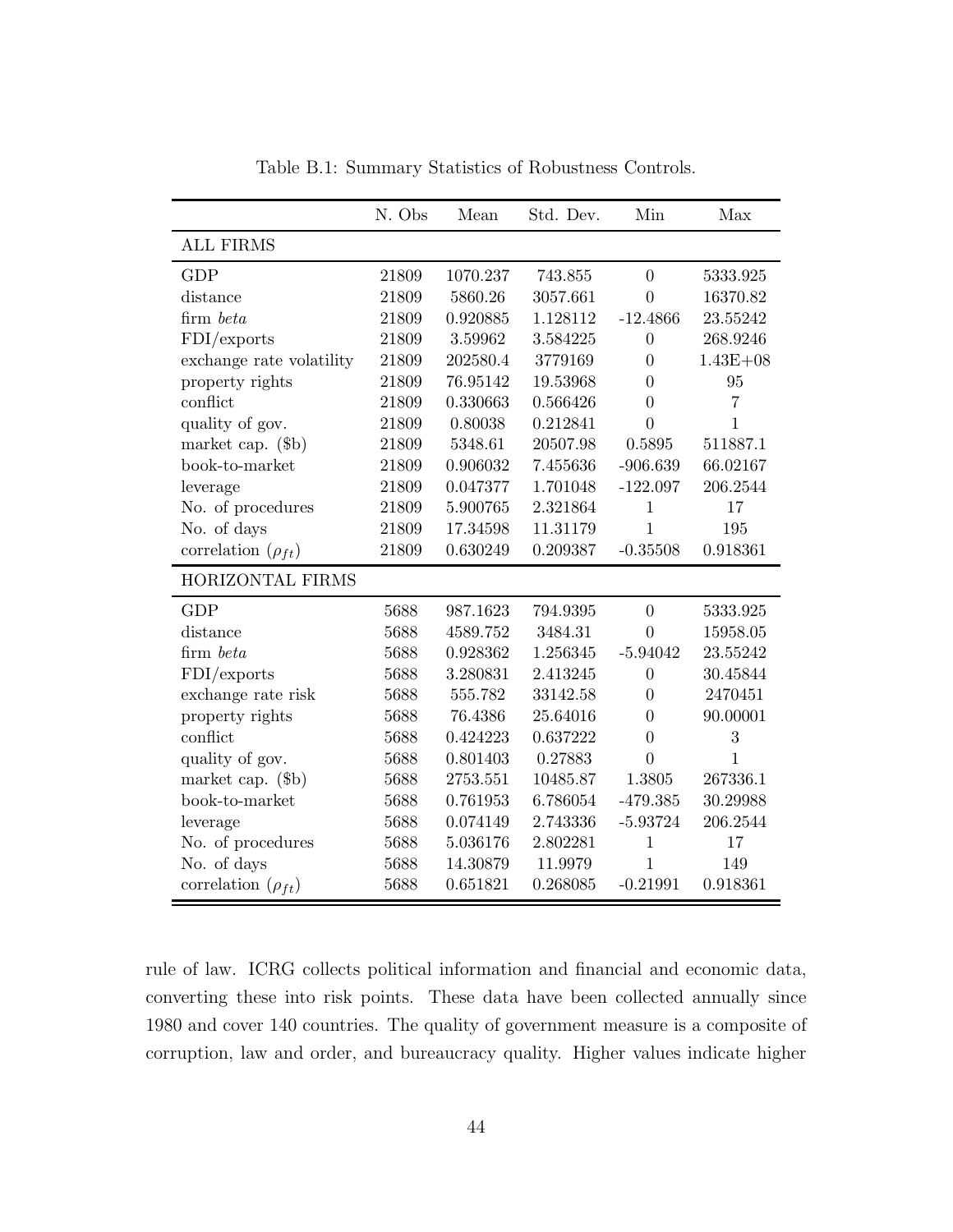|                            | N. Obs | Mean     | Std. Dev. | Min            | Max            |
|----------------------------|--------|----------|-----------|----------------|----------------|
| <b>ALL FIRMS</b>           |        |          |           |                |                |
| <b>GDP</b>                 | 21809  | 1070.237 | 743.855   | $\overline{0}$ | 5333.925       |
| distance                   | 21809  | 5860.26  | 3057.661  | $\overline{0}$ | 16370.82       |
| firm beta                  | 21809  | 0.920885 | 1.128112  | $-12.4866$     | 23.55242       |
| FDI/exports                | 21809  | 3.59962  | 3.584225  | $\overline{0}$ | 268.9246       |
| exchange rate volatility   | 21809  | 202580.4 | 3779169   | $\overline{0}$ | $1.43E + 08$   |
| property rights            | 21809  | 76.95142 | 19.53968  | $\overline{0}$ | 95             |
| conflict                   | 21809  | 0.330663 | 0.566426  | $\overline{0}$ | $\overline{7}$ |
| quality of gov.            | 21809  | 0.80038  | 0.212841  | $\overline{0}$ | $\mathbf{1}$   |
| market cap. $(\$b)$        | 21809  | 5348.61  | 20507.98  | 0.5895         | 511887.1       |
| book-to-market             | 21809  | 0.906032 | 7.455636  | $-906.639$     | 66.02167       |
| leverage                   | 21809  | 0.047377 | 1.701048  | $-122.097$     | 206.2544       |
| No. of procedures          | 21809  | 5.900765 | 2.321864  | $\mathbf{1}$   | 17             |
| No. of days                | 21809  | 17.34598 | 11.31179  | $\mathbf{1}$   | 195            |
| correlation $(\rho_{ft})$  | 21809  | 0.630249 | 0.209387  | $-0.35508$     | 0.918361       |
| HORIZONTAL FIRMS           |        |          |           |                |                |
| <b>GDP</b>                 | 5688   | 987.1623 | 794.9395  | $\overline{0}$ | 5333.925       |
| distance                   | 5688   | 4589.752 | 3484.31   | $\overline{0}$ | 15958.05       |
| firm beta                  | 5688   | 0.928362 | 1.256345  | $-5.94042$     | 23.55242       |
| FDI/exports                | 5688   | 3.280831 | 2.413245  | $\overline{0}$ | 30.45844       |
| exchange rate risk         | 5688   | 555.782  | 33142.58  | $\overline{0}$ | 2470451        |
| property rights            | 5688   | 76.4386  | 25.64016  | $\overline{0}$ | 90.00001       |
| conflict                   | 5688   | 0.424223 | 0.637222  | $\overline{0}$ | 3              |
| quality of gov.            | 5688   | 0.801403 | 0.27883   | $\theta$       | 1              |
| market cap. $$\mathbb{b}$$ | 5688   | 2753.551 | 10485.87  | 1.3805         | 267336.1       |
| book-to-market             | 5688   | 0.761953 | 6.786054  | $-479.385$     | 30.29988       |
| leverage                   | 5688   | 0.074149 | 2.743336  | $-5.93724$     | 206.2544       |
| No. of procedures          | 5688   | 5.036176 | 2.802281  | $\mathbf{1}$   | 17             |
| No. of days                | 5688   | 14.30879 | 11.9979   | $\overline{1}$ | 149            |
| correlation $(\rho_{ft})$  | 5688   | 0.651821 | 0.268085  | $-0.21991$     | 0.918361       |

Table B.1: Summary Statistics of Robustness Controls.

rule of law. ICRG collects political information and financial and economic data, converting these into risk points. These data have been collected annually since 1980 and cover 140 countries. The quality of government measure is a composite of corruption, law and order, and bureaucracy quality. Higher values indicate higher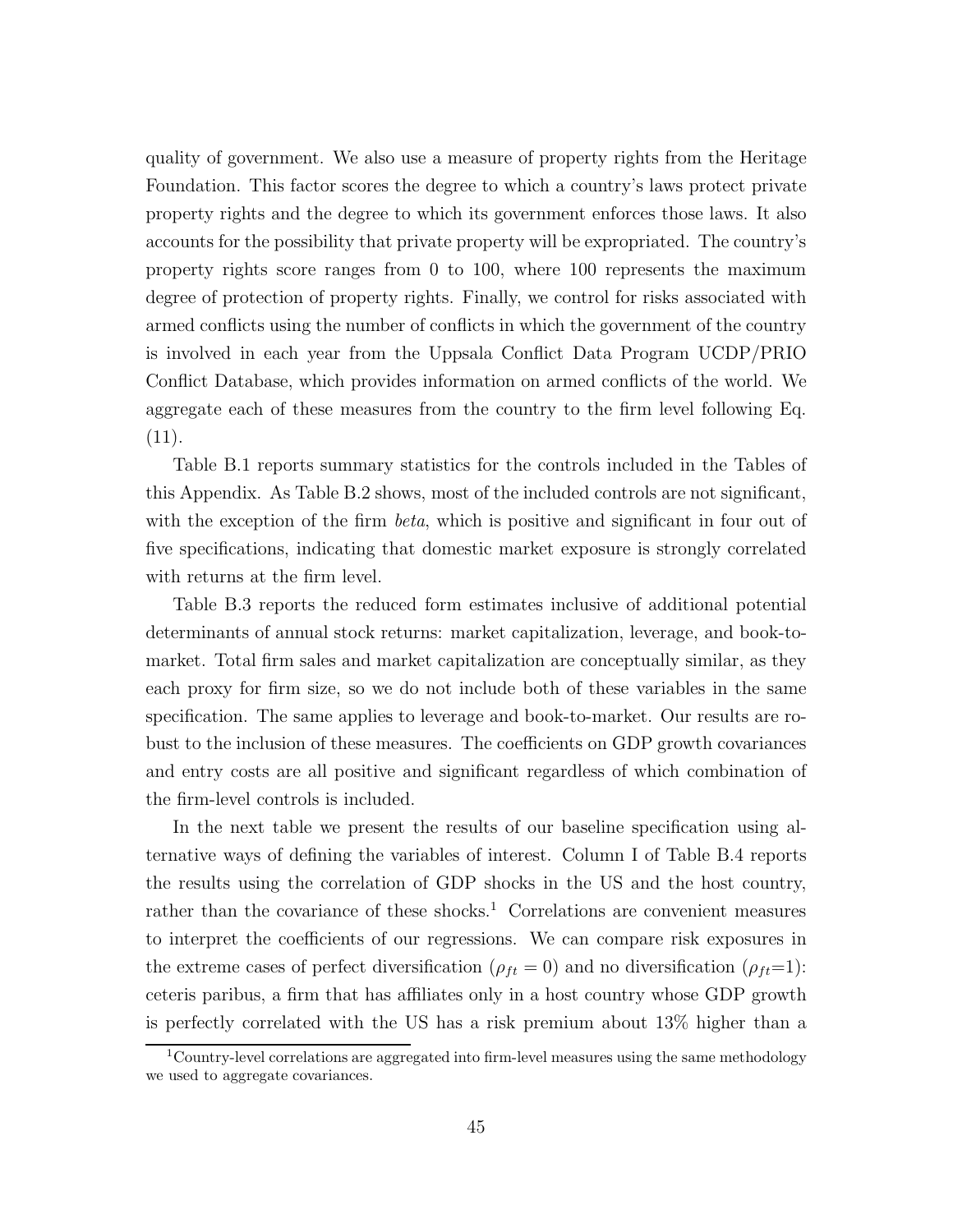quality of government. We also use a measure of property rights from the Heritage Foundation. This factor scores the degree to which a country's laws protect private property rights and the degree to which its government enforces those laws. It also accounts for the possibility that private property will be expropriated. The country's property rights score ranges from 0 to 100, where 100 represents the maximum degree of protection of property rights. Finally, we control for risks associated with armed conflicts using the number of conflicts in which the government of the country is involved in each year from the Uppsala Conflict Data Program UCDP/PRIO Conflict Database, which provides information on armed conflicts of the world. We aggregate each of these measures from the country to the firm level following Eq.  $(11).$ 

Table B.1 reports summary statistics for the controls included in the Tables of this Appendix. As Table B.2 shows, most of the included controls are not significant, with the exception of the firm *beta*, which is positive and significant in four out of five specifications, indicating that domestic market exposure is strongly correlated with returns at the firm level.

Table B.3 reports the reduced form estimates inclusive of additional potential determinants of annual stock returns: market capitalization, leverage, and book-tomarket. Total firm sales and market capitalization are conceptually similar, as they each proxy for firm size, so we do not include both of these variables in the same specification. The same applies to leverage and book-to-market. Our results are robust to the inclusion of these measures. The coefficients on GDP growth covariances and entry costs are all positive and significant regardless of which combination of the firm-level controls is included.

In the next table we present the results of our baseline specification using alternative ways of defining the variables of interest. Column I of Table B.4 reports the results using the correlation of GDP shocks in the US and the host country, rather than the covariance of these shocks.<sup>1</sup> Correlations are convenient measures to interpret the coefficients of our regressions. We can compare risk exposures in the extreme cases of perfect diversification ( $\rho_{ft} = 0$ ) and no diversification ( $\rho_{ft} = 1$ ): ceteris paribus, a firm that has affiliates only in a host country whose GDP growth is perfectly correlated with the US has a risk premium about 13% higher than a

<sup>&</sup>lt;sup>1</sup>Country-level correlations are aggregated into firm-level measures using the same methodology we used to aggregate covariances.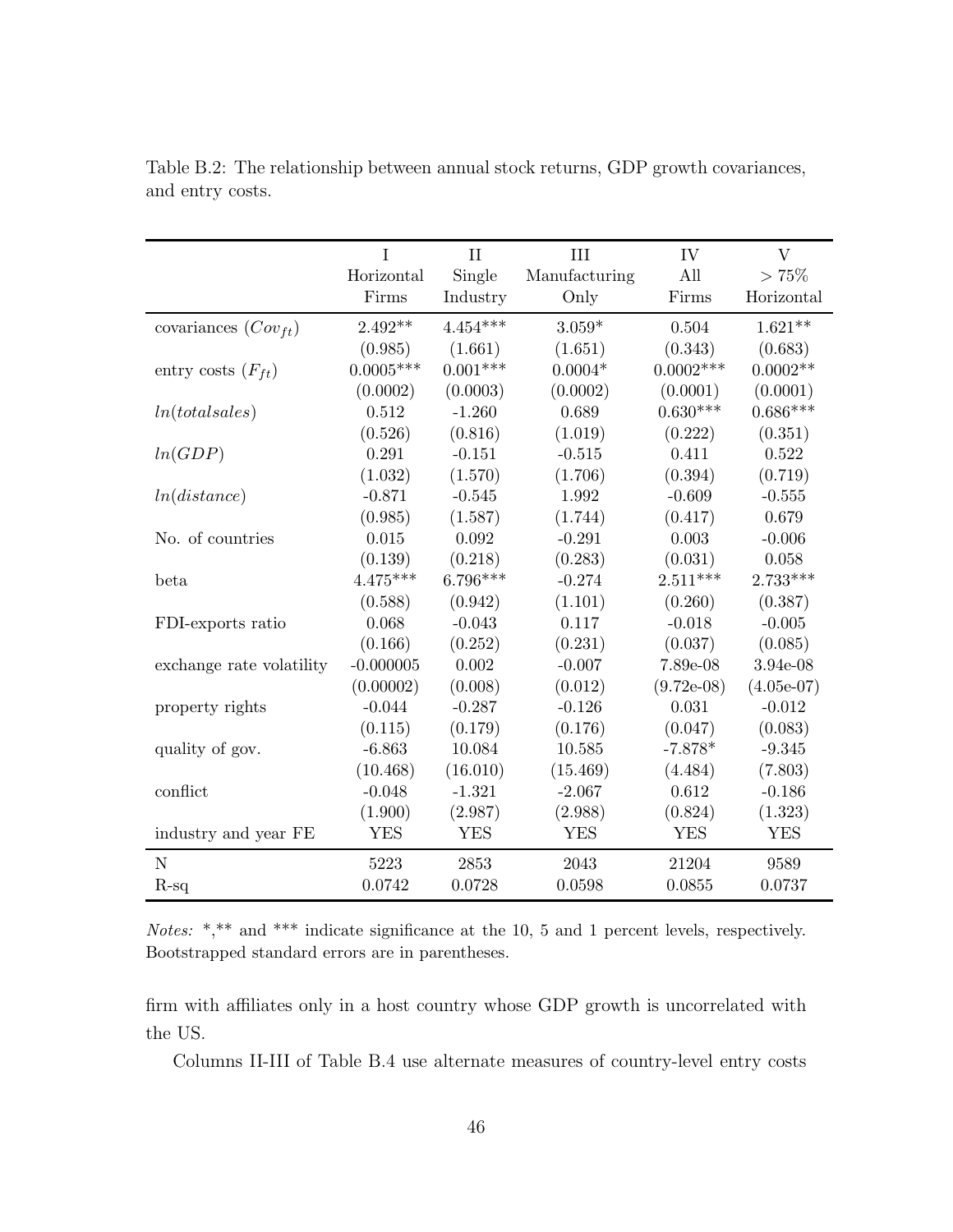|                          | T           | II         | III           | IV           | $\overline{V}$ |
|--------------------------|-------------|------------|---------------|--------------|----------------|
|                          | Horizontal  | Single     | Manufacturing | All          | $> 75\%$       |
|                          | Firms       | Industry   | Only          | Firms        | Horizontal     |
| covariances $(Cov_{ft})$ | $2.492**$   | $4.454***$ | $3.059*$      | 0.504        | $1.621**$      |
|                          | (0.985)     | (1.661)    | (1.651)       | (0.343)      | (0.683)        |
| entry costs $(F_{ft})$   | $0.0005***$ | $0.001***$ | $0.0004*$     | $0.0002***$  | $0.0002**$     |
|                          | (0.0002)    | (0.0003)   | (0.0002)      | (0.0001)     | (0.0001)       |
| ln(totalsales)           | 0.512       | $-1.260$   | 0.689         | $0.630***$   | $0.686***$     |
|                          | (0.526)     | (0.816)    | (1.019)       | (0.222)      | (0.351)        |
| ln(GDP)                  | 0.291       | $-0.151$   | $-0.515$      | 0.411        | 0.522          |
|                          | (1.032)     | (1.570)    | (1.706)       | (0.394)      | (0.719)        |
| ln(distance)             | $-0.871$    | $-0.545$   | 1.992         | $-0.609$     | $-0.555$       |
|                          | (0.985)     | (1.587)    | (1.744)       | (0.417)      | 0.679          |
| No. of countries         | 0.015       | 0.092      | $-0.291$      | 0.003        | $-0.006$       |
|                          | (0.139)     | (0.218)    | (0.283)       | (0.031)      | 0.058          |
| beta                     | $4.475***$  | $6.796***$ | $-0.274$      | $2.511***$   | $2.733***$     |
|                          | (0.588)     | (0.942)    | (1.101)       | (0.260)      | (0.387)        |
| FDI-exports ratio        | 0.068       | $-0.043$   | 0.117         | $-0.018$     | $-0.005$       |
|                          | (0.166)     | (0.252)    | (0.231)       | (0.037)      | (0.085)        |
| exchange rate volatility | $-0.000005$ | 0.002      | $-0.007$      | 7.89e-08     | 3.94e-08       |
|                          | (0.00002)   | (0.008)    | (0.012)       | $(9.72e-08)$ | $(4.05e-07)$   |
| property rights          | $-0.044$    | $-0.287$   | $-0.126$      | 0.031        | $-0.012$       |
|                          | (0.115)     | (0.179)    | (0.176)       | (0.047)      | (0.083)        |
| quality of gov.          | $-6.863$    | 10.084     | 10.585        | $-7.878*$    | $-9.345$       |
|                          | (10.468)    | (16.010)   | (15.469)      | (4.484)      | (7.803)        |
| conflict                 | $-0.048$    | $-1.321$   | $-2.067$      | 0.612        | $-0.186$       |
|                          | (1.900)     | (2.987)    | (2.988)       | (0.824)      | (1.323)        |
| industry and year FE     | <b>YES</b>  | YES        | <b>YES</b>    | YES          | <b>YES</b>     |
| $\overline{N}$           | 5223        | 2853       | 2043          | 21204        | 9589           |
| $R-sq$                   | 0.0742      | 0.0728     | 0.0598        | 0.0855       | 0.0737         |

Table B.2: The relationship between annual stock returns, GDP growth covariances, and entry costs.

Notes: \*,\*\* and \*\*\* indicate significance at the 10, 5 and 1 percent levels, respectively. Bootstrapped standard errors are in parentheses.

firm with affiliates only in a host country whose GDP growth is uncorrelated with the US.

Columns II-III of Table B.4 use alternate measures of country-level entry costs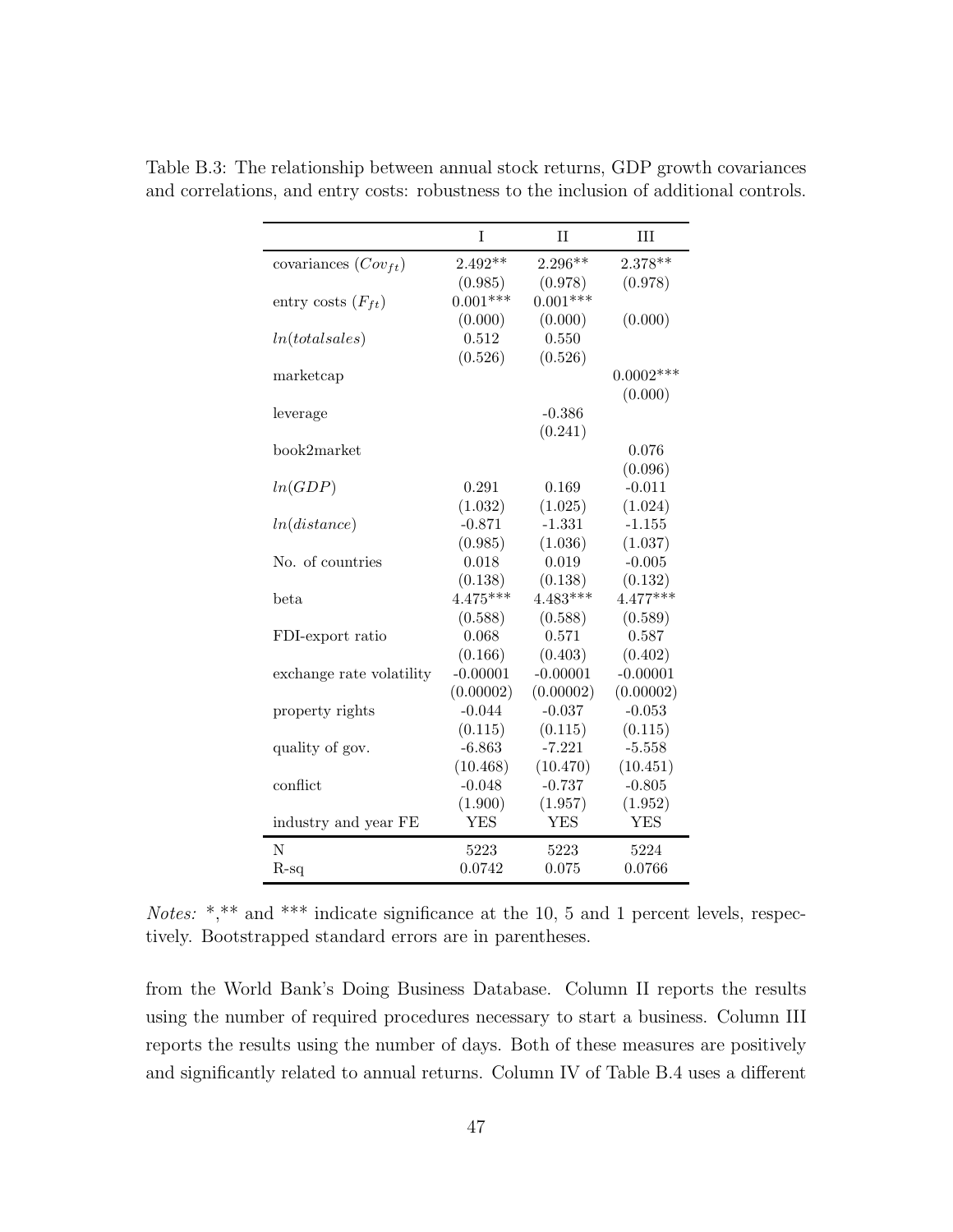|                          | T          | $_{II}$    | <b>III</b>  |
|--------------------------|------------|------------|-------------|
| covariances $(Cov_{ft})$ | $2.492**$  | $2.296**$  | $2.378**$   |
|                          | (0.985)    | (0.978)    | (0.978)     |
| entry costs $(F_{ft})$   | $0.001***$ | $0.001***$ |             |
|                          | (0.000)    | (0.000)    | (0.000)     |
| ln(totalsales)           | 0.512      | 0.550      |             |
|                          | (0.526)    | (0.526)    |             |
| marketcap                |            |            | $0.0002***$ |
|                          |            |            | (0.000)     |
| leverage                 |            | $-0.386$   |             |
|                          |            | (0.241)    |             |
| book2market              |            |            | 0.076       |
|                          |            |            | (0.096)     |
| ln(GDP)                  | 0.291      | 0.169      | $-0.011$    |
|                          | (1.032)    | (1.025)    | (1.024)     |
| ln(distance)             | $-0.871$   | $-1.331$   | $-1.155$    |
|                          | (0.985)    | (1.036)    | (1.037)     |
| No. of countries         | 0.018      | 0.019      | $-0.005$    |
|                          | (0.138)    | (0.138)    | (0.132)     |
| beta                     | $4.475***$ | $4.483***$ | $4.477***$  |
|                          | (0.588)    | (0.588)    | (0.589)     |
| FDI-export ratio         | 0.068      | 0.571      | 0.587       |
|                          | (0.166)    | (0.403)    | (0.402)     |
| exchange rate volatility | $-0.00001$ | $-0.00001$ | $-0.00001$  |
|                          | (0.00002)  | (0.00002)  | (0.00002)   |
| property rights          | $-0.044$   | $-0.037$   | $-0.053$    |
|                          | (0.115)    | (0.115)    | (0.115)     |
| quality of gov.          | $-6.863$   | $-7.221$   | $-5.558$    |
|                          | (10.468)   | (10.470)   | (10.451)    |
| conflict                 | $-0.048$   | $-0.737$   | $-0.805$    |
|                          | (1.900)    | (1.957)    | (1.952)     |
| industry and year FE     | <b>YES</b> | <b>YES</b> | <b>YES</b>  |
| N                        | 5223       | 5223       | 5224        |
| R-sq                     | 0.0742     | 0.075      | 0.0766      |

Table B.3: The relationship between annual stock returns, GDP growth covariances and correlations, and entry costs: robustness to the inclusion of additional controls.

*Notes:* \*,\*\* and \*\*\* indicate significance at the 10, 5 and 1 percent levels, respectively. Bootstrapped standard errors are in parentheses.

from the World Bank's Doing Business Database. Column II reports the results using the number of required procedures necessary to start a business. Column III reports the results using the number of days. Both of these measures are positively and significantly related to annual returns. Column IV of Table B.4 uses a different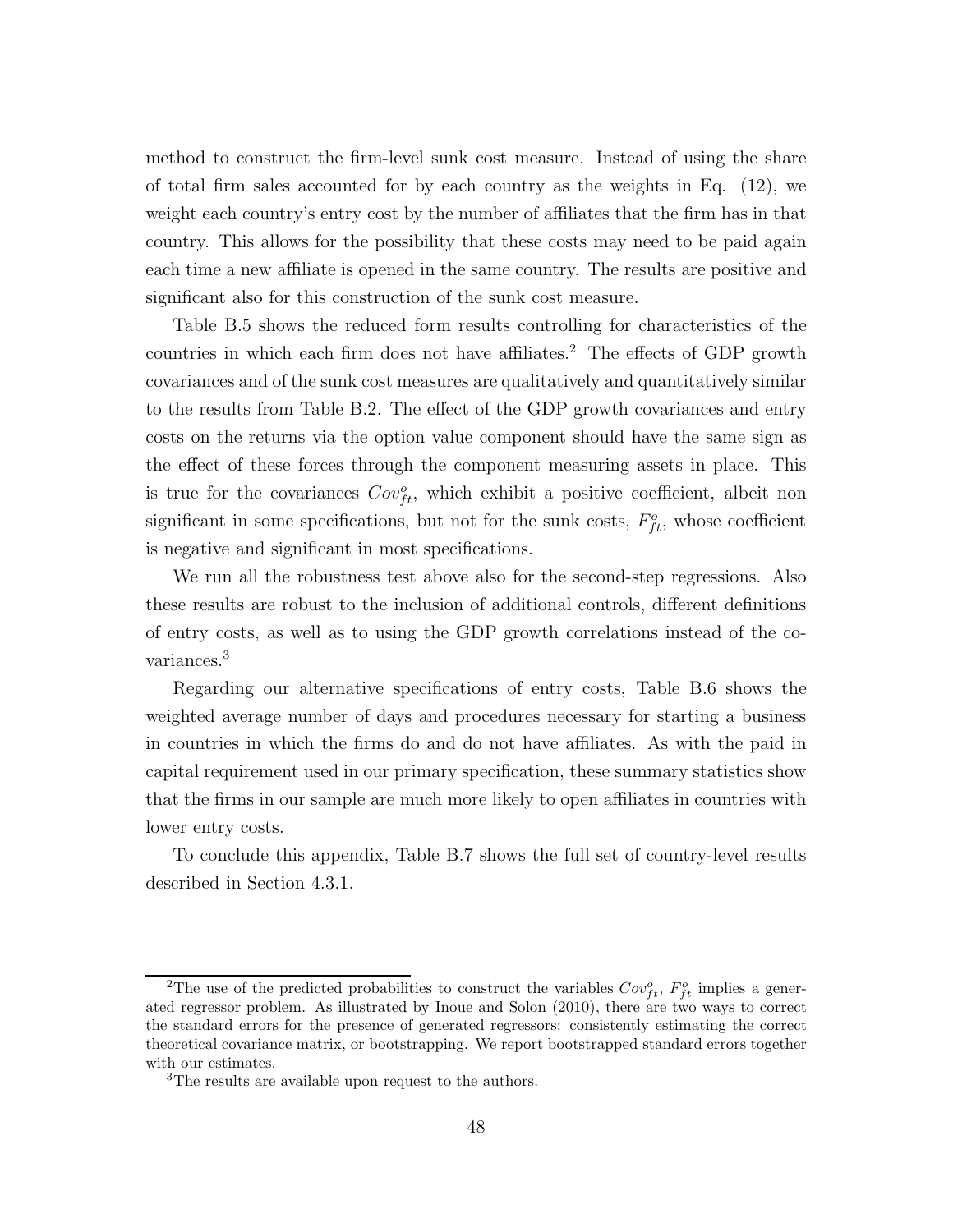method to construct the firm-level sunk cost measure. Instead of using the share of total firm sales accounted for by each country as the weights in Eq. (12), we weight each country's entry cost by the number of affiliates that the firm has in that country. This allows for the possibility that these costs may need to be paid again each time a new affiliate is opened in the same country. The results are positive and significant also for this construction of the sunk cost measure.

Table B.5 shows the reduced form results controlling for characteristics of the countries in which each firm does not have affiliates.<sup>2</sup> The effects of GDP growth covariances and of the sunk cost measures are qualitatively and quantitatively similar to the results from Table B.2. The effect of the GDP growth covariances and entry costs on the returns via the option value component should have the same sign as the effect of these forces through the component measuring assets in place. This is true for the covariances  $Cov_{ft}^o$ , which exhibit a positive coefficient, albeit non significant in some specifications, but not for the sunk costs,  $F_{ft}^o$ , whose coefficient is negative and significant in most specifications.

We run all the robustness test above also for the second-step regressions. Also these results are robust to the inclusion of additional controls, different definitions of entry costs, as well as to using the GDP growth correlations instead of the covariances.<sup>3</sup>

Regarding our alternative specifications of entry costs, Table B.6 shows the weighted average number of days and procedures necessary for starting a business in countries in which the firms do and do not have affiliates. As with the paid in capital requirement used in our primary specification, these summary statistics show that the firms in our sample are much more likely to open affiliates in countries with lower entry costs.

To conclude this appendix, Table B.7 shows the full set of country-level results described in Section 4.3.1.

<sup>&</sup>lt;sup>2</sup>The use of the predicted probabilities to construct the variables  $Cov_{ft}^o$ ,  $F_{ft}^o$  implies a generated regressor problem. As illustrated by Inoue and Solon (2010), there are two ways to correct the standard errors for the presence of generated regressors: consistently estimating the correct theoretical covariance matrix, or bootstrapping. We report bootstrapped standard errors together with our estimates.

<sup>3</sup>The results are available upon request to the authors.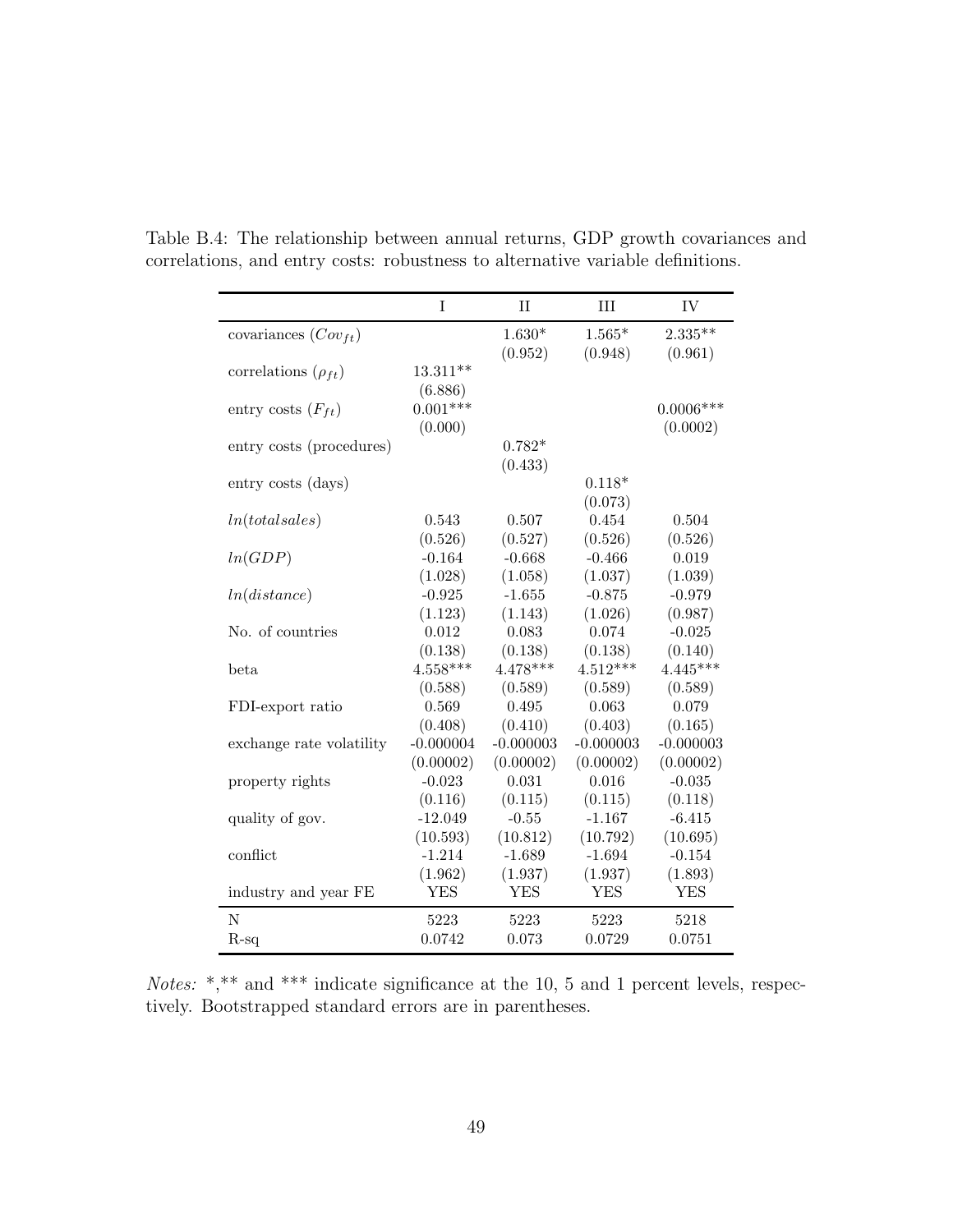|                            | I           | $\rm II$    | III         | IV          |
|----------------------------|-------------|-------------|-------------|-------------|
| covariances $(Cov_{ft})$   |             | $1.630*$    | $1.565*$    | $2.335**$   |
|                            |             | (0.952)     | (0.948)     | (0.961)     |
| correlations $(\rho_{ft})$ | $13.311**$  |             |             |             |
|                            | (6.886)     |             |             |             |
| entry costs $(F_{ft})$     | $0.001***$  |             |             | $0.0006***$ |
|                            | (0.000)     |             |             | (0.0002)    |
| entry costs (procedures)   |             | $0.782*$    |             |             |
|                            |             | (0.433)     |             |             |
| entry costs (days)         |             |             | $0.118*$    |             |
|                            |             |             | (0.073)     |             |
| ln(totalsales)             | 0.543       | 0.507       | 0.454       | 0.504       |
|                            | (0.526)     | (0.527)     | (0.526)     | (0.526)     |
| ln(GDP)                    | $-0.164$    | $-0.668$    | $-0.466$    | 0.019       |
|                            | (1.028)     | (1.058)     | (1.037)     | (1.039)     |
| ln(distance)               | $-0.925$    | $-1.655$    | $-0.875$    | $-0.979$    |
|                            | (1.123)     | (1.143)     | (1.026)     | (0.987)     |
| No. of countries           | 0.012       | 0.083       | 0.074       | $-0.025$    |
|                            | (0.138)     | (0.138)     | (0.138)     | (0.140)     |
| beta                       | $4.558***$  | $4.478***$  | $4.512***$  | $4.445***$  |
|                            | (0.588)     | (0.589)     | (0.589)     | (0.589)     |
| FDI-export ratio           | 0.569       | 0.495       | 0.063       | 0.079       |
|                            | (0.408)     | (0.410)     | (0.403)     | (0.165)     |
| exchange rate volatility   | $-0.000004$ | $-0.000003$ | $-0.000003$ | $-0.000003$ |
|                            | (0.00002)   | (0.00002)   | (0.00002)   | (0.00002)   |
| property rights            | $-0.023$    | 0.031       | 0.016       | $-0.035$    |
|                            | (0.116)     | (0.115)     | (0.115)     | (0.118)     |
| quality of gov.            | $-12.049$   | $-0.55$     | $-1.167$    | $-6.415$    |
|                            | (10.593)    | (10.812)    | (10.792)    | (10.695)    |
| conflict                   | $-1.214$    | $-1.689$    | $-1.694$    | $-0.154$    |
|                            | (1.962)     | (1.937)     | (1.937)     | (1.893)     |
| industry and year FE       | <b>YES</b>  | <b>YES</b>  | <b>YES</b>  | <b>YES</b>  |
| N                          | 5223        | 5223        | 5223        | 5218        |
| $R-sq$                     | 0.0742      | 0.073       | 0.0729      | 0.0751      |

Table B.4: The relationship between annual returns, GDP growth covariances and correlations, and entry costs: robustness to alternative variable definitions.

*Notes:* \*,\*\* and \*\*\* indicate significance at the 10, 5 and 1 percent levels, respectively. Bootstrapped standard errors are in parentheses.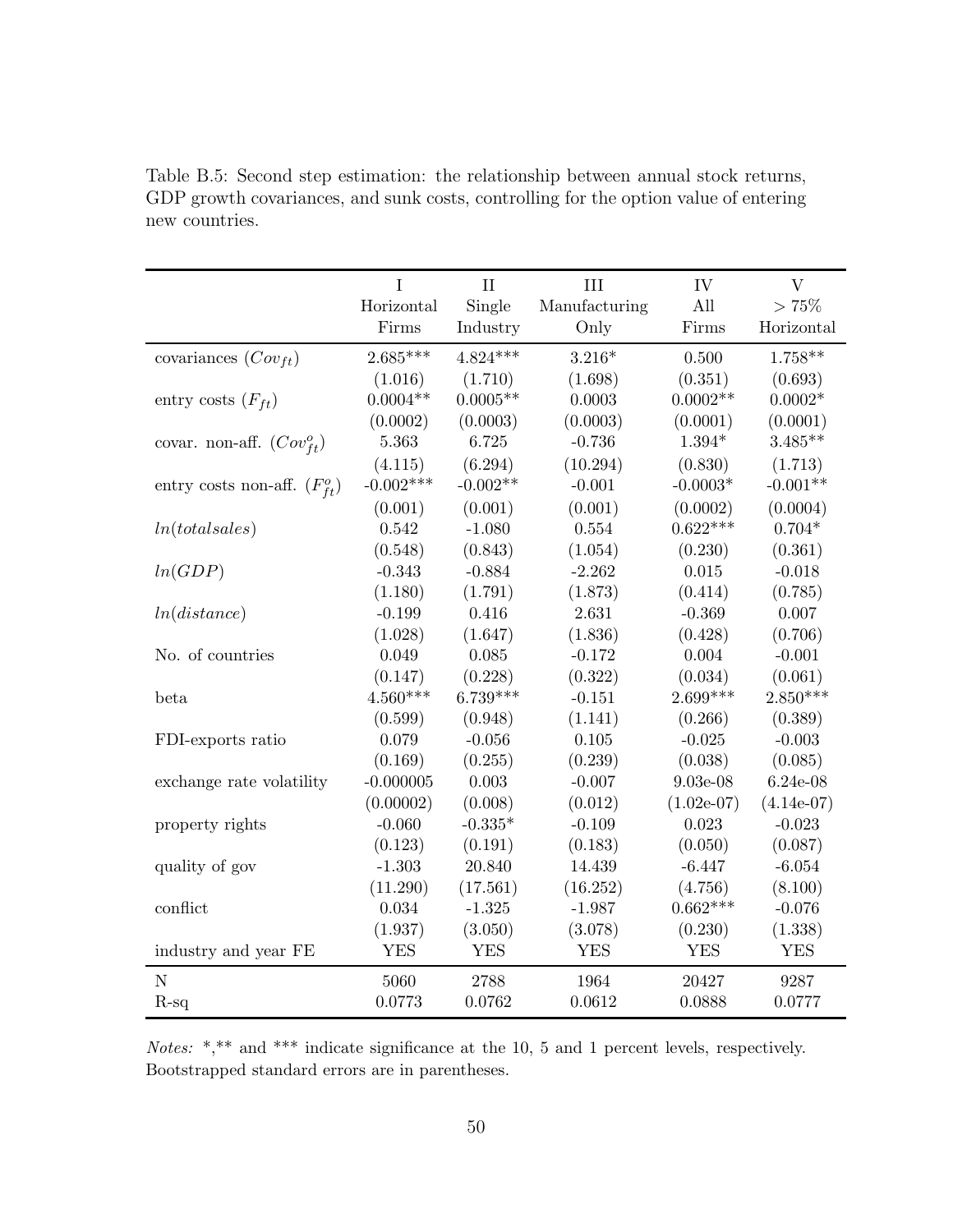|                                   | $\mathbf I$ | II         | III           | IV           | $\mathbf{V}$ |
|-----------------------------------|-------------|------------|---------------|--------------|--------------|
|                                   | Horizontal  | Single     | Manufacturing | All          | > 75%        |
|                                   | Firms       | Industry   | Only          | Firms        | Horizontal   |
| covariances $(Cov_{ft})$          | $2.685***$  | $4.824***$ | $3.216*$      | 0.500        | $1.758**$    |
|                                   | (1.016)     | (1.710)    | (1.698)       | (0.351)      | (0.693)      |
| entry costs $(F_{ft})$            | $0.0004**$  | $0.0005**$ | 0.0003        | $0.0002**$   | $0.0002*$    |
|                                   | (0.0002)    | (0.0003)   | (0.0003)      | (0.0001)     | (0.0001)     |
| covar. non-aff. $(Cov_{ft}^o)$    | 5.363       | 6.725      | $-0.736$      | $1.394*$     | $3.485**$    |
|                                   | (4.115)     | (6.294)    | (10.294)      | (0.830)      | (1.713)      |
| entry costs non-aff. $(F_{ft}^o)$ | $-0.002***$ | $-0.002**$ | $-0.001$      | $-0.0003*$   | $-0.001**$   |
|                                   | (0.001)     | (0.001)    | (0.001)       | (0.0002)     | (0.0004)     |
| ln(totalsales)                    | 0.542       | $-1.080$   | 0.554         | $0.622***$   | $0.704*$     |
|                                   | (0.548)     | (0.843)    | (1.054)       | (0.230)      | (0.361)      |
| ln(GDP)                           | $-0.343$    | $-0.884$   | $-2.262$      | $0.015\,$    | $-0.018$     |
|                                   | (1.180)     | (1.791)    | (1.873)       | (0.414)      | (0.785)      |
| ln(distance)                      | $-0.199$    | 0.416      | 2.631         | $-0.369$     | 0.007        |
|                                   | (1.028)     | (1.647)    | (1.836)       | (0.428)      | (0.706)      |
| No. of countries                  | 0.049       | 0.085      | $-0.172$      | 0.004        | $-0.001$     |
|                                   | (0.147)     | (0.228)    | (0.322)       | (0.034)      | (0.061)      |
| beta                              | $4.560***$  | $6.739***$ | $-0.151$      | $2.699***$   | $2.850***$   |
|                                   | (0.599)     | (0.948)    | (1.141)       | (0.266)      | (0.389)      |
| FDI-exports ratio                 | 0.079       | $-0.056$   | 0.105         | $-0.025$     | $-0.003$     |
|                                   | (0.169)     | (0.255)    | (0.239)       | (0.038)      | (0.085)      |
| exchange rate volatility          | $-0.000005$ | 0.003      | $-0.007$      | $9.03e-08$   | 6.24e-08     |
|                                   | (0.00002)   | (0.008)    | (0.012)       | $(1.02e-07)$ | $(4.14e-07)$ |
| property rights                   | $-0.060$    | $-0.335*$  | $-0.109$      | 0.023        | $-0.023$     |
|                                   | (0.123)     | (0.191)    | (0.183)       | (0.050)      | (0.087)      |
| quality of gov                    | $-1.303$    | 20.840     | 14.439        | $-6.447$     | $-6.054$     |
|                                   | (11.290)    | (17.561)   | (16.252)      | (4.756)      | (8.100)      |
| conflict                          | 0.034       | $-1.325$   | $-1.987$      | $0.662***$   | $-0.076$     |
|                                   | (1.937)     | (3.050)    | (3.078)       | (0.230)      | (1.338)      |
| industry and year FE              | <b>YES</b>  | <b>YES</b> | <b>YES</b>    | <b>YES</b>   | <b>YES</b>   |
| ${\bf N}$                         | 5060        | 2788       | 1964          | 20427        | 9287         |
| $R-sq$                            | 0.0773      | 0.0762     | 0.0612        | 0.0888       | 0.0777       |

Table B.5: Second step estimation: the relationship between annual stock returns, GDP growth covariances, and sunk costs, controlling for the option value of entering new countries.

Notes: \*,\*\* and \*\*\* indicate significance at the 10, 5 and 1 percent levels, respectively. Bootstrapped standard errors are in parentheses.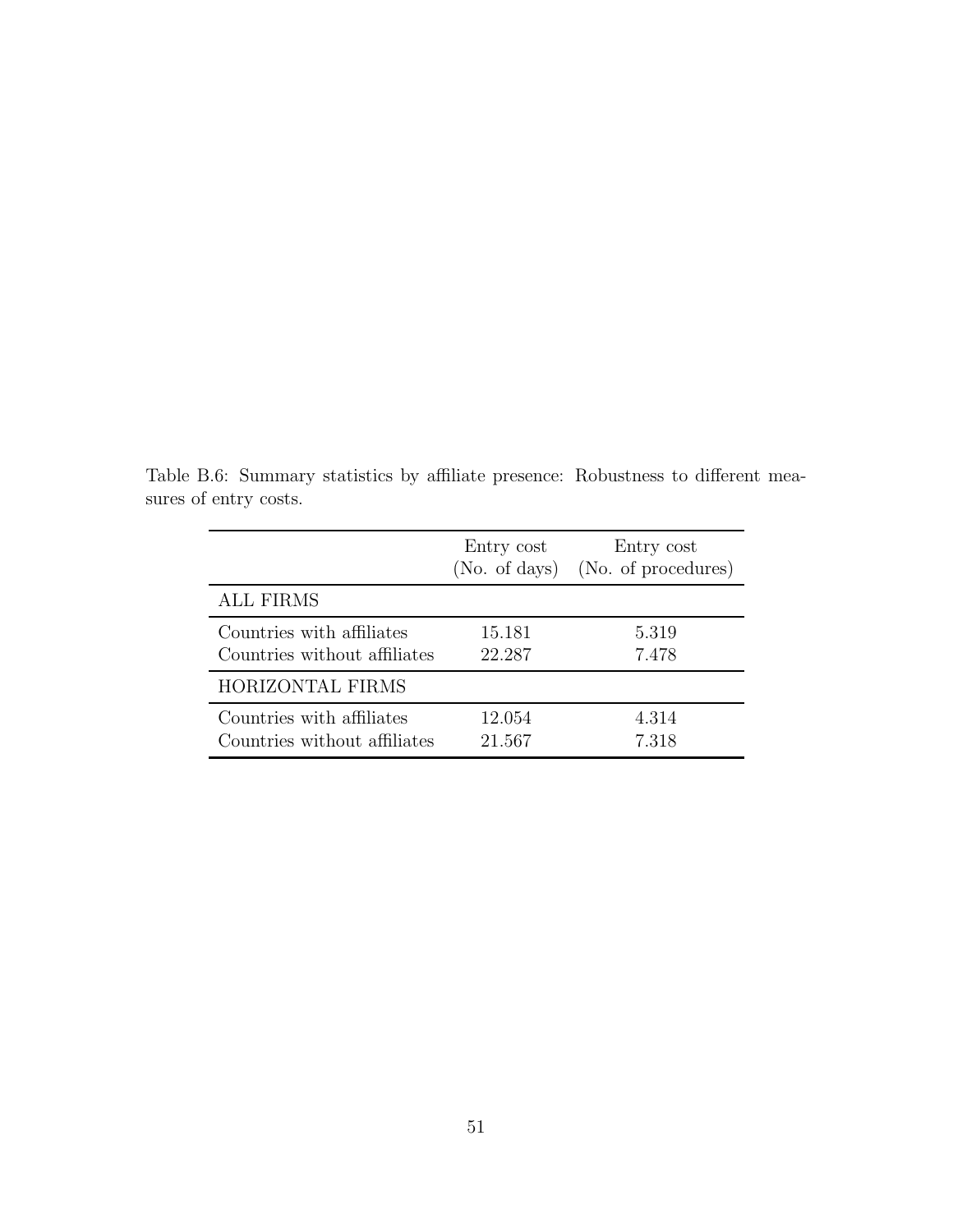|                                                           | Entry cost<br>(No. of days) | Entry cost<br>(No. of procedures) |
|-----------------------------------------------------------|-----------------------------|-----------------------------------|
| <b>ALL FIRMS</b>                                          |                             |                                   |
| Countries with affiliates<br>Countries without affiliates | 15.181<br>22.287            | 5.319<br>7.478                    |
| <b>HORIZONTAL FIRMS</b>                                   |                             |                                   |
| Countries with affiliates<br>Countries without affiliates | 12.054<br>21.567            | 4.314<br>7.318                    |

Table B.6: Summary statistics by affiliate presence: Robustness to different measures of entry costs.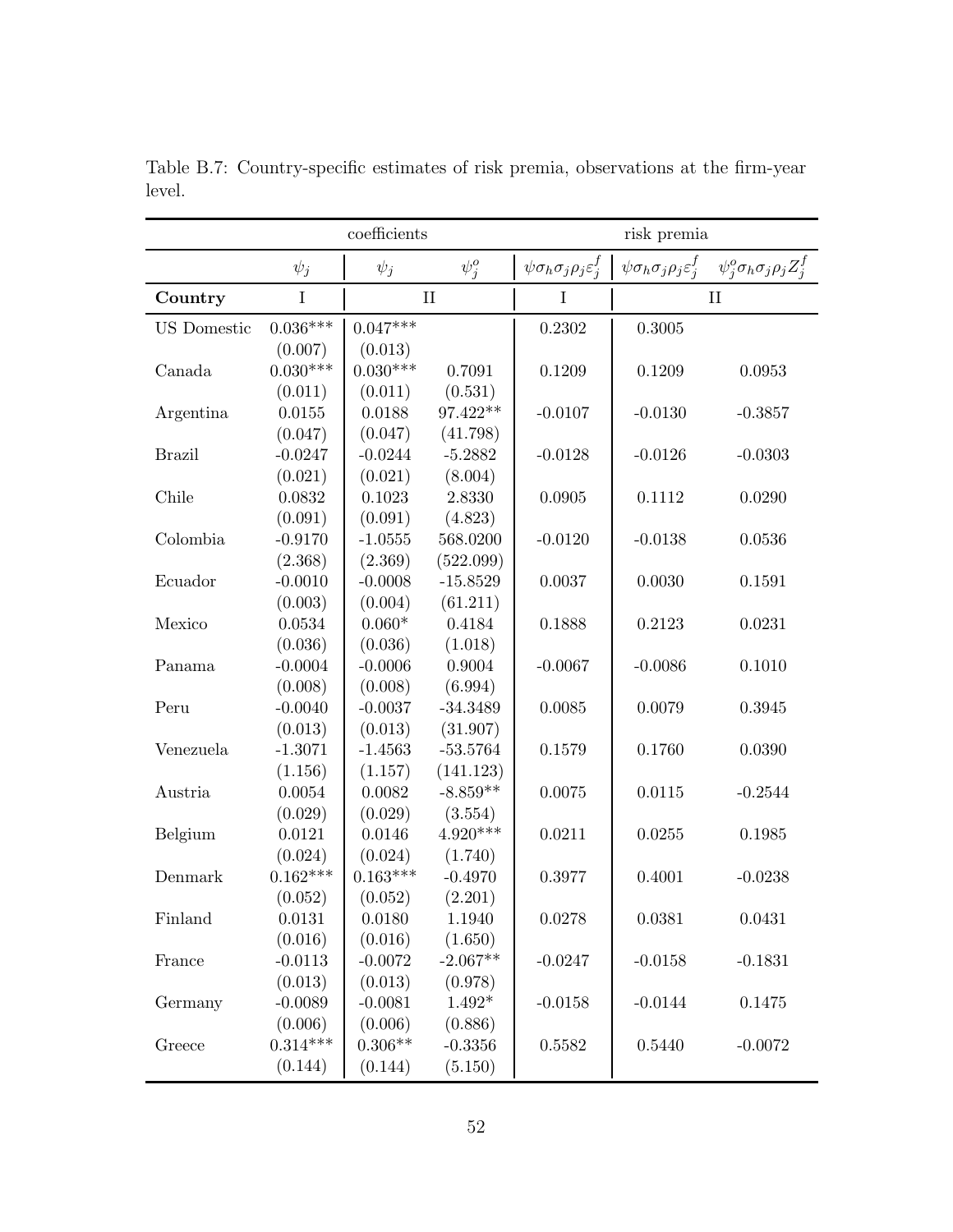|                    |            | coefficients |            | risk premia                                     |                                                 |                                           |  |
|--------------------|------------|--------------|------------|-------------------------------------------------|-------------------------------------------------|-------------------------------------------|--|
|                    | $\psi_j$   | $\psi_j$     | $\psi_j^o$ | $\psi \sigma_h \sigma_j \rho_j \varepsilon_i^f$ | $\psi \sigma_h \sigma_j \rho_j \varepsilon_j^f$ | $\psi_j^o \sigma_h \sigma_j \rho_j Z_j^J$ |  |
| Country            | $\rm I$    | $\mathbf{I}$ |            | I                                               | $\mathbf{I}$                                    |                                           |  |
| <b>US</b> Domestic | $0.036***$ | $0.047***$   |            | 0.2302                                          | 0.3005                                          |                                           |  |
|                    | (0.007)    | (0.013)      |            |                                                 |                                                 |                                           |  |
| Canada             | $0.030***$ | $0.030***$   | 0.7091     | 0.1209                                          | 0.1209                                          | 0.0953                                    |  |
|                    | (0.011)    | (0.011)      | (0.531)    |                                                 |                                                 |                                           |  |
| Argentina          | 0.0155     | 0.0188       | 97.422**   | $-0.0107$                                       | $-0.0130$                                       | $-0.3857$                                 |  |
|                    | (0.047)    | (0.047)      | (41.798)   |                                                 |                                                 |                                           |  |
| <b>Brazil</b>      | $-0.0247$  | $-0.0244$    | $-5.2882$  | $-0.0128$                                       | $-0.0126$                                       | $-0.0303$                                 |  |
|                    | (0.021)    | (0.021)      | (8.004)    |                                                 |                                                 |                                           |  |
| Chile              | 0.0832     | 0.1023       | 2.8330     | 0.0905                                          | 0.1112                                          | 0.0290                                    |  |
|                    | (0.091)    | (0.091)      | (4.823)    |                                                 |                                                 |                                           |  |
| Colombia           | $-0.9170$  | $-1.0555$    | 568.0200   | $-0.0120$                                       | $-0.0138$                                       | 0.0536                                    |  |
|                    | (2.368)    | (2.369)      | (522.099)  |                                                 |                                                 |                                           |  |
| Ecuador            | $-0.0010$  | $-0.0008$    | $-15.8529$ | 0.0037                                          | 0.0030                                          | 0.1591                                    |  |
|                    | (0.003)    | (0.004)      | (61.211)   |                                                 |                                                 |                                           |  |
| Mexico             | 0.0534     | $0.060*$     | 0.4184     | 0.1888                                          | 0.2123                                          | 0.0231                                    |  |
|                    | (0.036)    | (0.036)      | (1.018)    |                                                 |                                                 |                                           |  |
| Panama             | $-0.0004$  | $-0.0006$    | 0.9004     | $-0.0067$                                       | $-0.0086$                                       | 0.1010                                    |  |
|                    | (0.008)    | (0.008)      | (6.994)    |                                                 |                                                 |                                           |  |
| Peru               | $-0.0040$  | $-0.0037$    | $-34.3489$ | 0.0085                                          | 0.0079                                          | 0.3945                                    |  |
|                    | (0.013)    | (0.013)      | (31.907)   |                                                 |                                                 |                                           |  |
| Venezuela          | $-1.3071$  | $-1.4563$    | $-53.5764$ | 0.1579                                          | 0.1760                                          | 0.0390                                    |  |
|                    | (1.156)    | (1.157)      | (141.123)  |                                                 |                                                 |                                           |  |
| Austria            | 0.0054     | 0.0082       | $-8.859**$ | 0.0075                                          | 0.0115                                          | $-0.2544$                                 |  |
|                    | (0.029)    | (0.029)      | (3.554)    |                                                 |                                                 |                                           |  |
| Belgium            | 0.0121     | 0.0146       | $4.920***$ | 0.0211                                          | 0.0255                                          | 0.1985                                    |  |
|                    | (0.024)    | (0.024)      | (1.740)    |                                                 |                                                 |                                           |  |
| Denmark            | $0.162***$ | $0.163***$   | $-0.4970$  | 0.3977                                          | 0.4001                                          | $-0.0238$                                 |  |
|                    | (0.052)    | (0.052)      | (2.201)    |                                                 |                                                 |                                           |  |
| Finland            | 0.0131     | 0.0180       | 1.1940     | $0.0278\,$                                      | 0.0381                                          | 0.0431                                    |  |
|                    | (0.016)    | (0.016)      | (1.650)    |                                                 |                                                 |                                           |  |
| France             | $-0.0113$  | $-0.0072$    | $-2.067**$ | $-0.0247$                                       | $-0.0158$                                       | $-0.1831$                                 |  |
|                    | (0.013)    | (0.013)      | (0.978)    |                                                 |                                                 |                                           |  |
| Germany            | $-0.0089$  | $-0.0081$    | $1.492*$   | $-0.0158$                                       | $-0.0144$                                       | 0.1475                                    |  |
|                    | (0.006)    | (0.006)      | (0.886)    |                                                 |                                                 |                                           |  |
| Greece             | $0.314***$ | $0.306**$    | $-0.3356$  | 0.5582                                          | 0.5440                                          | $-0.0072$                                 |  |
|                    | (0.144)    | (0.144)      | (5.150)    |                                                 |                                                 |                                           |  |

Table B.7: Country-specific estimates of risk premia, observations at the firm-year level.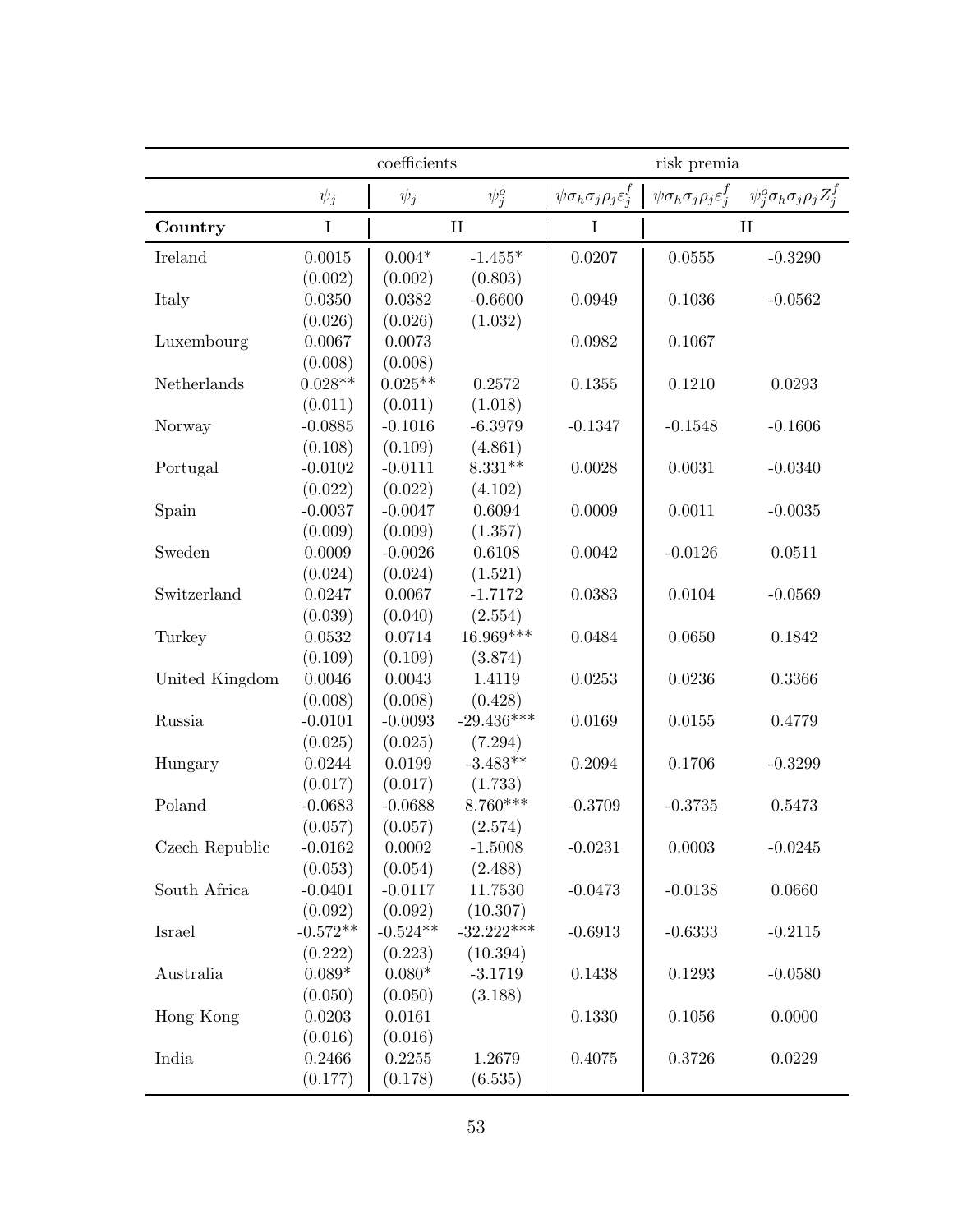|                | coefficients |            |              | risk premia                                     |                                                 |                                           |  |
|----------------|--------------|------------|--------------|-------------------------------------------------|-------------------------------------------------|-------------------------------------------|--|
|                | $\psi_j$     | $\psi_j$   | $\psi_i^o$   | $\psi \sigma_h \sigma_j \rho_j \varepsilon_i^f$ | $\psi \sigma_h \sigma_j \rho_j \varepsilon_j^f$ | $\psi_j^o \sigma_h \sigma_j \rho_j Z_j^f$ |  |
| Country        | $\bf I$      |            | II           | I                                               |                                                 | $\mathbf{I}$                              |  |
| Ireland        | 0.0015       | $0.004*$   | $-1.455*$    | 0.0207                                          | 0.0555                                          | $-0.3290$                                 |  |
|                | (0.002)      | (0.002)    | (0.803)      |                                                 |                                                 |                                           |  |
| Italy          | 0.0350       | 0.0382     | $-0.6600$    | 0.0949                                          | 0.1036                                          | $-0.0562$                                 |  |
|                | (0.026)      | (0.026)    | (1.032)      |                                                 |                                                 |                                           |  |
| Luxembourg     | 0.0067       | 0.0073     |              | 0.0982                                          | 0.1067                                          |                                           |  |
|                | (0.008)      | (0.008)    |              |                                                 |                                                 |                                           |  |
| Netherlands    | $0.028**$    | $0.025**$  | 0.2572       | 0.1355                                          | 0.1210                                          | 0.0293                                    |  |
|                | (0.011)      | (0.011)    | (1.018)      |                                                 |                                                 |                                           |  |
| Norway         | $-0.0885$    | $-0.1016$  | $-6.3979$    | $-0.1347$                                       | $-0.1548$                                       | $-0.1606$                                 |  |
|                | (0.108)      | (0.109)    | (4.861)      |                                                 |                                                 |                                           |  |
| Portugal       | $-0.0102$    | $-0.0111$  | $8.331**$    | 0.0028                                          | 0.0031                                          | $-0.0340$                                 |  |
|                | (0.022)      | (0.022)    | (4.102)      |                                                 |                                                 |                                           |  |
| Spain          | $-0.0037$    | $-0.0047$  | 0.6094       | 0.0009                                          | 0.0011                                          | $-0.0035$                                 |  |
|                | (0.009)      | (0.009)    | (1.357)      |                                                 |                                                 |                                           |  |
| Sweden         | 0.0009       | $-0.0026$  | 0.6108       | 0.0042                                          | $-0.0126$                                       | 0.0511                                    |  |
|                | (0.024)      | (0.024)    | (1.521)      |                                                 |                                                 |                                           |  |
| Switzerland    | 0.0247       | 0.0067     | $-1.7172$    | 0.0383                                          | 0.0104                                          | $-0.0569$                                 |  |
|                | (0.039)      | (0.040)    | (2.554)      |                                                 |                                                 |                                           |  |
| Turkey         | 0.0532       | 0.0714     | 16.969***    | 0.0484                                          | 0.0650                                          | 0.1842                                    |  |
|                | (0.109)      | (0.109)    | (3.874)      |                                                 |                                                 |                                           |  |
| United Kingdom | 0.0046       | 0.0043     | 1.4119       | 0.0253                                          | 0.0236                                          | 0.3366                                    |  |
|                | (0.008)      | (0.008)    | (0.428)      |                                                 |                                                 |                                           |  |
| Russia         | $-0.0101$    | $-0.0093$  | $-29.436***$ | 0.0169                                          | 0.0155                                          | 0.4779                                    |  |
|                | (0.025)      | (0.025)    | (7.294)      |                                                 |                                                 |                                           |  |
| Hungary        | 0.0244       | 0.0199     | $-3.483**$   | 0.2094                                          | 0.1706                                          | $-0.3299$                                 |  |
|                | (0.017)      | (0.017)    | (1.733)      |                                                 |                                                 |                                           |  |
| Poland         | $-0.0683$    | $-0.0688$  | $8.760***$   | $-0.3709$                                       | $-0.3735$                                       | 0.5473                                    |  |
|                | (0.057)      | (0.057)    | (2.574)      |                                                 |                                                 |                                           |  |
| Czech Republic | $-0.0162$    | 0.0002     | $-1.5008$    | $-0.0231$                                       | 0.0003                                          | $-0.0245$                                 |  |
|                | (0.053)      | (0.054)    | (2.488)      |                                                 |                                                 |                                           |  |
| South Africa   | $-0.0401$    | $-0.0117$  | 11.7530      | $-0.0473$                                       | $-0.0138$                                       | 0.0660                                    |  |
|                | (0.092)      | (0.092)    | (10.307)     |                                                 |                                                 |                                           |  |
| Israel         | $-0.572**$   | $-0.524**$ | $-32.222***$ | $-0.6913$                                       | $-0.6333$                                       | $-0.2115$                                 |  |
|                | (0.222)      | (0.223)    | (10.394)     |                                                 |                                                 |                                           |  |
| Australia      | $0.089*$     | $0.080*$   | $-3.1719$    | 0.1438                                          | 0.1293                                          | $-0.0580$                                 |  |
|                | (0.050)      | (0.050)    | (3.188)      |                                                 |                                                 |                                           |  |
| Hong Kong      | 0.0203       | 0.0161     |              | 0.1330                                          | 0.1056                                          | 0.0000                                    |  |
|                | (0.016)      | (0.016)    |              |                                                 |                                                 |                                           |  |
| India          | 0.2466       | 0.2255     | 1.2679       | 0.4075                                          | 0.3726                                          | 0.0229                                    |  |
|                | (0.177)      | (0.178)    | (6.535)      |                                                 |                                                 |                                           |  |